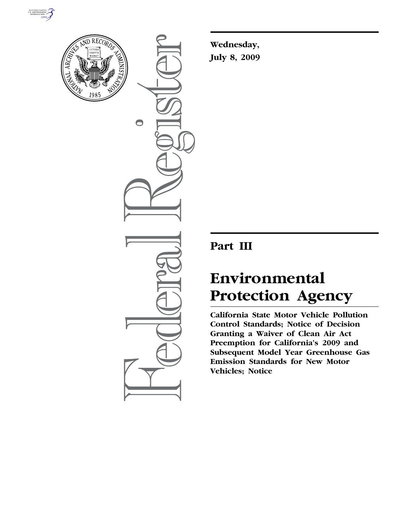



 $\bigcirc$ 

**Wednesday, July 8, 2009** 

# **Part III**

# **Environmental Protection Agency**

**California State Motor Vehicle Pollution Control Standards; Notice of Decision Granting a Waiver of Clean Air Act Preemption for California's 2009 and Subsequent Model Year Greenhouse Gas Emission Standards for New Motor Vehicles; Notice**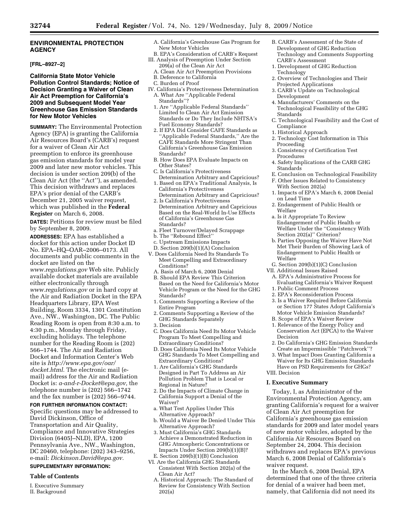# **ENVIRONMENTAL PROTECTION AGENCY**

# **[FRL–8927–2]**

### **California State Motor Vehicle Pollution Control Standards; Notice of Decision Granting a Waiver of Clean Air Act Preemption for California's 2009 and Subsequent Model Year Greenhouse Gas Emission Standards for New Motor Vehicles**

**SUMMARY:** The Environmental Protection Agency (EPA) is granting the California Air Resources Board's (CARB's) request for a waiver of Clean Air Act preemption to enforce its greenhouse gas emission standards for model year 2009 and later new motor vehicles. This decision is under section 209(b) of the Clean Air Act (the ''Act''), as amended. This decision withdraws and replaces EPA's prior denial of the CARB's December 21, 2005 waiver request, which was published in the **Federal Register** on March 6, 2008.

**DATES:** Petitions for review must be filed by September 8, 2009.

**ADDRESSES:** EPA has established a docket for this action under Docket ID No. EPA–HQ–OAR–2006–0173. All documents and public comments in the

docket are listed on the *www.regulations.gov* Web site. Publicly available docket materials are available either electronically through *www.regulations.gov* or in hard copy at the Air and Radiation Docket in the EPA Headquarters Library, EPA West Building, Room 3334, 1301 Constitution Ave., NW., Washington, DC. The Public Reading Room is open from 8:30 a.m. to 4:30 p.m., Monday through Friday, excluding holidays. The telephone number for the Reading Room is (202) 566–1744. The Air and Radiation Docket and Information Center's Web site is *http://www.epa.gov/oar/ docket.html.* The electronic mail (email) address for the Air and Radiation Docket is: *a-and-r-Docket@epa.gov,* the telephone number is (202) 566–1742 and the fax number is (202) 566–9744.

# **FOR FURTHER INFORMATION CONTACT:**

Specific questions may be addressed to David Dickinson, Office of Transportation and Air Quality, Compliance and Innovative Strategies Division (6405J–NLD), EPA, 1200 Pennsylvania Ave., NW., Washington, DC 20460, telephone: (202) 343–9256, e-mail: *Dickinson.David@epa.gov.* 

# **SUPPLEMENTARY INFORMATION:**

#### **Table of Contents**

I. Executive Summary II. Background

- A. California's Greenhouse Gas Program for New Motor Vehicles
- B. EPA's Consideration of CARB's Request III. Analysis of Preemption Under Section
	- 209(a) of the Clean Air Act A. Clean Air Act Preemption Provisions
	- B. Deference to California
	- C. Burden of Proof
- IV. California's Protectiveness Determination A. What Are ''Applicable Federal Standards''?
	- 1. Are ''Applicable Federal Standards'' Limited to Clean Air Act Emission Standards or Do They Include NHTSA's Fuel Economy Standards?
	- 2. If EPA Did Consider CAFE Standards as ''Applicable Federal Standards,'' Are the CAFE Standards More Stringent Than California's Greenhouse Gas Emission Standards?
- B. How Does EPA Evaluate Impacts on Other States?
- C. Is California's Protectiveness Determination Arbitrary and Capricious?
- 1. Based on EPA's Traditional Analysis, Is California's Protectiveness Determination Arbitrary and Capricious?
- 2. Is California's Protectiveness Determination Arbitrary and Capricious Based on the Real-World In-Use Effects of California's Greenhouse Gas Standards?
- a. Fleet Turnover/Delayed Scrappage
- b. The ''Rebound Effect''
- c. Upstream Emissions Impacts
- D. Section 209(b)(1)(A) Conclusion
- V. Does California Need Its Standards To Meet Compelling and Extraordinary Conditions?
	- A. Basis of March 6, 2008 Denial
	- B. Should EPA Review This Criterion Based on the Need for California's Motor Vehicle Program or the Need for the GHG Standards?
	- 1. Comments Supporting a Review of the Entire Program
	- 2. Comments Supporting a Review of the GHG Standards Separately
	- 3. Decision
	- C. Does California Need Its Motor Vehicle Program To Meet Compelling and Extraordinary Conditions?
	- D. Does California Need Its Motor Vehicle GHG Standards To Meet Compelling and Extraordinary Conditions?
	- 1. Are California's GHG Standards Designed in Part To Address an Air Pollution Problem That is Local or Regional in Nature?
	- 2. Do the Impacts of Climate Change in California Support a Denial of the Waiver?
	- a. What Test Applies Under This Alternative Approach?
	- b. Would a Waiver Be Denied Under This Alternative Approach?
	- 3. Must California's GHG Standards Achieve a Demonstrated Reduction in GHG Atmospheric Concentrations or Impacts Under Section 209(b)(1)(B)? E. Section 209(b)(1)(B) Conclusion
- VI. Are the California GHG Standards Consistent With Section 202(a) of the Clean Air Act?
	- A. Historical Approach: The Standard of Review for Consistency With Section 202(a)
- B. CARB's Assessment of the State of Development of GHG Reduction Technology and Comments Supporting CARB's Assessment
- 1. Development of GHG Reduction Technology
- 2. Overview of Technologies and Their Projected Applications
- 3. CARB's Update on Technological Development
- 4. Manufacturers' Comments on the Technological Feasibility of the GHG Standards
- C. Technological Feasibility and the Cost of Compliance
- 1. Historical Approach
- 2. Technology Cost Information in This Proceeding
- 3. Consistency of Certification Test Procedures
- 4. Safety Implications of the CARB GHG Standards
- E. Conclusion on Technological Feasibility F. Other Issues Related to Consistency With Section 202(a)
- 1. Impacts of EPA's March 6, 2008 Denial on Lead Time
- 2. Endangerment of Public Health or Welfare
- a. Is it Appropriate To Review Endangerment of Public Health or Welfare Under the ''Consistency With Section 202(a)'' Criterion?
- b. Parties Opposing the Waiver Have Not Met Their Burden of Showing Lack of Endangerment to Public Health or Welfare
- G. Section 209(b)(1)(C) Conclusion
- VII. Additional Issues Raised
	- A. EPA's Administrative Process for Evaluating California's Waiver Request
	- 1. Public Comment Process
	- 2. EPA's Reconsideration Process 3. Is a Waiver Required Before California
	- or Section 177 States Adopt California's
	- Motor Vehicle Emission Standards? B. Scope of EPA's Waiver Review
	- 1. Relevance of the Energy Policy and
	- Conservation Act (EPCA) to the Waiver Decision
	- 2. Do California's GHG Emission Standards Create an Impermissible ''Patchwork''?
	- 3. What Impact Does Granting California a Waiver for Its GHG Emission Standards Have on PSD Requirements for GHGs?
- VIII. Decision

# **I. Executive Summary**

Today, I, as Administrator of the Environmental Protection Agency, am granting California's request for a waiver of Clean Air Act preemption for California's greenhouse gas emission standards for 2009 and later model years of new motor vehicles, adopted by the California Air Resources Board on September 24, 2004. This decision withdraws and replaces EPA's previous March 6, 2008 Denial of California's waiver request.

In the March 6, 2008 Denial, EPA determined that one of the three criteria for denial of a waiver had been met, namely, that California did not need its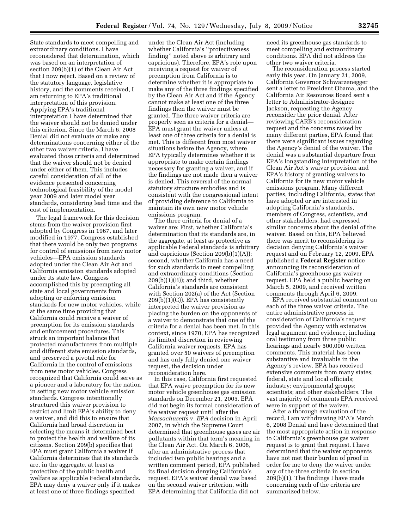State standards to meet compelling and extraordinary conditions. I have reconsidered that determination, which was based on an interpretation of section 209(b)(1) of the Clean Air Act that I now reject. Based on a review of the statutory language, legislative history, and the comments received, I am returning to EPA's traditional interpretation of this provision. Applying EPA's traditional interpretation I have determined that the waiver should not be denied under this criterion. Since the March 6, 2008 Denial did not evaluate or make any determinations concerning either of the other two waiver criteria, I have evaluated those criteria and determined that the waiver should not be denied under either of them. This includes careful consideration of all of the evidence presented concerning technological feasibility of the model year 2009 and later model year standards, considering lead time and the cost of implementation.

The legal framework for this decision stems from the waiver provision first adopted by Congress in 1967, and later modified in 1977. Congress established that there would be only two programs for control of emissions from new motor vehicles—EPA emission standards adopted under the Clean Air Act and California emission standards adopted under its state law. Congress accomplished this by preempting all state and local governments from adopting or enforcing emission standards for new motor vehicles, while at the same time providing that California could receive a waiver of preemption for its emission standards and enforcement procedures. This struck an important balance that protected manufacturers from multiple and different state emission standards, and preserved a pivotal role for California in the control of emissions from new motor vehicles. Congress recognized that California could serve as a pioneer and a laboratory for the nation in setting new motor vehicle emission standards. Congress intentionally structured this waiver provision to restrict and limit EPA's ability to deny a waiver, and did this to ensure that California had broad discretion in selecting the means it determined best to protect the health and welfare of its citizens. Section 209(b) specifies that EPA must grant California a waiver if California determines that its standards are, in the aggregate, at least as protective of the public health and welfare as applicable Federal standards. EPA may deny a waiver only if it makes at least one of three findings specified

under the Clean Air Act (including whether California's ''protectiveness finding'' noted above is arbitrary and capricious). Therefore, EPA's role upon receiving a request for waiver of preemption from California is to determine whether it is appropriate to make any of the three findings specified by the Clean Air Act and if the Agency cannot make at least one of the three findings then the waiver must be granted. The three waiver criteria are properly seen as criteria for a denial— EPA must grant the waiver unless at least one of three criteria for a denial is met. This is different from most waiver situations before the Agency, where EPA typically determines whether it is appropriate to make certain findings necessary for granting a waiver, and if the findings are not made then a waiver is denied. This reversal of the normal statutory structure embodies and is consistent with the congressional intent of providing deference to California to maintain its own new motor vehicle emissions program.

The three criteria for denial of a waiver are: First, whether California's determination that its standards are, in the aggregate, at least as protective as applicable Federal standards is arbitrary and capricious (Section 209(b)(1)(A)); second, whether California has a need for such standards to meet compelling and extraordinary conditions (Section  $209(b)(1)(B)$ ; and third, whether California's standards are consistent with Section 202(a) of the Act (Section 209(b)(1)(C)). EPA has consistently interpreted the waiver provision as placing the burden on the opponents of a waiver to demonstrate that one of the criteria for a denial has been met. In this context, since 1970, EPA has recognized its limited discretion in reviewing California waiver requests. EPA has granted over 50 waivers of preemption and has only fully denied one waiver request, the decision under reconsideration here.

In this case, California first requested that EPA waive preemption for its new motor vehicle greenhouse gas emission standards on December 21, 2005. EPA did not begin its formal consideration of the waiver request until after the *Massachusetts* v. *EPA* decision in April 2007, in which the Supreme Court determined that greenhouse gases are air pollutants within that term's meaning in the Clean Air Act. On March 6, 2008, after an administrative process that included two public hearings and a written comment period, EPA published its final decision denying California's request. EPA's waiver denial was based on the second waiver criterion, with EPA determining that California did not

need its greenhouse gas standards to meet compelling and extraordinary conditions. EPA did not address the other two waiver criteria.

The reconsideration process started early this year. On January 21, 2009, California Governor Schwarzenegger sent a letter to President Obama, and the California Air Resources Board sent a letter to Administrator-designee Jackson, requesting the Agency reconsider the prior denial. After reviewing CARB's reconsideration request and the concerns raised by many different parties, EPA found that there were significant issues regarding the Agency's denial of the waiver. The denial was a substantial departure from EPA's longstanding interpretation of the Clean Air Act's waiver provision and EPA's history of granting waivers to California for its new motor vehicle emissions program. Many different parties, including California, states that have adopted or are interested in adopting California's standards, members of Congress, scientists, and other stakeholders, had expressed similar concerns about the denial of the waiver. Based on this, EPA believed there was merit to reconsidering its decision denying California's waiver request and on February 12, 2009, EPA published a **Federal Register** notice announcing its reconsideration of California's greenhouse gas waiver request. EPA held a public hearing on March 5, 2009, and received written comments through April 6, 2009.

EPA received substantial comment on each of the three waiver criteria. The entire administrative process in consideration of California's request provided the Agency with extensive legal argument and evidence, including oral testimony from three public hearings and nearly 500,000 written comments. This material has been substantive and invaluable in the Agency's review. EPA has received extensive comments from many states; federal, state and local officials; industry; environmental groups; scientists; and other stakeholders. The vast majority of comments EPA received were in support of the waiver.

After a thorough evaluation of the record, I am withdrawing EPA's March 6, 2008 Denial and have determined that the most appropriate action in response to California's greenhouse gas waiver request is to grant that request. I have determined that the waiver opponents have not met their burden of proof in order for me to deny the waiver under any of the three criteria in section 209(b)(1). The findings I have made concerning each of the criteria are summarized below.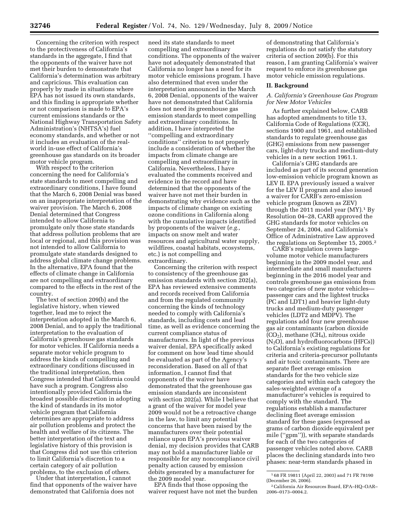Concerning the criterion with respect to the protectiveness of California's standards in the aggregate, I find that the opponents of the waiver have not met their burden to demonstrate that California's determination was arbitrary and capricious. This evaluation can properly by made in situations where EPA has not issued its own standards, and this finding is appropriate whether or not comparison is made to EPA's current emissions standards or the National Highway Transportation Safety Administration's (NHTSA's) fuel economy standards, and whether or not it includes an evaluation of the realworld in-use effect of California's greenhouse gas standards on its broader motor vehicle program.

With respect to the criterion concerning the need for California's state standards to meet compelling and extraordinary conditions, I have found that the March 6, 2008 Denial was based on an inappropriate interpretation of the waiver provision. The March 6, 2008 Denial determined that Congress intended to allow California to promulgate only those state standards that address pollution problems that are local or regional, and this provision was not intended to allow California to promulgate state standards designed to address global climate change problems. In the alternative, EPA found that the effects of climate change in California are not compelling and extraordinary compared to the effects in the rest of the country.

The text of section 209(b) and the legislative history, when viewed together, lead me to reject the interpretation adopted in the March 6, 2008 Denial, and to apply the traditional interpretation to the evaluation of California's greenhouse gas standards for motor vehicles. If California needs a separate motor vehicle program to address the kinds of compelling and extraordinary conditions discussed in the traditional interpretation, then Congress intended that California could have such a program. Congress also intentionally provided California the broadest possible discretion in adopting the kind of standards in its motor vehicle program that California determines are appropriate to address air pollution problems and protect the health and welfare of its citizens. The better interpretation of the text and legislative history of this provision is that Congress did not use this criterion to limit California's discretion to a certain category of air pollution problems, to the exclusion of others.

Under that interpretation, I cannot find that opponents of the waiver have demonstrated that California does not

need its state standards to meet compelling and extraordinary conditions. The opponents of the waiver have not adequately demonstrated that California no longer has a need for its motor vehicle emissions program. I have also determined that even under the interpretation announced in the March 6, 2008 Denial, opponents of the waiver have not demonstrated that California does not need its greenhouse gas emission standards to meet compelling and extraordinary conditions. In addition, I have interpreted the ''compelling and extraordinary conditions'' criterion to not properly include a consideration of whether the impacts from climate change are compelling and extraordinary in California. Nevertheless, I have evaluated the comments received and evidence in the record and have determined that the opponents of the waiver have not met their burden in demonstrating why evidence such as the impacts of climate change on existing ozone conditions in California along with the cumulative impacts identified by proponents of the waiver (*e.g.,*  impacts on snow melt and water resources and agricultural water supply, wildfires, coastal habitats, ecosystems, etc.) is not compelling and extraordinary.

Concerning the criterion with respect to consistency of the greenhouse gas emission standards with section 202(a), EPA has reviewed extensive comments and records received from California and from the regulated community concerning the kinds of technology needed to comply with California's standards, including costs and lead time, as well as evidence concerning the current compliance status of manufacturers. In light of the previous waiver denial, EPA specifically asked for comment on how lead time should be evaluated as part of the Agency's reconsideration. Based on all of that information, I cannot find that opponents of the waiver have demonstrated that the greenhouse gas emission standards are inconsistent with section 202(a). While I believe that a grant of the waiver for model year 2009 would not be a retroactive change in the law, to limit any potential concerns that have been raised by the manufacturers over their potential reliance upon EPA's previous waiver denial, my decision provides that CARB may not hold a manufacturer liable or responsible for any noncompliance civil penalty action caused by emission debits generated by a manufacturer for the 2009 model year.

EPA finds that those opposing the waiver request have not met the burden

of demonstrating that California's regulations do not satisfy the statutory criteria of section 209(b). For this reason, I am granting California's waiver request to enforce its greenhouse gas motor vehicle emission regulations.

#### **II. Background**

# *A. California's Greenhouse Gas Program for New Motor Vehicles*

As further explained below, CARB has adopted amendments to title 13, California Code of Regulations (CCR), sections 1900 and 1961, and established standards to regulate greenhouse gas (GHG) emissions from new passenger cars, light-duty trucks and medium-duty vehicles in a new section 1961.1.

California's GHG standards are included as part of its second generation low-emission vehicle program known as LEV II. EPA previously issued a waiver for the LEV II program and also issued a waiver for CARB's zero-emission vehicle program (known as ZEV) through the 2011 model year  $(MY)$ .<sup>1</sup> By Resolution 04–28, CARB approved the GHG standards for motor vehicles on September 24, 2004, and California's Office of Administrative Law approved the regulations on September 15, 2005.2

CARB's regulation covers largevolume motor vehicle manufacturers beginning in the 2009 model year, and intermediate and small manufacturers beginning in the 2016 model year and controls greenhouse gas emissions from two categories of new motor vehicles passenger cars and the lightest trucks (PC and LDT1) and heavier light-duty trucks and medium-duty passenger vehicles (LDT2 and MDPV). The regulations add four new greenhouse gas air contaminants (carbon dioxide  $(CO<sub>2</sub>)$ , methane  $(CH<sub>4</sub>)$ , nitrous oxide  $(N_2O)$ , and hydrofluorocarbons (HFCs)) to California's existing regulations for criteria and criteria-precursor pollutants and air toxic contaminants. There are separate fleet average emission standards for the two vehicle size categories and within each category the sales-weighted average of a manufacturer's vehicles is required to comply with the standard. The regulations establish a manufacturer declining fleet average emission standard for these gases (expressed as grams of carbon dioxide equivalent per mile (''gpm'')), with separate standards for each of the two categories of passenger vehicles noted above. CARB places the declining standards into two phases: near-term standards phased in

<sup>1</sup> 68 FR 19811 (April 22, 2003) and 71 FR 78190 (December 26, 2006).

<sup>2</sup>California Air Resources Board, EPA–HQ–OAR– 2006–0173–0004.2.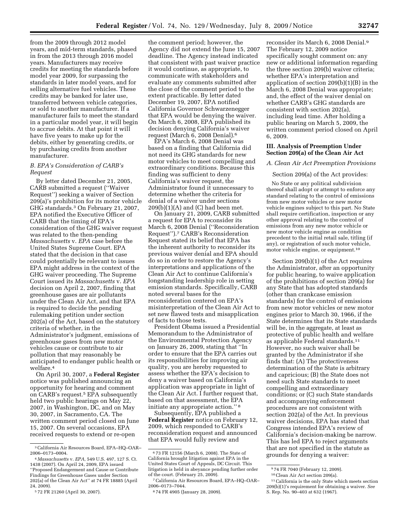from the 2009 through 2012 model years, and mid-term standards, phased in from the 2013 through 2016 model years. Manufacturers may receive credits for meeting the standards before model year 2009, for surpassing the standards in later model years, and for selling alternative fuel vehicles. These credits may be banked for later use, transferred between vehicle categories, or sold to another manufacturer. If a manufacturer fails to meet the standard in a particular model year, it will begin to accrue debits. At that point it will have five years to make up for the debits, either by generating credits, or by purchasing credits from another manufacturer.

#### *B. EPA's Consideration of CARB's Request*

By letter dated December 21, 2005, CARB submitted a request (''Waiver Request'') seeking a waiver of Section 209(a)'s prohibition for its motor vehicle GHG standards.3 On February 21, 2007, EPA notified the Executive Officer of CARB that the timing of EPA's consideration of the GHG waiver request was related to the then-pending *Massachusetts* v. *EPA* case before the United States Supreme Court. EPA stated that the decision in that case could potentially be relevant to issues EPA might address in the context of the GHG waiver proceeding. The Supreme Court issued its *Massachusetts* v. *EPA*  decision on April 2, 2007, finding that greenhouse gases are air pollutants under the Clean Air Act, and that EPA is required to decide the pending rulemaking petition under section 202(a) of the Act, based on the statutory criteria of whether, in the Administrator's judgment, emissions of greenhouse gases from new motor vehicles cause or contribute to air pollution that may reasonably be anticipated to endanger public health or welfare.4

On April 30, 2007, a **Federal Register**  notice was published announcing an opportunity for hearing and comment on CARB's request.5 EPA subsequently held two public hearings on May 22, 2007, in Washington, DC, and on May 30, 2007, in Sacramento, CA. The written comment period closed on June 15, 2007. On several occasions, EPA received requests to extend or re-open

the comment period; however, the Agency did not extend the June 15, 2007 deadline. The Agency instead indicated that consistent with past waiver practice it would continue, as appropriate, to communicate with stakeholders and evaluate any comments submitted after the close of the comment period to the extent practicable. By letter dated December 19, 2007, EPA notified California Governor Schwarzenegger that EPA would be denying the waiver. On March 6, 2008, EPA published its decision denying California's waiver request (March 6, 2008 Denial).6

EPA's March 6, 2008 Denial was based on a finding that California did not need its GHG standards for new motor vehicles to meet compelling and extraordinary conditions. Because this finding was sufficient to deny California's waiver request, the Administrator found it unnecessary to determine whether the criteria for denial of a waiver under sections  $209(b)(1)(A)$  and  $(C)$  had been met.

On January 21, 2009, CARB submitted a request for EPA to reconsider its March 6, 2008 Denial (''Reconsideration Request'').7 CARB's Reconsideration Request stated its belief that EPA has the inherent authority to reconsider its previous waiver denial and EPA should do so in order to restore the Agency's interpretations and applications of the Clean Air Act to continue California's longstanding leadership role in setting emission standards. Specifically, CARB noted several bases for the reconsideration centered on EPA's misinterpretation of the Clean Air Act to set new flawed tests and misapplication of facts to those tests.

President Obama issued a Presidential Memorandum to the Administrator of the Environmental Protection Agency on January 26, 2009, stating that ''In order to ensure that the EPA carries out its responsibilities for improving air quality, you are hereby requested to assess whether the EPA's decision to deny a waiver based on California's application was appropriate in light of the Clean Air Act. I further request that, based on that assessment, the EPA initiate any appropriate action.'' 8

Subsequently, EPA published a **Federal Register** notice on February 12, 2009, which responded to CARB's reconsideration request and announced that EPA would fully review and

reconsider its March 6, 2008 Denial.9 The February 12, 2009 notice specifically sought comment on: any new or additional information regarding the three section 209(b) waiver criteria; whether EPA's interpretation and application of section 209(b)(1)(B) in the March 6, 2008 Denial was appropriate; and, the effect of the waiver denial on whether CARB's GHG standards are consistent with section 202(a), including lead time. After holding a public hearing on March 5, 2009, the written comment period closed on April 6, 2009.

#### **III. Analysis of Preemption Under Section 209(a) of the Clean Air Act**

#### *A. Clean Air Act Preemption Provisions*

# Section 209(a) of the Act provides:

No State or any political subdivision thereof shall adopt or attempt to enforce any standard relating to the control of emissions from new motor vehicles or new motor vehicle engines subject to this part. No State shall require certification, inspection or any other approval relating to the control of emissions from any new motor vehicle or new motor vehicle engine as condition precedent to the initial retail sale, titling (if any), or registration of such motor vehicle, motor vehicle engine, or equipment.10

Section 209(b)(1) of the Act requires the Administrator, after an opportunity for public hearing, to waive application of the prohibitions of section 209(a) for any State that has adopted standards (other than crankcase emission standards) for the control of emissions from new motor vehicles or new motor engines prior to March 30, 1966, if the State determines that its State standards will be, in the aggregate, at least as protective of public health and welfare as applicable Federal standards.11 However, no such waiver shall be granted by the Administrator if she finds that: (A) The protectiveness determination of the State is arbitrary and capricious; (B) the State does not need such State standards to meet compelling and extraordinary conditions; or (C) such State standards and accompanying enforcement procedures are not consistent with section 202(a) of the Act. In previous waiver decisions, EPA has stated that Congress intended EPA's review of California's decision-making be narrow. This has led EPA to reject arguments that are not specified in the statute as grounds for denying a waiver:

<sup>3</sup>California Air Resources Board, EPA–HQ–OAR– 2006–0173–0004.

<sup>4</sup> *Massachusetts* v. *EPA,* 549 U.S. 497, 127 S. Ct. 1438 (2007). On April 24, 2009, EPA issued ''Proposed Endangerment and Cause or Contribute Findings for Greenhouse Gases under Section 202(a) of the Clean Air Act'' at 74 FR 18885 (April 24, 2009).

<sup>5</sup> 72 FR 21260 (April 30, 2007).

<sup>6</sup> 73 FR 12156 (March 6, 2008). The State of California brought litigation against EPA in the United States Court of Appeals, DC Circuit. This litigation is held in abeyance pending further order of the court. (February 25, 2009).

<sup>7</sup>California Air Resources Board, EPA–HQ–OAR– 2006–0173–7044.

<sup>8</sup> 74 FR 4905 (January 28, 2009).

<sup>9</sup> 74 FR 7040 (February 12, 2009).

<sup>10</sup>Clean Air Act section 209(a).

 $^{\rm 11}$  California is the only State which meets section 209(b)(1)'s requirement for obtaining a waiver. *See*  S. Rep. No. 90–403 at 632 (1967).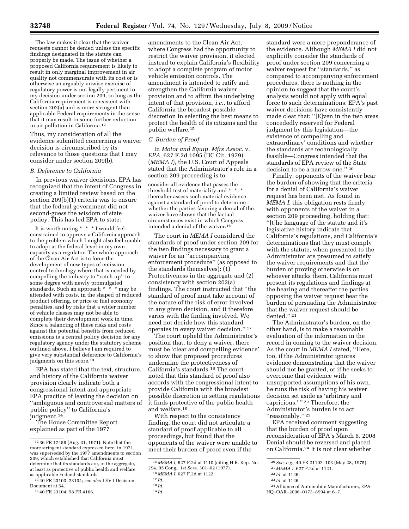The law makes it clear that the waiver requests cannot be denied unless the specific findings designated in the statute can properly be made. The issue of whether a proposed California requirement is likely to result in only marginal improvement in air quality not commensurate with its cost or is otherwise an arguably unwise exercise of regulatory power is not legally pertinent to my decision under section 209, so long as the California requirement is consistent with section 202(a) and is more stringent than applicable Federal requirements in the sense that it may result in some further reduction in air pollution in California.12

Thus, my consideration of all the evidence submitted concerning a waiver decision is circumscribed by its relevance to those questions that I may consider under section 209(b).

#### *B. Deference to California*

In previous waiver decisions, EPA has recognized that the intent of Congress in creating a limited review based on the section 209(b)(1) criteria was to ensure that the federal government did not second-guess the wisdom of state policy. This has led EPA to state:

It is worth noting \* \* \* I would feel constrained to approve a California approach to the problem which I might also feel unable to adopt at the federal level in my own capacity as a regulator. The whole approach of the Clean Air Act is to force the development of new types of emission control technology where that is needed by compelling the industry to ''catch up'' to some degree with newly promulgated standards. Such an approach \* \* \* may be attended with costs, in the shaped of reduced product offering, or price or fuel economy penalties, and by risks that a wider number of vehicle classes may not be able to complete their development work in time. Since a balancing of these risks and costs against the potential benefits from reduced emissions is a central policy decision for any regulatory agency under the statutory scheme outlined above, I believe I am required to give very substantial deference to California's judgments on this score.<sup>13</sup>

EPA has stated that the text, structure, and history of the California waiver provision clearly indicate both a congressional intent and appropriate EPA practice of leaving the decision on ''ambiguous and controversial matters of public policy'' to California's judgment.14

The House Committee Report explained as part of the 1977

amendments to the Clean Air Act, where Congress had the opportunity to restrict the waiver provision, it elected instead to explain California's flexibility to adopt a complete program of motor vehicle emission controls. The amendment is intended to ratify and strengthen the California waiver provision and to affirm the underlying intent of that provision, *i.e.,* to afford California the broadest possible discretion in selecting the best means to protect the health of its citizens and the public welfare.15

#### *C. Burden of Proof*

In *Motor and Equip. Mfrs Assoc.* v. *EPA,* 627 F.2d 1095 (DC Cir. 1979) (*MEMA I*), the U.S. Court of Appeals stated that the Administrator's role in a section 209 proceeding is to:

consider all evidence that passes the threshold test of materiality and \* thereafter assess such material evidence against a standard of proof to determine whether the parties favoring a denial of the waiver have shown that the factual circumstances exist in which Congress intended a denial of the waiver.16

The court in *MEMA I* considered the standards of proof under section 209 for the two findings necessary to grant a waiver for an ''accompanying enforcement procedure'' (as opposed to the standards themselves): (1) Protectiveness in the aggregate and (2) consistency with section 202(a) findings. The court instructed that ''the standard of proof must take account of the nature of the risk of error involved in any given decision, and it therefore varies with the finding involved. We need not decide how this standard operates in every waiver decision.'' 17

The court upheld the Administrator's position that, to deny a waiver, there must be 'clear and compelling evidence' to show that proposed procedures undermine the protectiveness of California's standards.18 The court noted that this standard of proof also accords with the congressional intent to provide California with the broadest possible discretion in setting regulations it finds protective of the public health and welfare.19

With respect to the consistency finding, the court did not articulate a standard of proof applicable to all proceedings, but found that the opponents of the waiver were unable to meet their burden of proof even if the

standard were a mere preponderance of the evidence. Although *MEMA I* did not explicitly consider the standards of proof under section 209 concerning a waiver request for ''standards,'' as compared to accompanying enforcement procedures, there is nothing in the opinion to suggest that the court's analysis would not apply with equal force to such determinations. EPA's past waiver decisions have consistently made clear that: ''[E]ven in the two areas concededly reserved for Federal judgment by this legislation—the existence of compelling and extraordinary' conditions and whether the standards are technologically feasible—Congress intended that the standards of EPA review of the State decision to be a narrow one.'' 20

Finally, opponents of the waiver bear the burden of showing that the criteria for a denial of California's waiver request has been met. As found in *MEMA I,* this obligation rests firmly with opponents of the waiver in a section 209 proceeding, holding that: ''[t]he language of the statute and it's legislative history indicate that California's regulations, and California's determinations that they must comply with the statute, when presented to the Administrator are presumed to satisfy the waiver requirements and that the burden of proving otherwise is on whoever attacks them. California must present its regulations and findings at the hearing and thereafter the parties opposing the waiver request bear the burden of persuading the Administrator that the waiver request should be denied.'' 21

The Administrator's burden, on the other hand, is to make a reasonable evaluation of the information in the record in coming to the waiver decision. As the court in *MEMA I* stated, ''Here, too, if the Administrator ignores evidence demonstrating that the waiver should not be granted, or if he seeks to overcome that evidence with unsupported assumptions of his own, he runs the risk of having his waiver decision set aside as 'arbitrary and capricious.'"<sup>22</sup> Therefore, the Administrator's burden is to act ''reasonably.'' 23

EPA received comment suggesting that the burden of proof upon reconsideration of EPA's March 6, 2008 Denial should be reversed and placed on California.24 It is not clear whether

<sup>12</sup> 36 FR 17458 (Aug. 31, 1971). Note that the more stringent standard expressed here, in 1971, was superseded by the 1977 amendments to section 209, which established that California must determine that its standards are, in the aggregate, at least as protective of public health and welfare as applicable Federal standards.

<sup>13</sup> 40 FR 23103–23104; *see also* LEV I Decision Document at 64.

<sup>14</sup> 40 FR 23104; 58 FR 4166.

<sup>15</sup> *MEMA I,* 627 F.2d at 1110 (citing H.R. Rep. No. 294, 95 Cong., 1st Sess. 301–02 (1977).

<sup>16</sup> *MEMA I,* 627 F.2d at 1122.

<sup>17</sup> *Id.* 

<sup>18</sup> *Id.* 

<sup>19</sup> *Id.* 

<sup>20</sup>*See, e.g.,* 40 FR 21102–103 (May 28, 1975).

<sup>21</sup> *MEMA I,* 627 F.2d at 1121.

<sup>22</sup> *Id.* at 1126.

<sup>23</sup> *Id.* at 1126.

<sup>24</sup>Alliance of Automobile Manufacturers, EPA– HQ–OAR–2006–0173–8994 at 6–7.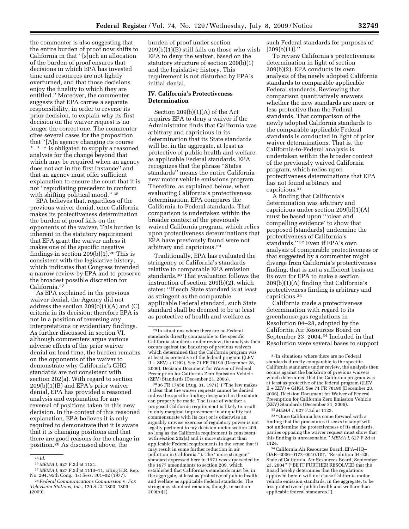the commenter is also suggesting that the entire burden of proof now shifts to California in that ''[s]uch an allocation of the burden of proof ensures that decisions in which EPA has invested time and resources are not lightly overturned, and that those decisions enjoy the finality to which they are entitled.'' Moreover, the commenter suggests that EPA carries a separate responsibility, in order to reverse its prior decision, to explain why its first decision on the waiver request is no longer the correct one. The commenter cites several cases for the proposition that ''[A]n agency changing its course \* \* \* is obligated to supply a reasoned analysis for the change beyond that which may be required when an agency does not act in the first instance'' and that an agency must offer sufficient explanation to ensure the court that it is not ''repudiating precedent to conform with shifting political mood.'' 25

EPA believes that, regardless of the previous waiver denial, once California makes its protectiveness determination the burden of proof falls on the opponents of the waiver. This burden is inherent in the statutory requirement that EPA grant the waiver unless it makes one of the specific negative findings in section  $209(b)(1).^{26}$  This is consistent with the legislative history, which indicates that Congress intended a narrow review by EPA and to preserve the broadest possible discretion for California.27

As EPA explained in the previous waiver denial, the Agency did not address the section 209(b)(1)(A) and (C) criteria in its decision; therefore EPA is not in a position of reversing any interpretations or evidentiary findings. As further discussed in section VI, although commenters argue various adverse effects of the prior waiver denial on lead time, the burden remains on the opponents of the waiver to demonstrate why California's GHG standards are not consistent with section 202(a). With regard to section 209(b)(1)(B) and EPA's prior waiver denial, EPA has provided a reasoned analysis and explanation for any reversal of positions taken in this new decision. In the context of this reasoned explanation, EPA believes it is only required to demonstrate that it is aware that it is changing positions and that there are good reasons for the change in position.28 As discussed above, the

burden of proof under section 209(b)(1)(B) still falls on those who wish EPA to deny the waiver, based on the statutory structure of section 209(b)(1) and the legislative history. This requirement is not disturbed by EPA's initial denial.

### **IV. California's Protectiveness Determination**

Section 209(b)(1)(A) of the Act requires EPA to deny a waiver if the Administrator finds that California was arbitrary and capricious in its determination that its State standards will be, in the aggregate, at least as protective of public health and welfare as applicable Federal standards. EPA recognizes that the phrase ''States standards'' means the entire California new motor vehicle emissions program. Therefore, as explained below, when evaluating California's protectiveness determination, EPA compares the California-to-Federal standards. That comparison is undertaken within the broader context of the previously waived California program, which relies upon protectiveness determinations that EPA have previously found were not arbitrary and capricious.29

Traditionally, EPA has evaluated the stringency of California's standards relative to comparable EPA emission standards.30 That evaluation follows the instruction of section 209(b)(2), which states: ''If each State standard is at least as stringent as the comparable applicable Federal standard, such State standard shall be deemed to be at least as protective of health and welfare as

30 36 FR 17458 (Aug. 31, 1971). (''The law makes it clear that the waiver requests cannot be denied unless the specific finding designated in the statute can properly be made. The issue of whether a proposed California requirement is likely to result in only marginal improvement in air quality not commensurate with its cost or is otherwise an arguably unwise exercise of regulatory power is not legally pertinent to my decision under section 209, so long as the California requirement is consistent with section 202(a) and is more stringent than applicable Federal requirements in the sense that it may result in some further reduction in air pollution in California.''). The ''more stringent'' standard expressed here in 1971 was superseded by the 1977 amendments to section 209, which established that California's standards must be, in the aggregate, at least as protective of public health and welfare as applicable Federal standards. The stringency standard remains, though, in section 209(b)(2).

such Federal standards for purposes of  $[209(b)(1)]$ ."

To review California's protectiveness determination in light of section 209(b)(2), EPA conducts its own analysis of the newly adopted California standards to comparable applicable Federal standards. Reviewing that comparison quantitatively answers whether the new standards are more or less protective than the Federal standards. That comparison of the newly adopted California standards to the comparable applicable Federal standards is conducted in light of prior waiver determinations. That is, the California-to-Federal analysis is undertaken within the broader context of the previously waived California program, which relies upon protectiveness determinations that EPA has not found arbitrary and capricious.31

A finding that California's determination was arbitrary and capricious under section 209(b)(1)(A) must be based upon '''clear and compelling evidence' to show that proposed [standards] undermine the protectiveness of California's standards.'' 32 Even if EPA's own analysis of comparable protectiveness or that suggested by a commenter might diverge from California's protectiveness finding, that is not a sufficient basis on its own for EPA to make a section 209(b)(1)(A) finding that California's protectiveness finding is arbitrary and capricious.33

California made a protectiveness determination with regard to its greenhouse gas regulations in Resolution 04–28, adopted by the California Air Resources Board on September 23, 2004.34 Included in that Resolution were several bases to support

33 ''Once California has come forward with a finding that the procedures it seeks to adopt will not undermine the protectiveness of its standards, parties opposing the waiver request must show that this finding is unreasonable.'' *MEMA I,* 627 F.2d at 1124.

<sup>&</sup>lt;sup>25</sup> *Id.* <br><sup>26</sup> MEMA *I*. 627 F.2d at 1121.

<sup>&</sup>lt;sup>27</sup> *MEMA I*, 627 F.2d at 1110–11, citing H.R. Rep. No. 294, 95th Cong., 1st Sess. 301–02 (1977).

 $28$  Federal Communications Commission v. Fox *Television Stations, Inc.,* 129 S.Ct. 1800, 1809 (2009).

<sup>29</sup> In situations where there are no Federal standards directly comparable to the specific California standards under review, the analysis then occurs against the backdrop of previous waivers which determined that the California program was at least as protective of the federal program ((LEV II + ZEV) + GHG). See 71 FR 78190 (December 28, 2006), Decision Document for Waiver of Federal Preemption for California Zero Emission Vehicle (ZEV) Standards (December 21, 2006).

 $^{\rm 31}$  In situations where there are no Federal standards directly comparable to the specific California standards under review, the analysis then occurs against the backdrop of previous waivers which determined that the California program was at least as protective of the federal program ((LEV II + ZEV) + GHG). See 71 FR 78190 (December 28, 2006), Decision Document for Waiver of Federal Preemption for California Zero Emission Vehicle (ZEV) Standards (December 21, 2006).

<sup>32</sup> *MEMA I,* 627 F.2d at 1122.

<sup>34</sup>California Air Resources Board, EPA–HQ– OAR–2006–0173–0010.107, ''Resolution 04–28, State of California, Air Resources Board, September 23, 2004'' (''BE IT FURTHER RESOLVED that the Board hereby determines that the regulations approved herein will not cause California motor vehicle emission standards, in the aggregate, to be less protective of public health and welfare than applicable federal standards.'').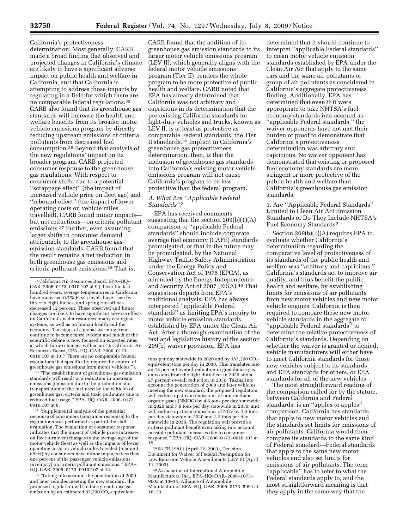California's protectiveness determination. Most generally, CARB made a broad finding that observed and projected changes in California's climate are likely to have a significant adverse impact on public health and welfare in California, and that California is attempting to address those impacts by regulating in a field for which there are no comparable federal regulations.35 CARB also found that its greenhouse gas standards will increase the health and welfare benefits from its broader motor vehicle emissions program by directly reducing upstream emissions of criteria pollutants from decreased fuel consumption.36 Beyond that analysis of the new regulations' impact on its broader program, CARB projected consumer response to the greenhouse gas regulations. With respect to consumer shifts due to a potential ''scrappage effect'' (the impact of increased vehicle price on fleet age) and ''rebound effect'' (the impact of lower operating costs on vehicle miles travelled), CARB found minor impacts but net reductions—on criteria pollutant emissions.37 Further, even assuming larger shifts in consumer demand attributable to the greenhouse gas emission standards, CARB found that the result remains a net reduction in both greenhouse gas emissions and criteria pollutant emissions.38 That is,

36 ''The establishment of greenhouse gas emission standards will result in a reduction in upstream emissions (emission due to the production and transportation of the fuel used by the vehicle) of greenhouse gas, criteria and toxic pollutants due to reduced fuel usage.'' EPA–HQ–OAR–2006–0173– 0010.107 at 8.

37 ''Supplemental analysis of the potential response of consumers (consumer response) to the regulations was performed as part of the staff evaluation. The evaluation of consumer response indicates that the impact of vehicle price increases on fleet turnover (changes to the average age of the motor vehicle fleet) as well as the impacts of lower operating costs on vehicle miles traveled (rebound effect) by consumers have minor impacts (less than one percent of the passenger vehicle emissions inventory) on criteria pollutant emissions.'' EPA– HQ–OAR–2006–0173–0010.107 at 12.

38 ''Taking into account the penetration of 2009 and later vehicles meeting the new standard, the proposed regulation will reduce greenhouse gas emission by an estimated  $87,700$  CO<sub>2</sub>-equivelent

CARB found that the addition of its greenhouse gas emission standards to its larger motor vehicle emissions program (LEV II), which generally aligns with the federal motor vehicle emissions program (Tier II), renders the whole program to be more protective of public health and welfare. CARB noted that EPA has already determined that California was not arbitrary and capricious in its determination that the pre-existing California standards for light-duty vehicles and trucks, known as LEV II, is at least as protective as comparable Federal standards, the Tier II standards.39 Implicit in California's greenhouse gas protectiveness determination, then, is that the inclusion of greenhouse gas standards into California's existing motor vehicle emissions program will not cause California's program to be less protective than the federal program.

# *A. What Are ''Applicable Federal Standards''?*

EPA has received comments suggesting that the section 209(b)(1)(A) comparison to ''applicable Federal standards'' should include corporate average fuel economy (CAFE) standards promulgated, or that in the future may be promulgated, by the National Highway Traffic Safety Administration under the Energy Policy and Conservation Act of 1975 (EPCA), as amended by the Energy Independence and Security Act of 2007 (EISA).40 That suggestion departs from EPA's traditional analysis. EPA has always interpreted ''applicable Federal standards'' as limiting EPA's inquiry to motor vehicle emission standards established by EPA under the Clean Air Act. After a thorough examination of the text and legislative history of the section 209(b) waiver provision, EPA has

39 68 FR 19811 (April 22, 2003), Decision Document for Waiver of Federal Preemption for Low Emission Vehicle Amendments (LEV II) (April 11, 2003).

40Association of International Automobile Manufacturers, Inc., EPA–HQ–OAR–2006–1073– 9005 at 13–14; Alliance of Automobile Manufacturers, EPA–HQ–OAR–2006–0173–8994 at 16–23.

determined that it should continue to interpret ''applicable Federal standards'' to mean motor vehicle emission standards established by EPA under the Clean Air Act that apply to the same cars and the same air pollutants or group of air pollutants as considered in California's aggregate protectiveness finding. Additionally, EPA has determined that even if it were appropriate to take NHTSA's fuel economy standards into account as ''applicable Federal standards,'' the waiver opponents have not met their burden of proof to demonstrate that California's protectiveness determination was arbitrary and capricious. No waiver opponent has demonstrated that existing or proposed fuel economy standards are more stringent or more protective of the public health and welfare than California's greenhouse gas emission standards.

1. Are ''Applicable Federal Standards'' Limited to Clean Air Act Emission Standards or Do They Include NHTSA's Fuel Economy Standards?

Section 209(b)(1)(A) requires EPA to evaluate whether California's determination regarding the comparative level of protectiveness of its standards of the public health and welfare was ''arbitrary and capricious.'' California's standards act to improve air quality, and thus benefit the public health and welfare, by establishing limits for emissions of air pollutants from new motor vehicles and new motor vehicle engines. California is then required to compare these new motor vehicle standards in the aggregate to ''applicable Federal standards'' to determine the relative protectiveness of California's standards. Depending on whether the waiver is granted or denied, vehicle manufacturers will either have to meet California standards for those new vehicles subject to its standards and EPA standards for others, or EPA standards for all of the new vehicles.

The most straightforward reading of the comparison called for by the statute, between California and Federal standards, is an ''apples to apples'' comparison. California has standards that apply to new motor vehicles and the standards set limits for emissions of air pollutants. California would then compare its standards to the same kind of Federal standard—Federal standards that apply to the same new motor vehicles and also set limits for emissions of air pollutants. The term ''applicable'' has to refer to what the Federal standards apply to, and the most straightforward meaning is that they apply in the same way that the

<sup>35</sup>California Air Resources Board, EPA–HQ– OAR–2006–0173–0010.107 at 9 (''Over the last hundred years, average temperatures in California have increased 0.7% F, sea levels have risen by three to eight inches, and spring run-off has decreased 12 percent. These observed and future changes are likely to have significant adverse effects on California's water resources, many ecological systems, as well as on human health and the economy. The signs of a global warming trend continue to become more evident and much of the scientific debate is now focused on expected rates at which future changes will occur.''); California Air Resources Board, EPA–HQ–OAR–2006–0173– 0010.107 at 13 (''There are no comparable federal regulations that specifically require the control of greenhouse gas emissions from motor vehicles.'').

tons per day statewide in 2020 and by  $155,200$   $CO<sub>2</sub>$ equivelent tons per day in 2030. This translates into an 18 percent overall reduction in greenhouse gas emissions from the light duty fleet in 2020 and a 27 percent overall reduction in 2030; Taking into account the penetration of 2009 and later vehicles meeting the new standard, the proposed regulation will reduce upstream emissions of non-methane organic gases (NMOG) by 4.6 tons per day statewide in 2020 and 7.9 tons per day statewide in 2030, and will reduce upstream emissions of  $NO<sub>x</sub>$  by 1.4 tons per day statewide in 2020 and 2.3 tons per day statewide in 2030. The regulation will provide a criteria pollutant benefit even taking into account possible pollutant increases due to consumer response.'' EPA–HQ–OAR–2006–0173–0010.107 at 15.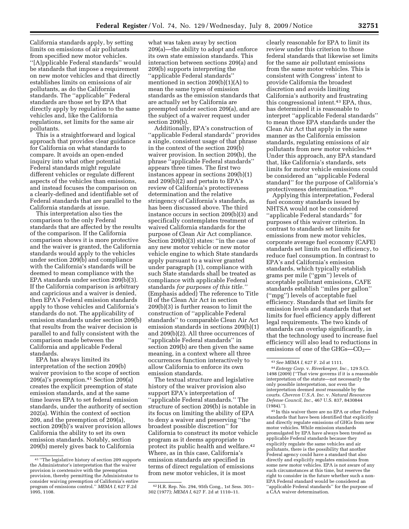California standards apply, by setting limits on emissions of air pollutants from specified new motor vehicles. ''[A]pplicable Federal standards'' would be standards that impose a requirement on new motor vehicles and that directly establishes limits on emissions of air pollutants, as do the California standards. The ''applicable'' Federal standards are those set by EPA that directly apply by regulation to the same vehicles and, like the California regulations, set limits for the same air pollutants.

This is a straightforward and logical approach that provides clear guidance for California on what standards to compare. It avoids an open-ended inquiry into what other potential Federal standards might regulate different vehicles or regulate different aspects of the vehicles than emissions, and instead focuses the comparison on a clearly-defined and identifiable set of Federal standards that are parallel to the California standards at issue.

This interpretation also ties the comparison to the only Federal standards that are affected by the results of the comparison. If the California comparison shows it is more protective and the waiver is granted, the California standards would apply to the vehicles under section 209(b) and compliance with the California's standards will be deemed to mean compliance with the EPA standards under section 209(b)(3). If the California comparison is arbitrary and capricious and a waiver is denied, then EPA's Federal emission standards apply to those vehicles and California's standards do not. The applicability of emission standards under section 209(b) that results from the waiver decision is parallel to and fully consistent with the comparison made between the California and applicable Federal standards.

EPA has always limited its interpretation of the section 209(b) waiver provision to the scope of section 209(a)'s preemption.41 Section 209(a) creates the explicit preemption of state emission standards, and at the same time leaves EPA to set federal emission standards, under the authority of section 202(a). Within the context of section 209, and the preemption of 209(a), section 209(b)'s waiver provision allows California the ability to set its own emission standards. Notably, section 209(b) merely gives back to California

what was taken away by section 209(a)—the ability to adopt and enforce its own state emission standards. This interaction between sections 209(a) and 209(b) supports interpreting the ''applicable Federal standards'' mentioned in section 209(b)(1)(A) to mean the same types of emission standards as the emission standards that are actually set by California are preempted under section 209(a), and are the subject of a waiver request under section 209(b).

Additionally, EPA's construction of ''applicable Federal standards'' provides a single, consistent usage of that phrase in the context of the section 209(b) waiver provision. In section 209(b), the phrase ''applicable Federal standards'' appears three times. The first two instances appear in sections 209(b)(1) and 209(b)(2) and pertain to EPA's review of California's protectiveness determination and the relative stringency of California's standards, as has been discussed above. The third instance occurs in section 209(b)(3) and specifically contemplates treatment of waived California standards for the purpose of Clean Air Act compliance. Section 209(b)(3) states: ''in the case of any new motor vehicle or new motor vehicle engine to which State standards apply pursuant to a waiver granted under paragraph (1), compliance with such State standards shall be treated as compliance with applicable Federal standards *for purposes of this title.''*  (Emphasis added) The reference to Title II of the Clean Air Act in section 209(b)(3) is further reason to limit the construction of ''applicable Federal standards'' to comparable Clean Air Act emission standards in sections 209(b)(1) and 209(b)(2). All three occurrences of ''applicable Federal standards'' in section 209(b) are then given the same meaning, in a context where all three occurrences function interactively to allow California to enforce its own emission standards.

The textual structure and legislative history of the waiver provision also support EPA's interpretation of ''applicable Federal standards.'' The structure of section 209(b) is notable in its focus on limiting the ability of EPA to deny a waiver and preserving ''the broadest possible discretion'' for California to construct its motor vehicle program as it deems appropriate to protect its public health and welfare.42 Where, as in this case, California's emission standards are specified in terms of direct regulation of emissions from new motor vehicles, it is most

42H.R. Rep. No. 294, 95th Cong., 1st Sess. 301– 302 (1977); *MEMA I,* 627 F. 2d at 1110–11.

clearly reasonable for EPA to limit its review under this criterion to those federal standards that likewise set limits for the same air pollutant emissions from the same motor vehicles. This is consistent with Congress' intent to provide California the broadest discretion and avoids limiting California's authority and frustrating this congressional intent.43 EPA, thus, has determined it is reasonable to interpret ''applicable Federal standards'' to mean those EPA standards under the Clean Air Act that apply in the same manner as the California emission standards, regulating emissions of air pollutants from new motor vehicles.44 Under this approach, any EPA standard that, like California's standards, sets limits for motor vehicle emissions could be considered an ''applicable Federal standard'' for the purpose of California's protectiveness determination.45

Applying this interpretation, Federal fuel economy standards issued by NHTSA would not be considered ''applicable Federal standards'' for purposes of this waiver criterion. In contrast to standards set limits for emissions from new motor vehicles, corporate average fuel economy (CAFE) standards set limits on fuel efficiency, to reduce fuel consumption. In contrast to EPA's and California's emission standards, which typically establish grams per mile (''gpm'') levels of acceptable pollutant emissions, CAFE standards establish ''miles per gallon'' (''mpg'') levels of acceptable fuel efficiency. Standards that set limits for emission levels and standards that set limits for fuel efficiency apply different legal requirements. The two kinds of standards can overlap significantly, in that the technology used to increase fuel efficiency will also lead to reductions in emissions of one of the GHGs— $CO<sub>2</sub>$ —

45 In this waiver there are no EPA or other Federal standards that have been identified that explicitly and directly regulate emissions of GHGs from new motor vehicles. While emission standards promulgated by EPA have always been treated as applicable Federal standards because they explicitly regulate the same vehicles and air pollutants, there is the possibility that another Federal agency could have a standard that also directly and explicitly regulates emissions from some new motor vehicles. EPA is not aware of any such circumstances at this time, but reserves the right to consider in the future whether such a non-EPA Federal standard would be considered an ''applicable Federal standards'' for the purpose of a CAA waiver determination.

<sup>41</sup> ''The legislative history of section 209 supports the Administrator's interpretation that the waiver provision is coextensive with the preemption provision, thereby permitting the Administrator to consider waiving preemption of California's entire program of emissions control.'' *MEMA I,* 627 F.2d 1095, 1108.

<sup>43</sup>*See MEMA I,* 627 F. 2d at 1111.

<sup>44</sup>*Entergy Corp.* v. *Riverkeeper, Inc.,* 129 S.Ct. 1498 (2009) (''That view governs if it is a reasonable interpretation of the statute—not necessarily the only possible interpretation, nor even the interpretation deemed *most* reasonable by the courts. *Chevron U.S.A. Inc.* v. *Natural Resources Defense Council, Inc.,* 467 U.S. 837, 8430844  $(1984)$ .").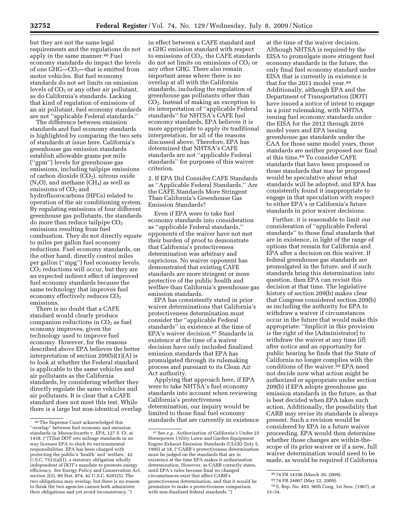but they are not the same legal requirements and the regulations do not apply in the same manner.46 Fuel economy standards do impact the levels of one  $GHG$ — $CO<sub>2</sub>$ —that is emitted from motor vehicles. But fuel economy standards do not set limits on emission levels of  $CO<sub>2</sub>$  or any other air pollutant, as do California's standards. Lacking that kind of regulation of emissions of an air pollutant, fuel economy standards are not ''applicable Federal standards.''

The difference between emission standards and fuel economy standards is highlighted by comparing the two sets of standards at issue here. California's greenhouse gas emission standards establish allowable grams per mile (''gpm'') levels for greenhouse gas emissions, including tailpipe emissions of carbon dioxide  $(CO<sub>2</sub>)$ , nitrous oxide  $(N_2O)$ , and methane  $(CH_4)$  as well as emissions of CO<sub>2</sub> and hydrofluorocarbons (HFCs) related to operation of the air conditioning system. By regulating emissions of four different greenhouse gas pollutants, the standards do more than reduce tailpipe  $CO<sub>2</sub>$ emissions resulting from fuel combustion. They do not directly equate to miles per gallon fuel economy reductions. Fuel economy standards, on the other hand, directly control miles per gallon (''mpg'') fuel economy levels.  $CO<sub>2</sub>$  reductions will occur, but they are an expected indirect effect of improved fuel economy standards because the same technology that improves fuel economy effectively reduces  $CO<sub>2</sub>$ emissions.

There is no doubt that a CAFE standard would clearly produce companion reductions in  $CO<sub>2</sub>$  as fuel economy improves, given the technology used to improve fuel economy. However, for the reasons described above EPA believes the better interpretation of section 209(b)(1)(A) is to look at whether the Federal standard is applicable to the same vehicles and air pollutants as the California standards, by considering whether they directly regulate the same vehicles and air pollutants. It is clear that a CAFE standard does not meet this test. While there is a large but non-identical overlap

in effect between a CAFE standard and a GHG emission standard with respect to emissions of  $CO<sub>2</sub>$ , the CAFE standards do not set limits on emissions of  $CO<sub>2</sub>$  or any other GHG. There also remain important areas where there is no overlap at all with the California standards, including the regulation of greenhouse gas pollutants other than CO2. Instead of making an exception to its interpretation of ''applicable Federal standards'' for NHTSA's CAFE fuel economy standards, EPA believes it is more appropriate to apply its traditional interpretation, for all of the reasons discussed above. Therefore, EPA has determined that NHTSA's CAFE standards are not ''applicable Federal standards'' for purposes of this waiver criterion.

2. If EPA Did Consider CAFE Standards as ''Applicable Federal Standards,'' Are the CAFE Standards More Stringent Than California's Greenhouse Gas Emission Standards?

Even if EPA were to take fuel economy standards into consideration as ''applicable Federal standards,'' opponents of the waiver have not met their burden of proof to demonstrate that California's protectiveness determination was arbitrary and capricious. No waiver opponent has demonstrated that existing CAFE standards are more stringent or more protective of the public health and welfare than California's greenhouse gas emission standards.

EPA has consistently stated in prior waiver determinations that California's protectiveness determination must consider the ''applicable Federal standards'' in existence at the time of EPA's waiver decision.47 Standards in existence at the time of a waiver decision have only included finalized emission standards that EPA has promulgated through its rulemaking process and pursuant to its Clean Air Act authority.

Applying that approach here, if EPA were to take NHTSA's fuel economy standards into account when reviewing California's protectiveness determination, our inquiry would be limited to those final fuel economy standards that are currently in existence

at the time of the waiver decision. Although NHTSA is required by the EISA to promulgate more stringent fuel economy standards in the future, the only final fuel economy standard under EISA that is currently in existence is that for the 2011 model year.<sup>48</sup> Additionally, although EPA and the Department of Transportation (DOT) have issued a notice of intent to engage in a joint rulemaking, with NHTSA issuing fuel economy standards under the EISA for the 2012 through 2016 model years and EPA issuing greenhouse gas standards under the CAA for those same model years, those standards are neither proposed nor final at this time.49 To consider CAFE standards that have been proposed or those standards that may be proposed would be speculative about what standards will be adopted, and EPA has consistently found it inappropriate to engage in that speculation with respect to either EPA's or California's future standards in prior waiver decisions.

Further, it is reasonable to limit our consideration of ''applicable Federal standards'' to those final standards that are in existence, in light of the range of options that remain for California and EPA after a decision on this waiver. If federal greenhouse gas standards are promulgated in the future, and if such standards bring this determination into question, then EPA can revisit this decision at that time. The legislative history of section 209(b) makes clear that Congress considered section 209(b) as including the authority for EPA to withdraw a waiver if circumstances occur in the future that would make this appropriate: ''Implicit in this provision is the right of the [Administrator] to withdraw the waiver at any time [if] after notice and an opportunity for public hearing he finds that the State of California no longer complies with the conditions of the waiver.50 EPA need not decide now what action might be authorized or appropriate under section 209(b) if EPA adopts greenhouse gas emission standards in the future, as that is best decided when EPA takes such action. Additionally, the possibility that CARB may revise its standards is always present. Such a revision would be considered by EPA in a future waiver proceeding. EPA would then determine whether those changes are within-thescope of its prior waiver or if a new, full waiver determination would need to be made, as would be required if California

<sup>46</sup>The Supreme Court acknowledged this ''overlap'' between fuel economy and emission standards in *Massachusetts* v. *EPA,* 127 S. Ct. at 1438. (''[T]hat DOT sets mileage standards in no way licenses EPA to shirk its environmental responsibilities. EPA has been charged with protecting the public's 'health' and 'welfare.' 42 U.S.C.  $7521(a)(1)$ , a statutory obligation wholly independent of DOT's mandate to promote energy efficiency. *See* Energy Policy and Conservation Act, section 2(5), 89 Stat. 874, 42 U.S.C. 6201(5). The two obligations may overlap, but there is no reason to think the two agencies cannot both administer their obligations and yet avoid inconsistency.'')

<sup>47</sup>See *e.g.,* Authorization of California's Under 25 Horsepower Utility Lawn and Garden Equipment Engine Exhaust Emission Standards (ULGE) (July 5, 1995) at 18. (''CARB's protectiveness determination must be judged on the standards that are in existence at the time EPA makes it authorization determination. However, as CARB correctly states, until EPA's rules become final no changed circumstances exist that affect CARB's protectiveness determination, and that it would be premature to make a protectiveness comparison with non-finalized federal standards.'')

<sup>48</sup> 74 FR 14196 (March 30, 2009).

<sup>49</sup> 74 FR 24007 (May 22, 2009).

<sup>50</sup>S. Rep. No. 403, 90th Cong. 1st Sess. (1967), at 33–34.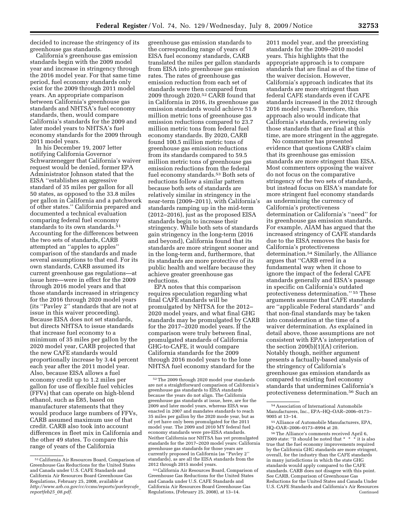decided to increase the stringency of its greenhouse gas standards.

California's greenhouse gas emission standards begin with the 2009 model year and increase in stringency through the 2016 model year. For that same time period, fuel economy standards only exist for the 2009 through 2011 model years. An appropriate comparison between California's greenhouse gas standards and NHTSA's fuel economy standards, then, would compare California's standards for the 2009 and later model years to NHTSA's fuel economy standards for the 2009 through 2011 model years.

In his December 19, 2007 letter notifying California Governor Schwarzenegger that California's waiver request would be denied, former EPA Administrator Johnson stated that the EISA ''establishes an aggressive standard of 35 miles per gallon for all 50 states, as opposed to the 33.8 miles per gallon in California and a patchwork of other states.'' California prepared and documented a technical evaluation comparing federal fuel economy standards to its own standards.51 Accounting for the differences between the two sets of standards, CARB attempted an ''apples to apples'' comparison of the standards and made several assumptions to that end. For its own standards, CARB assumed its current greenhouse gas regulations—at issue here—were in effect for the 2009 through 2016 model years and that those standards increased in stringency for the 2016 through 2020 model years (its ''Pavley 2'' standards that are not at issue in this waiver proceeding). Because EISA does not set standards, but directs NHTSA to issue standards that increase fuel economy to a minimum of 35 miles per gallon by the 2020 model year, CARB projected that the new CAFE standards would proportionally increase by 3.44 percent each year after the 2011 model year. Also, because EISA allows a fuel economy credit up to 1.2 miles per gallon for use of flexible fuel vehicles (FFVs) that can operate on high-blend ethanol, such as E85, based on manufacturer statements that they would produce large numbers of FFVs, CARB assumed maximum use of that credit. CARB also took into account differences in fleet mix in California and the other 49 states. To compare this range of years of the California

greenhouse gas emission standards to the corresponding range of years of EISA fuel economy standards, CARB translated the miles per gallon standards from EISA into greenhouse gas emission rates. The rates of greenhouse gas emission reduction from each set of standards were then compared from 2009 through 2020.52 CARB found that in California in 2016, its greenhouse gas emission standards would achieve 51.9 million metric tons of greenhouse gas emission reductions compared to 23.7 million metric tons from federal fuel economy standards. By 2020, CARB found 100.5 million metric tons of greenhouse gas emission reductions from its standards compared to 59.5 million metric tons of greenhouse gas emission reductions from the federal fuel economy standards.<sup>53</sup> Both sets of reductions follow a similar pattern because both sets of standards are relatively similar in stringency in the near-term (2009–2011), with California's standards ramping up in the mid-term (2012–2016), just as the proposed EISA standards begin to increase their stringency. While both sets of standards gain stringency in the long-term (2016 and beyond), California found that its standards are more stringent sooner and in the long-term and, furthermore, that its standards are more protective of its public health and welfare because they achieve greater greenhouse gas reductions.

EPA notes that this comparison requires speculation regarding what final CAFE standards will be promulgated by NHTSA for the 2012– 2020 model years, and what final GHG standards may be promulgated by CARB for the 2017–2020 model years. If the comparison were truly between final, promulgated standards of California GHG-to-CAFE, it would compare California standards for the 2009 through 2016 model years to the lone NHTSA fuel economy standard for the

53California Air Resources Board, Comparison of Greenhouse Gas Reductions for the United States and Canada under U.S. CAFE Standards and California Air Resources Board Greenhouse Gas Regulations, (February 25, 2008), at 13–14.

2011 model year, and the preexisting standards for the 2009–2010 model years. This highlights that the appropriate approach is to compare standards that are final as of the time of the waiver decision. However, California's approach indicates that its standards are more stringent than federal CAFE standards even if CAFE standards increased in the 2012 through 2016 model years. Therefore, this approach also would indicate that California's standards, reviewing only those standards that are final at this time, are more stringent in the aggregate.

No commenter has presented evidence that questions CARB's claim that its greenhouse gas emission standards are more stringent than EISA. Most commenters opposing the waiver do not focus on the comparative stringency of the two sets of standards, but instead focus on EISA's mandate for more stringent fuel economy standards as undermining the currency of California's protectiveness determination or California's ''need'' for its greenhouse gas emission standards. For example, AIAM has argued that the increased stringency of CAFE standards due to the EISA removes the basis for California's protectiveness determination.54 Similarly, the Alliance argues that ''CARB erred in a fundamental way when it chose to ignore the impact of the federal CAFE standards generally and EISA's passage in specific on California's outdated protectiveness determination.'' 55 These arguments assume that CAFE standards are ''applicable Federal standards'' and that non-final standards may be taken into consideration at the time of a waiver determination. As explained in detail above, those assumptions are not consistent with EPA's interpretation of the section 209(b)(1)(A) criterion. Notably though, neither argument presents a factually-based analysis of the stringency of California's greenhouse gas emission standards as compared to existing fuel economy standards that undermines California's protectiveness determination.56 Such an

56The Alliance's comments received April 6, 2009 state: "It should be noted that \* \* \* it is also true that the fuel economy improvements required by the California GHG standards are more stringent, overall, for the industry than the CAFE standards in many jurisdictions in which the state GHG standards would apply compared to the CAFE standards. CARB does not disagree with this point. See CARB, Comparison of Greenhouse Gas Reductions for the United States and Canada Under U.S. CAFE Standards and California's Air Resources Continued

<sup>51</sup>California Air Resources Board, Comparison of Greenhouse Gas Reductions for the United States and Canada under U.S. CAFE Standards and California Air Resources Board Greenhouse Gas Regulations, February 25, 2008, available at *http://www.arb.ca.gov/cc/ccms/reports/pavleycafe*\_ *reportfeb25*\_*08.pdf.* 

<sup>52</sup>The 2009 through 2020 model year standards are not a straightforward comparison of California's greenhouse gas standards to EISA standards because the years do not align. The California greenhouse gas standards at issue, here, are for the 2009 and later model years, whereas EISA was enacted in 2007 and mandates standards to reach 35 miles per gallon by the 2020 mode year, but as of yet have only been promulgated for the 2011 model year. The 2009 and 2010 MY federal fuel economy standards were pre-EISA standards. Neither California nor NHTSA has yet promulgated standards for the 2017–2020 model years: California greenhouse gas standards for those years are currently proposed in California (as ''Pavley 2'' standards), as are all the EISA standards from the 2012 through 2015 model years.

<sup>54</sup>Association of International Automobile Manufacturers, Inc., EPA–HQ–OAR–2006–0173– 9005 at 13–14.

<sup>55</sup>Alliance of Automobile Manufacturers, EPA, HQ–OAR–2006–0173–8994 at 20.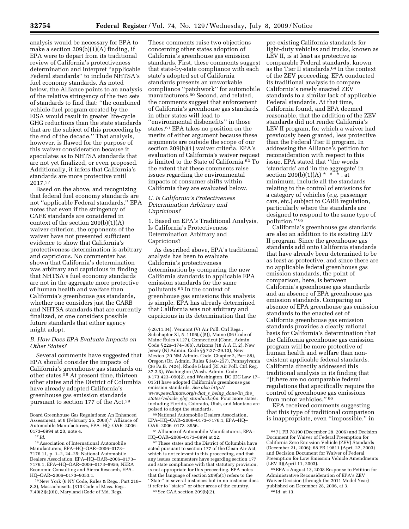analysis would be necessary for EPA to make a section 209(b)(1)(A) finding, if EPA were to depart from its traditional review of California's protectiveness determination and interpret ''applicable Federal standards'' to include NHTSA's fuel economy standards. As noted below, the Alliance points to an analysis of the relative stringency of the two sets of standards to find that: ''the combined vehicle-fuel program created by the EISA would result in greater life-cycle GHG reductions than the state standards that are the subject of this proceeding by the end of the decade.'' That analysis, however, is flawed for the purpose of this waiver consideration because it speculates as to NHTSA standards that are not yet finalized, or even proposed. Additionally, it infers that California's standards are more protective until 2017.57

Based on the above, and recognizing that federal fuel economy standards are not ''applicable Federal standards,'' EPA notes that even if the stringency of CAFE standards are considered in context of the section 209(b)(1)(A) waiver criterion, the opponents of the waiver have not presented sufficient evidence to show that California's protectiveness determination is arbitrary and capricious. No commenter has shown that California's determination was arbitrary and capricious in finding that NHTSA's fuel economy standards are not in the aggregate more protective of human health and welfare than California's greenhouse gas standards, whether one considers just the CARB and NHTSA standards that are currently finalized, or one considers possible future standards that either agency might adopt.

#### *B. How Does EPA Evaluate Impacts on Other States?*

Several comments have suggested that EPA should consider the impacts of California's greenhouse gas standards on other states.58 At present time, thirteen other states and the District of Columbia have already adopted California's greenhouse gas emission standards pursuant to section 177 of the Act.59

These comments raise two objections concerning other states adoption of California's greenhouse gas emission standards. First, these comments suggest that state-by-state compliance with each state's adopted set of California standards presents an unworkable compliance ''patchwork'' for automobile manufacturers.60 Second, and related, the comments suggest that enforcement of California's greenhouse gas standards in other states will lead to ''environmental disbenefits'' in those states.61 EPA takes no position on the merits of either argument because these arguments are outside the scope of our section 209(b)(1) waiver criteria. EPA's evaluation of California's waiver request is limited to the State of California.62 To the extent that these comments raise issues regarding the environmental impacts of consumer shifts within California they are evaluated below.

### *C. Is California's Protectiveness Determination Arbitrary and Capricious?*

1. Based on EPA's Traditional Analysis, Is California's Protectiveness Determination Arbitrary and Capricious?

As described above, EPA's traditional analysis has been to evaluate California's protectiveness determination by comparing the new California standards to applicable EPA emission standards for the same pollutants.63 In the context of greenhouse gas emissions this analysis is simple. EPA has already determined that California was not arbitrary and capricious in its determination that the

60National Automobile Dealers Association, EPA–HQ–OAR–2006–0173–7176.1, EPA–HQ– OAR–2006–0173–8956.

61Alliance of Automobile Manufacturers, EPA– HQ–OAR–2006–0173–8994 at 22.

pre-existing California standards for light-duty vehicles and trucks, known as LEV II, is at least as protective as comparable Federal standards, known as the Tier II standards.64 In the context of the ZEV proceeding, EPA conducted its traditional analysis to compare California's newly enacted ZEV standards to a similar lack of applicable Federal standards. At that time, California found, and EPA deemed reasonable, that the addition of the ZEV standards did not render California's LEV II program, for which a waiver had previously been granted, less protective than the Federal Tier II program. In addressing the Alliance's petition for reconsideration with respect to this issue, EPA stated that ''the words 'standards' and 'in the aggregate' in section 209(b)(1)(A) \* \* \* \* . at minimum, include all the standards relating to the control of emissions for a category of vehicles (*e.g.* passenger cars, etc.) subject to CARB regulation, particularly where the standards are designed to respond to the same type of pollution.'' 65

California's greenhouse gas standards are also an addition to its existing LEV II program. Since the greenhouse gas standards add onto California standards that have already been determined to be as least as protective, and since there are no applicable federal greenhouse gas emission standards, the point of comparison, here, is between California's greenhouse gas standards and an absence of EPA greenhouse gas emission standards. Comparing an absence of EPA greenhouse gas emission standards to the enacted set of California greenhouse gas emission standards provides a clearly rational basis for California's determination that the California greenhouse gas emission program will be more protective of human health and welfare than nonexistent applicable federal standards. California directly addressed this traditional analysis in its finding that ''[t]here are no comparable federal regulations that specifically require the control of greenhouse gas emissions from motor vehicles.'' 66

EPA received comments suggesting that this type of traditional comparison is inappropriate, even ''impossible,'' in

Board Greenhouse Gas Regulations: An Enhanced Assessment, at 8 (February 25, 2008).'' Alliance of Automobile Manufacturers, EPA–HQ–OAR–2006– 0173–8994 at 20, note 4.

<sup>57</sup> *Id.* 

<sup>58</sup>Association of International Automobile Manufacturers, EPA–HQ–OAR–2006–0173– 7176.11, p. 1–2, 24–25; National Automobile Dealers Association, EPA–HQ–OAR–2006–0173– 7176.1, EPA–HQ–OAR–2006–0173–8956; NERA Economic Consulting and Sierra Research, EPA– HQ–OAR–2006–0173–9053.1.

<sup>59</sup>New York (6 NY Code, Rules & Regs., Part 218– 8.3), Massachusetts (310 Code of Mass. Regs. 7.40(2)(a)(6)), Maryland (Code of Md. Regs.

<sup>§ 26.11.34),</sup> Vermont (Vt Air Poll. Ctrl Regs. Subchapter XI, 5-1106(a)(5)), Maine (06 Code of Maine Rules § 127), Connecticut (Conn. Admin. Code § 22a–174–36b), Arizona (18 A.A.C. 2), New Jersey (NJ Admin. Code §§ 7:27–29.13), New Mexico (20 NM Admin. Code, Chapter 2, Part 88), Oregon (Or. Admin. Rules § 340–257), Pennsylvania (36 Pa.B. 7424), Rhode Island (RI Air Poll. Ctrl Reg. 37.2.3), Washington (Wash. Admin. Code § 173.423-090(2), and Washington, DC (DC Law 17-0151) have adopted California's greenhouse gas emission standards. *See also http:// www.pewclimate.org/what*\_*s*\_*being*\_*done/in*\_*the*\_ *states/vehicle*\_*ghg*\_*standard.cfm.* Four more states, including Florida, Colorado, Utah, and Montana are poised to adopt the standards.

<sup>62</sup>These states and the District of Columbia have acted pursuant to section 177 of the Clean Air Act, which is not relevant to this proceeding, and that any issues commenters have regarding section 177 and state compliance with that statutory provision, is not appropriate for this proceeding. EPA notes that the language of section 209(b(1) refers to the "State" in several instances but in no instance does it refer to ''states'' or other areas of the country. 63See CAA section 209(b)(2).

<sup>64</sup> 71 FR 78190 (December 28, 2006) and Decision Document for Waiver of Federal Preemption for California Zero Emission Vehicle (ZEV) Standards (December 21, 2006); 68 FR 19811 (April 22, 2003) and Decision Document for Waiver of Federal Preemption for Low Emission Vehicle Amendments (LEV II)(April 11, 2003).

<sup>65</sup>EPA's August 13, 2008 Response to Petition for Administrative Reconsideration of EPA's ZEV Waiver Decision (through the 2011 Model Year) published on December 28, 2006, at 3. 66 Id. at 13.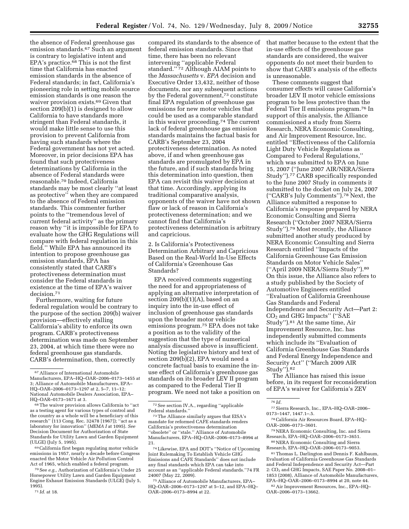the absence of Federal greenhouse gas emission standards.67 Such an argument is contrary to legislative intent and EPA's practice.68 This is not the first time that California has enacted emission standards in the absence of Federal standards; in fact, California's pioneering role in setting mobile source emission standards is one reason the waiver provision exists.69 Given that section 209(b)(1) is designed to allow California to have standards more stringent than Federal standards, it would make little sense to use this provision to prevent California from having such standards where the Federal government has not yet acted. Moreover, in prior decisions EPA has found that such protectiveness determinations by California in the absence of Federal standards were reasonable.70 Indeed, California standards may be most clearly ''at least as protective'' when they are compared to the absence of Federal emission standards. This commenter further points to the ''tremendous level of current federal activity'' as the primary reason why ''it is impossible for EPA to evaluate how the GHG Regulations will compare with federal regulation in this field.'' While EPA has announced its intention to propose greenhouse gas emission standards, EPA has consistently stated that CARB's protectiveness determination must consider the Federal standards in existence at the time of EPA's waiver decision.71

Furthermore, waiting for future federal regulation would be contrary to the purpose of the section 209(b) waiver provision—effectively stalling California's ability to enforce its own program. CARB's protectiveness determination was made on September 23, 2004, at which time there were no federal greenhouse gas standards. CARB's determination, then, correctly

69California first began regulating motor vehicle emissions in 1957, nearly a decade before Congress enacted the Motor Vehicle Air Pollution Control Act of 1965, which enabled a federal program.

70See *e.g.,* Authorization of California's Under 25 Horsepower Utility Lawn and Garden Equipment Engine Exhaust Emission Standards (ULGE) (July 5, 1995).

compared its standards to the absence of federal emission standards. Since that time, there has been no relevant intervening ''applicable Federal standard."<sup>72</sup> Although AIAM points to the *Massachusetts* v. *EPA* decision and Executive Order 13,432, neither of those documents, nor any subsequent actions by the Federal government,73 constitute final EPA regulation of greenhouse gas emissions for new motor vehicles that could be used as a comparable standard in this waiver proceeding.74 The current lack of federal greenhouse gas emission standards maintains the factual basis for CARB's September 23, 2004 protectiveness determination. As noted above, if and when greenhouse gas standards are promulgated by EPA in the future, and if such standards bring this determination into question, then EPA can revisit this waiver decision at that time. Accordingly, applying its traditional comparative analysis, opponents of the waiver have not shown flaw or lack of reason in California's protectiveness determination; and we cannot find that California's protectiveness determination is arbitrary and capricious.

2. Is California's Protectiveness Determination Arbitrary and Capricious Based on the Real-World In-Use Effects of California's Greenhouse Gas Standards?

EPA received comments suggesting the need for and appropriateness of applying an alternative interpretation of section  $209(b)(1)(A)$ , based on an inquiry into the in-use effect of inclusion of greenhouse gas standards upon the broader motor vehicle emissions program.75 EPA does not take a position as to the validity of the suggestion that the type of numerical analysis discussed above is insufficient. Noting the legislative history and text of section 209(b)(2), EPA would need a concrete factual basis to examine the inuse effect of California's greenhouse gas standards on its broader LEV II program as compared to the Federal Tier II program. We need not take a position on that matter because to the extent that the in-use effects of the greenhouse gas standards are considered, the waiver opponents do not meet their burden to show that CARB's analysis of the effects is unreasonable.

These comments suggest that consumer effects will cause California's broader LEV II motor vehicle emissions program to be less protective than the Federal Tier II emissions program.76 In support of this analysis, the Alliance commissioned a study from Sierra Research, NERA Economic Consulting, and Air Improvement Resource, Inc. entitled ''Effectiveness of the California Light Duty Vehicle Regulations as Compared to Federal Regulations,'' which was submitted to EPA on June 15, 2007 (''June 2007 AIR/NERA/Sierra Study'').77 CARB specifically responded to the June 2007 Study in comments it submitted to the docket on July 24, 2007 (''CARB's July Comments'').78 Next, the Alliance submitted a response to California's response prepared by NERA Economic Consulting and Sierra Research (''October 2007 NERA/Sierra Study'').79 Most recently, the Alliance submitted another study produced by NERA Economic Consulting and Sierra Research entitled ''Impacts of the California Greenhouse Gas Emission Standards on Motor Vehicle Sales'' (''April 2009 NERA/Sierra Study'').80 On this issue, the Alliance also refers to a study published by the Society of Automotive Engineers entitled ''Evaluation of California Greenhouse Gas Standards and Federal Independence and Security Act—Part 2: CO2 and GHG Impacts'' (''SAE Study'').81 At the same time, Air Improvement Resource, Inc. has independently submitted comments which include its ''Evaluation of California Greenhouse Gas Standards and Federal Energy Independence and Security Act'' (''March 2009 AIR Study'').82

The Alliance has raised this issue before, in its request for reconsideration of EPA's waiver for California's ZEV

77Sierra Research, Inc., EPA–HQ–OAR–2006– 0173–1447, 1447.1–.5.

78California Air Resources Board, EPA–HQ– OAR–2006–0173–3601.

79NERA Economic Consulting, Inc. and Sierra Research, EPA–HQ–OAR–2006–0173–3651. 80NERA Economic Consulting and Sierra

Research, EPA–HQ–OAR–2006–0173–9053.

81Thomas L. Darlington and Dennis F. Kahlbaum, Evaluation of California Greenhouse Gas Standards and Federal Independence and Security Act—Part 2: CO<sub>2</sub> and GHG Impacts, SAE Paper No. 2008-01-1853 (2008), Alliance of Automobile Manufacturers, EPA–HQ–OAR–2006–0173–8994 at 20, note 44.

82Air Improvement Resources, Inc., EPA–HQ– OAR–2006–0173–13662.

<sup>67</sup>Alliance of International Automobile Manufacturers, EPA–HQ–OAR–2006–0173–1455 at 3; Alliance of Automobile Manufacturers, EPA– HQ–OAR–2006–0173–1297 at 2, 5–7, 11–12; National Automobile Dealers Association, EPA– HQ–OAR–0173–1671 at 3.

<sup>68</sup>The waiver provision allows California to ''act as a testing agent for various types of control and the country as a whole will be a beneficiary of this research'' (113 Cong. Rec. 32478 [1967]); ''act as a laboratory for innovation'' (*MEMA I* at 1095). *See*  Decision Document for Authorization of State Standards for Utility Lawn and Garden Equipment (ULGE) (July 5, 1995).

<sup>71</sup> *Id.* at 18.

<sup>72</sup>See section IV.A., regarding ''applicable Federal standards.''

<sup>73</sup>The Alliance similarly argues that EISA's mandate for reformed CAFE standards renders California's protectiveness determination ''obsolete'' or ''stale.'' Alliance of Automobile Manufacturers, EPA–HQ–OAR–2006–0173–8994 at 21.

<sup>74</sup>Likewise, EPA and DOT's ''Notice of Upcoming Joint Rulemaking To Establish Vehicle GHG Emissions and CAFE Standards'' does not include any final standards which EPA can take into account as an ''applicable Federal standards.''74 FR 24007 (May 22, 2009).

<sup>75</sup>Alliance of Automobile Manufacturers, EPA– HQ–OAR–2006–0173–1297 at 5–12, and EPA–HQ– OAR–2006–0173–8994 at 22.

<sup>76</sup> *Id.*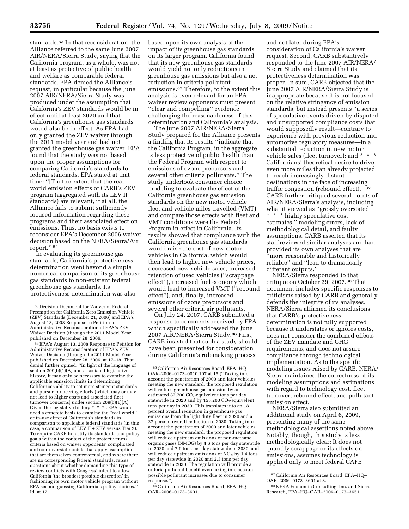standards.<sup>83</sup> In that reconsideration, the Alliance referred to the same June 2007 AIR/NERA/Sierra Study, saying that the California program, as a whole, was not at least as protective of public health and welfare as comparable federal standards. EPA denied the Alliance's request, in particular because the June 2007 AIR/NERA/Sierra Study was produced under the assumption that California's ZEV standards would be in effect until at least 2020 and that California's greenhouse gas standards would also be in effect. As EPA had only granted the ZEV waiver through the 2011 model year and had not granted the greenhouse gas waiver, EPA found that the study was not based upon the proper assumptions for comparing California's standards to federal standards. EPA stated at that time: ''[T]o the extent that the realworld emission effects of CARB's ZEV program (aggregated with its LEV II standards) are relevant, if at all, the Alliance fails to submit sufficiently focused information regarding these programs and their associated effect on emissions. Thus, no basis exists to reconsider EPA's December 2006 waiver decision based on the NERA/Sierra/Air report.'' 84

In evaluating its greenhouse gas standards, California's protectiveness determination went beyond a simple numerical comparison of its greenhouse gas standards to non-existent federal greenhouse gas standards. Its protectiveness determination was also

84EPA's August 13, 2008 Response to Petition for Administrative Reconsideration of EPA's ZEV Waiver Decision (through the 2011 Model Year) published on December 28, 2006, at 17–18. That denial further opined: ''In light of the language of section  $209(b)(1)(A)$  and associated legislative history, it may only be necessary to examine the applicable emission limits in determining California's ability to set more stringent standards and pursue pioneering efforts (which may or may not lead to higher costs and associated fleet turnover concerns) under section 209(b)(1)(A). Given the legislative history  $* * *$ . EPA would need a concrete basis to examine the ''real world'' or in-use effect of California's standards in comparison to applicable federal standards (in this case, a comparison of LEV II + ZEV versus Tier 2). To require CARB to justify its standards and policy goals within the context of the protectiveness criteria based on waiver opponents' complicated and controversial models that apply assumptions that are themselves controversial, and where there are no corresponding federal standards, raises questions about whether demanding this type of review conflicts with Congress' intent to allow California 'the broadest possible discretion' in fashioning its own motor vehicle program without EPA second-guessing California's policy choices.'' Id. at 12.

based upon its own analysis of the impact of its greenhouse gas standards on its larger program. California found that its new greenhouse gas standards would yield not only reductions in greenhouse gas emissions but also a net reduction in criteria pollutant emissions.85 Therefore, to the extent this analysis is even relevant for an EPA waiver review opponents must present ''clear and compelling'' evidence challenging the reasonableness of this determination and California's analysis.

The June 2007 AIR/NERA/Sierra Study prepared for the Alliance presents a finding that its results ''indicate that the California Program, in the aggregate, is less protective of public health than the Federal Program with respect to emissions of ozone precursors and several other criteria pollutants.'' The study undertook consumer choice modeling to evaluate the effect of the California greenhouse gas emission standards on the new motor vehicle fleet and vehicle miles travelled (VMT) and compare those effects with fleet and VMT conditions were the Federal Program in effect in California. Its results showed that compliance with the California greenhouse gas standards would raise the cost of new motor vehicles in California, which would then lead to higher new vehicle prices, decreased new vehicle sales, increased retention of used vehicles (''scrappage effect''), increased fuel economy which would lead to increased VMT (''rebound effect''), and, finally, increased emissions of ozone precursors and several other criteria air pollutants.

On July 24, 2007, CARB submitted a response to comments received by EPA which specifically addressed the June 2007 AIR/NERA/Sierra Study.86 First, CARB insisted that such a study should have been presented for consideration during California's rulemaking process

86California Air Resources Board, EPA–HQ– OAR–2006–0173–3601.

and not later during EPA's consideration of California's waiver request. Second, CARB substantively responded to the June 2007 AIR/NERA/ Sierra Study and claimed that its protectiveness determination was proper. In sum, CARB objected that the June 2007 AIR/NERA/Sierra Study is inappropriate because it is not focused on the relative stringency of emission standards, but instead presents ''a series of speculative events driven by disputed and unsupported compliance costs that would supposedly result—contrary to experience with previous reduction and automotive regulatory measures—in a substantial reduction in new motor vehicle sales (fleet turnover); and \* \* \* Californians' theoretical desire to drive even more miles than already projected to reach increasingly distant destinations in the face of increasing traffic congestion (rebound effect).'' 87 CARB further critiqued several points of AIR/NERA/Sierra's analysis, including what it viewed as ''grossly overstated \* \* \* highly speculative cost estimates,'' modeling errors, lack of methodological detail, and faulty assumptions. CARB asserted that its staff reviewed similar analyses and had provided its own analyses that are ''more reasonable and historically reliable'' and ''lead to dramatically different outputs.''

NERA/Sierra responded to that critique on October 29, 2007.88 That document includes specific responses to criticisms raised by CARB and generally defends the integrity of its analyses. NERA/Sierra affirmed its conclusions that CARB's protectiveness determination is not fully supported because it understates or ignores costs, does not consider the combined effects of the ZEV mandate and GHG requirements, and does not assure compliance through technological implementation. As to the specific modeling issues raised by CARB, NERA/ Sierra maintained the correctness of its modeling assumptions and estimations with regard to technology cost, fleet turnover, rebound effect, and pollutant emission effect.

NERA/Sierra also submitted an additional study on April 6, 2009, presenting many of the same methodological assertions noted above. Notably, though, this study is less methodologically clear: It does not quantify scrappage or its effects on emissions, assumes technology is applied only to meet federal CAFE

<sup>83</sup> Decision Document for Waiver of Federal Preemption for California Zero Emission Vehicle (ZEV) Standards (December 21, 2006) and EPA's August 13, 2008 Response to Petition for Administrative Reconsideration of EPA's ZEV Waiver Decision (through the 2011 Model Year) published on December 28, 2006.

<sup>85</sup>California Air Resources Board, EPA–HQ– OAR–2006–0173–0010.107 at 15 (''Taking into account the penetration of 2009 and later vehicles meeting the new standard, the proposed regulation will reduce greenhouse gas emission by an estimated  $87,700$  CO<sub>2</sub>-equivelent tons per day statewide in 2020 and by 155,200  $CO_2$ -equivelent tons per day in 2030. This translates into an 18 percent overall reduction in greenhouse gas emissions from the light duty fleet in 2020 and a 27 percent overall reduction in 2030; Taking into account the penetration of 2009 and later vehicles meeting the new standard, the proposed regulation will reduce upstream emissions of non-methane organic gases (NMOG) by 4.6 tons per day statewide in 2020 and 7.9 tons per day statewide in 2030, and will reduce upstream emissions of  $NO<sub>x</sub>$  by 1.4 tons per day statewide in 2020 and 2.3 tons per day statewide in 2030. The regulation will provide a criteria pollutant benefit even taking into account possible pollutant increases due to consumer response.'').

<sup>87</sup>California Air Resources Board, EPA–HQ– OAR–2006–0173–3601 at 8.

<sup>88</sup>NERA Economic Consulting, Inc. and Sierra Research, EPA–HQ–OAR–2006–0173–3651.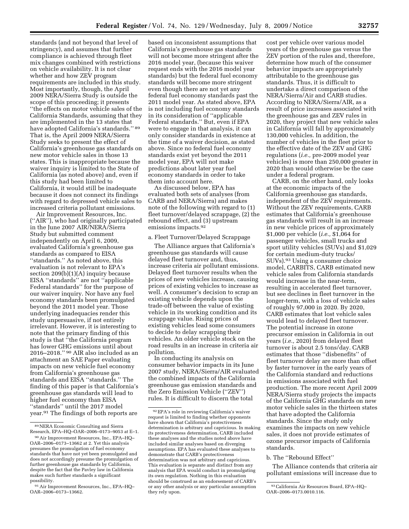standards (and not beyond that level of stringency), and assumes that further compliance is achieved through fleet mix changes combined with restrictions on vehicle availability. It is not clear whether and how ZEV program requirements are included in this study. Most importantly, though, the April 2009 NERA/Sierra Study is outside the scope of this proceeding; it presents ''the effects on motor vehicle sales of the California Standards, assuming that they are implemented in the 13 states that have adopted California's standards.'' 89 That is, the April 2009 NERA/Sierra Study seeks to present the effect of California's greenhouse gas standards on new motor vehicle sales in those 13 states. This is inappropriate because the waiver inquiry is limited to the State of California (as noted above) and, even if this study had been limited to California, it would still be inadequate because it does not connect its findings with regard to depressed vehicle sales to increased criteria pollutant emissions.

Air Improvement Resources, Inc. (''AIR''), who had originally participated in the June 2007 AIR/NERA/Sierra Study but submitted comment independently on April 6, 2009, evaluated California's greenhouse gas standards as compared to EISA "standards." As noted above, this evaluation is not relevant to EPA's section 209(b)(1)(A) inquiry because EISA ''standards'' are not ''applicable Federal standards'' for the purpose of our waiver inquiry. Nor have any fuel economy standards been promulgated beyond the 2011 model year. Those underlying inadequacies render this study unpersuasive, if not entirely irrelevant. However, it is interesting to note that the primary finding of this study is that ''the California program has lower GHG emissions until about 2016–2018.'' 90 AIR also included as an attachment an SAE Paper evaluating impacts on new vehicle fuel economy from California's greenhouse gas standards and EISA ''standards.'' The finding of this paper is that California's greenhouse gas standards will lead to higher fuel economy than EISA ''standards'' until the 2017 model year.91 The findings of both reports are

based on inconsistent assumptions that California's greenhouse gas standards will not become more stringent after the 2016 model year, (because this waiver request ends with the 2016 model year standards) but the federal fuel economy standards will become more stringent even though there are not yet any federal fuel economy standards past the 2011 model year. As stated above, EPA is not including fuel economy standards in its consideration of ''applicable Federal standards.'' But, even if EPA were to engage in that analysis, it can only consider standards in existence at the time of a waiver decision, as stated above. Since no federal fuel economy standards exist yet beyond the 2011 model year, EPA will not make predictions about later year fuel economy standards in order to take them into account here.

As discussed below, EPA has evaluated both sets of analyses (from CARB and NERA/Sierra) and makes note of the following with regard to (1) fleet turnover/delayed scrappage, (2) the rebound effect, and (3) upstream emissions impacts.92

#### a. Fleet Turnover/Delayed Scrappage

The Alliance argues that California's greenhouse gas standards will cause delayed fleet turnover and, thus, increase criteria air pollutant emissions. Delayed fleet turnover results when the prices of new vehicles increase, causing prices of existing vehicles to increase as well. A consumer's decision to scrap an existing vehicle depends upon the trade-off between the value of existing vehicle in its working condition and its scrappage value. Rising prices of existing vehicles lead some consumers to decide to delay scrapping their vehicles. An older vehicle stock on the road results in an increase in criteria air pollution.

In conducting its analysis on consumer behavior impacts in its June 2007 study, NERA/Sierra/AIR evaluated the combined impacts of the California greenhouse gas emission standards and the Zero Emission Vehicle (''ZEV'') rules. It is difficult to discern the total

cost per vehicle over various model years of the greenhouse gas versus the ZEV portion of the rules and, therefore, determine how much of the consumer behavior impacts are appropriately attributable to the greenhouse gas standards. Thus, it is difficult to undertake a direct comparison of the NERA/Sierra/Air and CARB studies. According to NERA/Sierra/AIR, as a result of price increases associated with the greenhouse gas and ZEV rules in 2020, they project that new vehicle sales in California will fall by approximately 130,000 vehicles. In addition, the number of vehicles in the fleet prior to the effective date of the ZEV and GHG regulations (*i.e.,* pre-2009 model year vehicles) is more than 250,000 greater in 2020 than would otherwise be the case under a federal program.

CARB, on the other hand, only looks at the economic impacts of the California greenhouse gas standards, independent of the ZEV requirements. Without the ZEV requirements, CARB estimates that California's greenhouse gas standards will result in an increase in new vehicle prices of approximately \$1,000 per vehicle (*i.e.,* \$1,064 for passenger vehicles, small trucks and sport utility vehicles (SUVs) and \$1,029 for certain medium-duty trucks/ SUVs).93 Using a consumer choice model, CARBITS, CARB estimated new vehicle sales from California standards would increase in the near-term, resulting in accelerated fleet turnover, but see declines in fleet turnover in the longer-term, with a loss of vehicle sales of roughly 97,000 in 2020. By 2020, CARB estimates that lost vehicle sales would lead to delayed fleet turnover. The potential increase in ozone precursor emission in California in out years (*i.e.,* 2020) from delayed fleet turnover is about 2.5 tons/day. CARB estimates that those ''disbenefits'' of fleet turnover delay are more than offset by faster turnover in the early years of the California standard and reductions in emissions associated with fuel production. The more recent April 2009 NERA/Sierra study projects the impacts of the California GHG standards on new motor vehicle sales in the thirteen states that have adopted the California standards. Since the study only examines the impacts on new vehicle sales, it does not provide estimates of ozone precursor impacts of California standards.

#### b. The ''Rebound Effect''

The Alliance contends that criteria air pollutant emissions will increase due to

<sup>89</sup>NERA Economic Consulting and Sierra Research, EPA–HQ–OAR–2006–0173–9053 at E–1.

<sup>90</sup>Air Improvement Resources, Inc., EPA–HQ– OAR–2006–0173–13662 at 2. Yet this analysis presumes the promulgation of fuel economy standards that have not yet been promulgated and does not accordingly presume the promulgation of further greenhouse gas standards by California, despite the fact that the Pavley law in California makes such further standards a significant possibility.

<sup>91</sup>Air Improvement Resources, Inc., EPA–HQ– OAR–2006–0173–13662.

<sup>92</sup>EPA's role in reviewing California's waiver request is limited to finding whether opponents have shown that California's protectiveness determination is arbitrary and capricious. In making its protectiveness determination, CARB included these analyses and the studies noted above have included similar analyses based on diverging assumptions. EPA has evaluated these analyses to demonstrate that CARB's protectiveness determination was not arbitrary and capricious. This evaluation is separate and distinct from any analysis that EPA would conduct in promulgating its own regulation. Nothing in this evaluation should be construed as an endorsement of CARB's or any other analysis or any particular assumption they rely upon.

<sup>93</sup>California Air Resources Board, EPA–HQ– OAR–2006–0173.0010.116.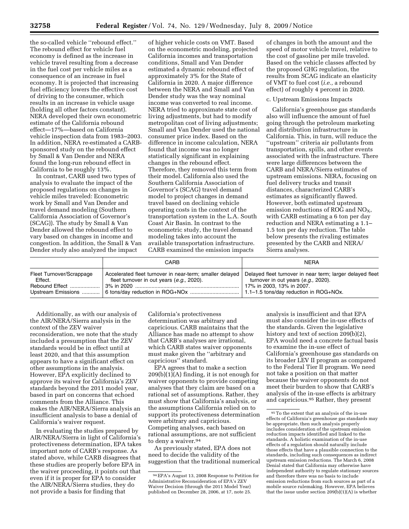the so-called vehicle ''rebound effect.'' The rebound effect for vehicle fuel economy is defined as the increase in vehicle travel resulting from a decrease in the fuel cost per vehicle miles as a consequence of an increase in fuel economy. It is projected that increasing fuel efficiency lowers the effective cost of driving to the consumer, which results in an increase in vehicle usage (holding all other factors constant). NERA developed their own econometric estimate of the California rebound effect—17%—based on California vehicle inspection data from 1983–2003. In addition, NERA re-estimated a CARBsponsored study on the rebound effect by Small & Van Dender and NERA found the long-run rebound effect in California to be roughly 13%.

In contrast, CARB used two types of analysis to evaluate the impact of the proposed regulations on changes in vehicle miles traveled: Econometric work by Small and Van Dender and travel demand modeling (Southern California Association of Governor's (SCAG)). The study by Small & Van Dender allowed the rebound effect to vary based on changes in income and congestion. In addition, the Small & Van Dender study also analyzed the impact

of higher vehicle costs on VMT. Based on the econometric modeling, projected California incomes and transportation conditions, Small and Van Dender estimated a dynamic rebound effect of approximately 3% for the State of California in 2020. A major difference between the NERA and Small and Van Dender study was the way nominal income was converted to real income. NERA tried to approximate state cost of living adjustments, but had to modify metropolitan cost of living adjustments; Small and Van Dender used the national consumer price index. Based on the difference in income calculation, NERA found that income was no longer statistically significant in explaining changes in the rebound effect. Therefore, they removed this term from their model. California also used the Southern California Association of Governor's (SCAG) travel demand model to project changes in demand travel based on declining vehicle operating costs in the context of the transportation system in the L.A. South Coast Air Basin. In contrast to the econometric study, the travel demand modeling takes into account the available transportation infrastructure. CARB examined the emission impacts

of changes in both the amount and the speed of motor vehicle travel, relative to the cost of gasoline per mile traveled. Based on the vehicle classes affected by the proposed GHG regulation, the results from SCAG indicate an elasticity of VMT to fuel cost (*i.e.,* a rebound effect) of roughly 4 percent in 2020.

#### c. Upstream Emissions Impacts

California's greenhouse gas standards also will influence the amount of fuel going through the petroleum marketing and distribution infrastructure in California. This, in turn, will reduce the ''upstream'' criteria air pollutants from transportation, spills, and other events associated with the infrastructure. There were large differences between the CARB and NERA/Sierra estimates of upstream emissions. NERA, focusing on fuel delivery trucks and transit distances, characterized CARB's estimates as significantly flawed. However, both estimated upstream emission reductions of ROG and  $NO<sub>X</sub>$ , with CARB estimating a 6 ton per day reduction and NERA estimating a 1.1– 1.5 ton per day reduction. The table below presents the rivaling estimates presented by the CARB and NERA/ Sierra analyses.

|                                                       | CARB                                                                                                  | <b>NERA</b>                                                                                                                   |
|-------------------------------------------------------|-------------------------------------------------------------------------------------------------------|-------------------------------------------------------------------------------------------------------------------------------|
| Fleet Turnover/Scrappage<br>Effect.<br>Rebound Effect | Accelerated fleet turnover in near-term; smaller delayed<br>fleet turnover in out years (e.g., 2020). | Delayed fleet turnover in near term; larger delayed fleet<br>turnover in out years (e.g., 2020).<br>17% in 2003, 13% in 2007. |

Additionally, as with our analysis of the AIR/NERA/Sierra analysis in the context of the ZEV waiver reconsideration, we note that the study included a presumption that the ZEV standards would be in effect until at least 2020, and that this assumption appears to have a significant effect on other assumptions in the analysis. However, EPA explicitly declined to approve its waiver for California's ZEV standards beyond the 2011 model year, based in part on concerns that echoed comments from the Alliance. This makes the AIR/NERA/Sierra analysis an insufficient analysis to base a denial of California's waiver request.

In evaluating the studies prepared by AIR/NERA/Sierra in light of California's protectiveness determination, EPA takes important note of CARB's response. As stated above, while CARB disagrees that these studies are properly before EPA in the waiver proceeding, it points out that even if it is proper for EPA to consider the AIR/NERA/Sierra studies, they do not provide a basis for finding that

California's protectiveness determination was arbitrary and capricious. CARB maintains that the Alliance has made no attempt to show that CARB's analyses are irrational, which CARB states waiver opponents must make given the ''arbitrary and capricious'' standard.

EPA agrees that to make a section  $209(b)(1)(A)$  finding, it is not enough for waiver opponents to provide competing analyses that they claim are based on a rational set of assumptions. Rather, they must show that California's analysis, or the assumptions California relied on to support its protectiveness determination were arbitrary and capricious. Competing analyses, each based on rational assumptions, are not sufficient to deny a waiver.<sup>94</sup>

As previously stated, EPA does not need to decide the validity of the suggestion that the traditional numerical analysis is insufficient and that EPA must also consider the in-use effects of the standards. Given the legislative history and text of section 209(b)(2), EPA would need a concrete factual basis to examine the in-use effect of California's greenhouse gas standards on its broader LEV II program as compared to the Federal Tier II program. We need not take a position on that matter because the waiver opponents do not meet their burden to show that CARB's analysis of the in-use effects is arbitrary and capricious.95 Rather, they present

<sup>94</sup>EPA's August 13, 2008 Response to Petition for Administrative Reconsideration of EPA's ZEV Waiver Decision (through the 2011 Model Year) published on December 28, 2006, at 17, note 25.

<sup>95</sup>To the extent that an analysis of the in-use effects of California's greenhouse gas standards may be appropriate, then such analysis properly includes consideration of the upstream emission reduction impacts identified and linked to the standards. A holistic examination of the in-use effects of a regulation should naturally include those effects that have a plausible connection to the standards, including such consequences as indirect upstream emission reductions. The March 6, 2008 Denial stated that California may otherwise have independent authority to regulate stationary sources and therefore there was no basis to include emission reductions from such sources as part of a mobile source rulemaking. However, EPA believes that the issue under section 209(b)(1)(A) is whether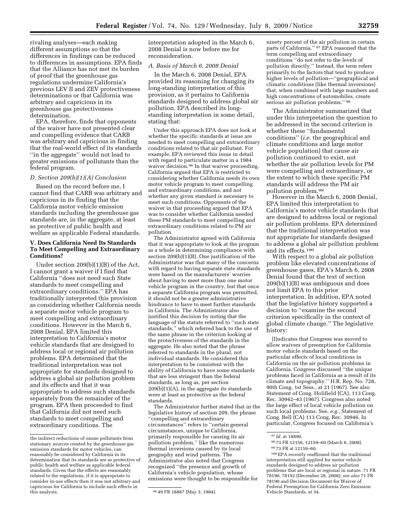rivaling analyses—each making different assumptions so that the differences in findings can be reduced to differences in assumptions. EPA finds that the Alliance has not met its burden of proof that the greenhouse gas regulations undermine California's previous LEV II and ZEV protectiveness determinations or that California was arbitrary and capricious in its greenhouse gas protectiveness determination.

EPA, therefore, finds that opponents of the waiver have not presented clear and compelling evidence that CARB was arbitrary and capricious in finding that the real-world effect of its standards ''in the aggregate'' would not lead to greater emissions of pollutants than the federal program.

#### *D. Section 209(b)(1)(A) Conclusion*

Based on the record before me, I cannot find that CARB was arbitrary and capricious in its finding that the California motor vehicle emission standards including the greenhouse gas standards are, in the aggregate, at least as protective of public health and welfare as applicable Federal standards.

#### **V. Does California Need Its Standards To Meet Compelling and Extraordinary Conditions?**

Under section 209(b)(1)(B) of the Act, I cannot grant a waiver if I find that California ''does not need such State standards to meet compelling and extraordinary conditions.'' EPA has traditionally interpreted this provision as considering whether California needs a separate motor vehicle program to meet compelling and extraordinary conditions. However in the March 6, 2008 Denial, EPA limited this interpretation to California's motor vehicle standards that are designed to address local or regional air pollution problems. EPA determined that the traditional interpretation was not appropriate for standards designed to address a global air pollution problem and its effects and that it was appropriate to address such standards separately from the remainder of the program. EPA then proceeded to find that California did not need such standards to meet compelling and extraordinary conditions. The

interpretation adopted in the March 6, 2008 Denial is now before me for reconsideration.

#### *A. Basis of March 6, 2008 Denial*

In the March 6, 2008 Denial, EPA provided its reasoning for changing its long-standing interpretation of this provision, as it pertains to California standards designed to address global air pollution. EPA described its longstanding interpretation in some detail, stating that:

Under this approach EPA does not look at whether the specific standards at issue are needed to meet compelling and extraordinary conditions related to that air pollutant. For example, EPA reviewed this issue in detail with regard to particulate matter in a 1984 waiver decision.<sup>96</sup> In that waiver proceeding, California argued that EPA is restricted to considering whether California needs its own motor vehicle program to meet compelling and extraordinary conditions, and not whether any given standard is necessary to meet such conditions. Opponents of the waiver in that proceeding argued that EPA was to consider whether California needed these PM standards to meet compelling and extraordinary conditions related to PM air pollution.

The Administrator agreed with California that it was appropriate to look at the program as a whole in determining compliance with section 209(b)(1)(B). One justification of the Administrator was that many of the concerns with regard to having separate state standards were based on the manufacturers' worries about having to meet more than one motor vehicle program in the country, but that once a separate California program was permitted, it should not be a greater administrative hindrance to have to meet further standards in California. The Administrator also justified this decision by noting that the language of the statute referred to ''such state standards,'' which referred back to the use of the same phrase in the criterion looking at the protectiveness of the standards in the aggregate. He also noted that the phrase referred to standards in the plural, not individual standards. He considered this interpretation to be consistent with the ability of California to have some standards that are less stringent than the federal standards, as long as, per section 209(b)(1)(A), in the aggregate its standards were at least as protective as the federal standards.

The Administrator further stated that in the legislative history of section 209, the phrase ''compelling and extraordinary circumstances'' refers to ''certain general circumstances, unique to California, primarily responsible for causing its air pollution problem,'' like the numerous thermal inversions caused by its local geography and wind patterns. The Administrator also noted that Congress recognized ''the presence and growth of California's vehicle population, whose emissions were thought to be responsible for

ninety percent of the air pollution in certain parts of California.'' 97 EPA reasoned that the term compelling and extraordinary conditions ''do not refer to the levels of pollution directly.'' Instead, the term refers primarily to the factors that tend to produce higher levels of pollution—''geographical and climatic conditions (like thermal inversions) that, when combined with large numbers and high concentrations of automobiles, create serious air pollution problems." 98

The Administrator summarized that under this interpretation the question to be addressed in the second criterion is whether these ''fundamental conditions'' (*i.e.* the geographical and climate conditions and large motor vehicle population) that cause air pollution continued to exist, not whether the air pollution levels for PM were compelling and extraordinary, or the extent to which these specific PM standards will address the PM air pollution problem.99

However in the March 6, 2008 Denial, EPA limited this interpretation to California's motor vehicle standards that are designed to address local or regional air pollution problems. EPA determined that the traditional interpretation was not appropriate for standards designed to address a global air pollution problem and its effects.100

With respect to a global air pollution problem like elevated concentrations of greenhouse gases, EPA's March 6, 2008 Denial found that the text of section 209(b)(1)(B) was ambiguous and does not limit EPA to this prior interpretation. In addition, EPA noted that the legislative history supported a decision to ''examine the second criterion specifically in the context of global climate change.'' The legislative history:

[I]ndicates that Congress was moved to allow waivers of preemption for California motor vehicle standards based on the particular effects of local conditions in California on the air pollution problems in California. Congress discussed ''the unique problems faced in California as a result of its climate and topography.'' H.R. Rep. No. 728, 90th Cong. 1st Sess., at 21 (1967). See also Statement of Cong. Holifield (CA), 113 Cong. Rec. 30942–43 (1967). Congress also noted the large effect of local vehicle pollution on such local problems. See, *e.g.,* Statement of Cong. Bell (CA) 113 Cong. Rec. 30946. In particular, Congress focused on California's

99 73 FR at 12159–60.

100EPA recently reaffirmed that the traditional interpretation still applied for motor vehicle standards designed to address air pollution problems that are local or regional in nature. 71 FR 78190, 78192 (December 28, 2008); *see also* 71 FR 78190 and Decision Document for Waiver of Federal Preemption for California Zero Emission Vehicle Standards, at 34.

the indirect reductions of ozone pollutants from stationary sources created by the greenhouse gas emission standards for motor vehicles, can reasonably be considered by California in its determination that its standards are as protective of public health and welfare as applicable federal standards. Given that the effects are reasonably related to the regulations, if it is appropriate to consider in-use effects then it was not arbitrary and capricious for California to include such effects in

<sup>96 49</sup> FR 18887 (May 3, 1984).

<sup>97</sup> *Id.* at 18890.

<sup>98</sup> 73 FR 12156, 12159–60 (March 6, 2008).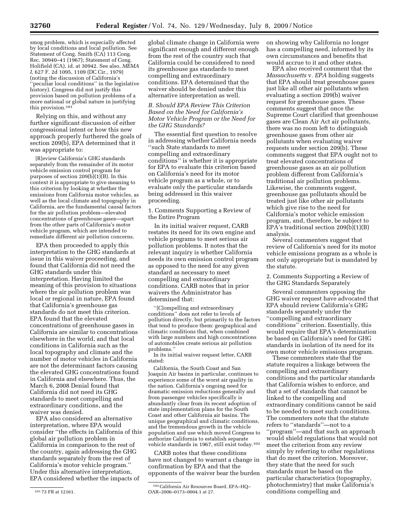smog problem, which is especially affected by local conditions and local pollution. See Statement of Cong. Smith (CA) 113 Cong. Rec. 30940–41 (1967); Statement of Cong. Holifield (CA), id. at 30942. See also, *MEMA I,* 627 F. 2d 1095, 1109 (DC Cir., 1979) (noting the discussion of California's 'peculiar local conditions'' in the legislative history). Congress did not justify this provision based on pollution problems of a more national or global nature in justifying this provision.101

Relying on this, and without any further significant discussion of either congressional intent or how this new approach properly furthered the goals of section 209(b), EPA determined that it was appropriate to:

[R]eview California's GHG standards separately from the remainder of its motor vehicle emission control program for purposes of section  $209(b)(1)(B)$ . In this context it is appropriate to give meaning to this criterion by looking at whether the emissions from California motor vehicles, as well as the local climate and topography in California, are the fundamental causal factors for the air pollution problem—elevated concentrations of greenhouse gases—apart from the other parts of California's motor vehicle program, which are intended to remediate different air pollution concerns.

EPA then proceeded to apply this interpretation to the GHG standards at issue in this waiver proceeding, and found that California did not need the GHG standards under this interpretation. Having limited the meaning of this provision to situations where the air pollution problem was local or regional in nature, EPA found that California's greenhouse gas standards do not meet this criterion. EPA found that the elevated concentrations of greenhouse gases in California are similar to concentrations elsewhere in the world, and that local conditions in California such as the local topography and climate and the number of motor vehicles in California are not the determinant factors causing the elevated GHG concentrations found in California and elsewhere. Thus, the March 6, 2008 Denial found that California did not need its GHG standards to meet compelling and extraordinary conditions, and the waiver was denied.

EPA also considered an alternative interpretation, where EPA would consider ''the effects in California of this global air pollution problem in California in comparison to the rest of the country, again addressing the GHG standards separately from the rest of California's motor vehicle program.'' Under this alternative interpretation, EPA considered whether the impacts of

global climate change in California were significant enough and different enough from the rest of the country such that California could be considered to need its greenhouse gas standards to meet compelling and extraordinary conditions. EPA determined that the waiver should be denied under this alternative interpretation as well.

#### *B. Should EPA Review This Criterion Based on the Need for California's Motor Vehicle Program or the Need for the GHG Standards?*

The essential first question to resolve in addressing whether California needs ''such State standards to meet compelling and extraordinary conditions'' is whether it is appropriate for EPA to evaluate this criterion based on California's need for its motor vehicle program as a whole, or to evaluate only the particular standards being addressed in this waiver proceeding.

1. Comments Supporting a Review of the Entire Program

In its initial waiver request, CARB restates its need for its own engine and vehicle programs to meet serious air pollution problems. It notes that the relevant inquiry is whether California needs its own emission control program as opposed to the need for any given standard as necessary to meet compelling and extraordinary conditions. CARB notes that in prior waivers the Administrator has determined that:

''[C]ompelling and extraordinary conditions'' does not refer to levels of pollution directly, but primarily to the factors that tend to produce them: geographical and climatic conditions that, when combined with large numbers and high concentrations of automobiles create serious air pollution problems.''

In its initial waiver request letter, CARB stated:

California, the South Coast and San Joaquin Air basins in particular, continues to experience some of the worst air quality in the nation. California's ongoing need for dramatic emission reductions generally and from passenger vehicles specifically is abundantly clear from its recent adoption of state implementation plans for the South Coast and other California air basins. The unique geographical and climatic conditions, and the tremendous growth in the vehicle population and use which moved Congress to authorize California to establish separate vehicle standards in 1967, still exist today.102

CARB notes that these conditions have not changed to warrant a change in confirmation by EPA and that the opponents of the waiver bear the burden on showing why California no longer has a compelling need, informed by its own circumstances and benefits that would accrue to it and other states.

EPA also received comment that the *Massachusetts* v*. EPA* holding suggests that EPA should treat greenhouse gases just like all other air pollutants when evaluating a section 209(b) waiver request for greenhouse gases. These comments suggest that once the Supreme Court clarified that greenhouse gases are Clean Air Act air pollutants, there was no room left to distinguish greenhouse gases from other air pollutants when evaluating waiver requests under section 209(b). These comments suggest that EPA ought not to treat elevated concentrations of greenhouse gases as an air pollution problem different from California's traditional air pollution problems. Likewise, the comments suggest, greenhouse gas pollutants should be treated just like other air pollutants which give rise to the need for California's motor vehicle emission program, and, therefore, be subject to EPA's traditional section 209(b)(1)(B) analysis.

Several commenters suggest that review of California's need for its motor vehicle emissions program as a whole is not only appropriate but is mandated by the statute.

2. Comments Supporting a Review of the GHG Standards Separately

Several commenters opposing the GHG waiver request have advocated that EPA should review California's GHG standards separately under the ''compelling and extraordinary conditions'' criterion. Essentially, this would require that EPA's determination be based on California's need for GHG standards in isolation of its need for its own motor vehicle emissions program.

These commenters state that the statute requires a linkage between the compelling and extraordinary conditions and the particular standards that California wishes to enforce, and that a set of standards that cannot be linked to the compelling and extraordinary conditions cannot be said to be needed to meet such conditions. The commenters note that the statute refers to ''standards''—not to a ''program''—and that such an approach would shield regulations that would not meet the criterion from any review simply by referring to other regulations that do meet the criterion. Moreover, they state that the need for such standards must be based on the particular characteristics (topography, photochemistry) that make California's conditions compelling and

<sup>101</sup> 73 FR at 12161.

<sup>102</sup>California Air Resources Board, EPA–HQ– OAR–2006–0173–0004.1 at 27.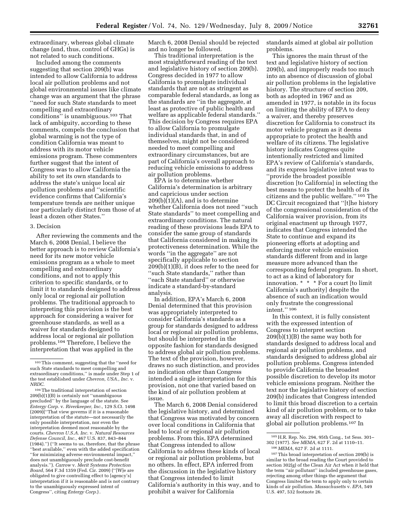extraordinary, whereas global climate change (and, thus, control of GHGs) is not related to such conditions.

Included among the comments suggesting that section 209(b) was intended to allow California to address local air pollution problems and not global environmental issues like climate change was an argument that the phrase ''need for such State standards to meet compelling and extraordinary conditions'' is unambiguous.103 That lack of ambiguity, according to these comments, compels the conclusion that global warming is not the type of condition California was meant to address with its motor vehicle emissions program. These commenters further suggest that the intent of Congress was to allow California the ability to set its own standards to address the state's unique local air pollution problems and ''scientific evidence confirms that California's temperature trends are neither unique nor particularly distinct from those of at least a dozen other States.''

#### 3. Decision

After reviewing the comments and the March 6, 2008 Denial, I believe the better approach is to review California's need for its new motor vehicle emissions program as a whole to meet compelling and extraordinary conditions, and not to apply this criterion to specific standards, or to limit it to standards designed to address only local or regional air pollution problems. The traditional approach to interpreting this provision is the best approach for considering a waiver for greenhouse standards, as well as a waiver for standards designed to address local or regional air pollution problems.104 Therefore, I believe the interpretation that was applied in the

104The traditional interpretation of section 209(b)(1)(B) is certainly not ''unambiguous precluded'' by the language of the statute. See *Entergy Corp.* v. *Riverkeeper, Inc.,* 129 S.Ct. 1498 (2009)(''That view governs if it is a reasonable interpretation of the statute—not necessarily the only possible interpretation, nor even the interpretation deemed most reasonable by the courts. *Chevron U.S.A. Inc.* v. *Natural Resources Defense Council, Inc.,* 467 U.S. 837, 843–844 (1984).'') (''It seems to us, therefore, that the phrase ''best available,'' even with the added specification ''for minimizing adverse environmental impact,'' does not unambiguously preclude cost-benefit analysis.''). *Carrow* v. *Merit Systems Protection Board,* 564 F.3d 1359 (Fed. Cir. 2009) (''[W]e are obligated to give controlling effect to [agency's] interpretation if it is reasonable and is not contrary to the unambiguously expressed intent of Congress'', citing *Entergy Corp.*) .

March 6, 2008 Denial should be rejected and no longer be followed.

This traditional interpretation is the most straightforward reading of the text and legislative history of section 209(b). Congress decided in 1977 to allow California to promulgate individual standards that are not as stringent as comparable federal standards, as long as the standards are ''in the aggregate, at least as protective of public health and welfare as applicable federal standards.'' This decision by Congress requires EPA to allow California to promulgate individual standards that, in and of themselves, might not be considered needed to meet compelling and extraordinary circumstances, but are part of California's overall approach to reducing vehicle emissions to address air pollution problems.

EPA is to determine whether California's determination is arbitrary and capricious under section 209(b)(1)(A), and is to determine whether California does not need ''such State standards'' to meet compelling and extraordinary conditions. The natural reading of these provisions leads EPA to consider the same group of standards that California considered in making its protectiveness determination. While the words ''in the aggregate'' are not specifically applicable to section 209(b)(1)(B), it does refer to the need for ''such State standards,'' rather than ''each State standard'' or otherwise indicate a standard-by-standard analysis.

In addition, EPA's March 6, 2008 Denial determined that this provision was appropriately interpreted to consider California's standards as a group for standards designed to address local or regional air pollution problems, but should be interpreted in the opposite fashion for standards designed to address global air pollution problems. The text of the provision, however, draws no such distinction, and provides no indication other than Congress intended a single interpretation for this provision, not one that varied based on the kind of air pollution problem at issue.

The March 6, 2008 Denial considered the legislative history, and determined that Congress was motivated by concern over local conditions in California that lead to local or regional air pollution problems. From this, EPA determined that Congress intended to allow California to address these kinds of local or regional air pollution problems, but no others. In effect, EPA inferred from the discussion in the legislative history that Congress intended to limit California's authority in this way, and to prohibit a waiver for California

standards aimed at global air pollution problems.

This ignores the main thrust of the text and legislative history of section 209(b), and improperly reads too much into an absence of discussion of global air pollution problems in the legislative history. The structure of section 209, both as adopted in 1967 and as amended in 1977, is notable in its focus on limiting the ability of EPA to deny a waiver, and thereby preserves discretion for California to construct its motor vehicle program as it deems appropriate to protect the health and welfare of its citizens. The legislative history indicates Congress quite intentionally restricted and limited EPA's review of California's standards, and its express legislative intent was to ''provide the broadest possible discretion [to California] in selecting the best means to protect the health of its citizens and the public welfare.'' 105 The DC Circuit recognized that ''[t]he history of the congressional consideration of the California waiver provision, from its original enactment up through 1977, indicates that Congress intended the State to continue and expand its pioneering efforts at adopting and enforcing motor vehicle emission standards different from and in large measure more advanced than the corresponding federal program. In short, to act as a kind of laboratory for innovation. \* \* \* For a court [to limit California's authority] despite the absence of such an indication would only frustrate the congressional intent.'' 106

In this context, it is fully consistent with the expressed intention of Congress to interpret section  $209(b)(1)(B)$  the same way both for standards designed to address local and regional air pollution problems, and standards designed to address global air pollution problems. Congress intended to provide California the broadest possible discretion to develop its motor vehicle emissions program. Neither the text nor the legislative history of section 209(b) indicates that Congress intended to limit this broad discretion to a certain kind of air pollution problem, or to take away all discretion with respect to global air pollution problems.107 In

<sup>103</sup>This comment, suggesting that the ''need for such State standards to meet compelling and extraordinary conditions,'' is made under Step 1 of the test established under *Chevron, USA., Inc.* v. *NRDC.* 

<sup>105</sup>H.R. Rep. No. 294, 95th Cong., 1st Sess. 301– 302 (1977). *See MEMA,* 627 F. 2d at 1110–11. 106 *MEMA,* 627 F. 2d at 1111.

<sup>107</sup>This broad interpretation of section 209(b) is similar to the broad reading the Court provided to section 302(g) of the Clean Air Act when it held that the term ''air pollutant'' included greenhouse gases, rejecting among other things the argument that Congress limited the term to apply only to certain kinds of air pollution. *Massachusetts* v. *EPA,* 549 U.S. 497, 532 footnote 26.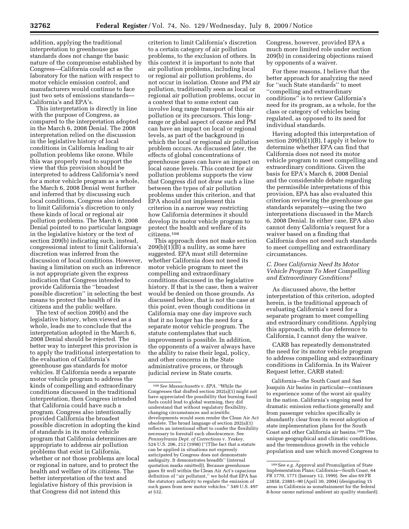addition, applying the traditional interpretation to greenhouse gas standards does not change the basic nature of the compromise established by Congress—California could act as the laboratory for the nation with respect to motor vehicle emission control, and manufacturers would continue to face just two sets of emissions standards— California's and EPA's.

This interpretation is directly in line with the purpose of Congress, as compared to the interpretation adopted in the March 6, 2008 Denial. The 2008 interpretation relied on the discussion in the legislative history of local conditions in California leading to air pollution problems like ozone. While this was properly read to support the view that this provision should be interpreted to address California's need for a motor vehicle program as a whole, the March 6, 2008 Denial went further and inferred that by discussing such local conditions, Congress also intended to limit California's discretion to only these kinds of local or regional air pollution problems. The March 6, 2008 Denial pointed to no particular language in the legislative history or the text of section 209(b) indicating such, instead, congressional intent to limit California's discretion was inferred from the discussion of local conditions. However, basing a limitation on such an inference is not appropriate given the express indication that Congress intended to provide California the ''broadest possible discretion'' in selecting the best means to protect the health of its citizens and the public welfare.

The text of section 209(b) and the legislative history, when viewed as a whole, leads me to conclude that the interpretation adopted in the March 6, 2008 Denial should be rejected. The better way to interpret this provision is to apply the traditional interpretation to the evaluation of California's greenhouse gas standards for motor vehicles. If California needs a separate motor vehicle program to address the kinds of compelling and extraordinary conditions discussed in the traditional interpretation, then Congress intended that California could have such a program. Congress also intentionally provided California the broadest possible discretion in adopting the kind of standards in its motor vehicle program that California determines are appropriate to address air pollution problems that exist in California, whether or not those problems are local or regional in nature, and to protect the health and welfare of its citizens. The better interpretation of the text and legislative history of this provision is that Congress did not intend this

criterion to limit California's discretion to a certain category of air pollution problems, to the exclusion of others. In this context it is important to note that air pollution problems, including local or regional air pollution problems, do not occur in isolation. Ozone and PM air pollution, traditionally seen as local or regional air pollution problems, occur in a context that to some extent can involve long range transport of this air pollution or its precursors. This longrange or global aspect of ozone and PM can have an impact on local or regional levels, as part of the background in which the local or regional air pollution problem occurs. As discussed later, the effects of global concentrations of greenhouse gases can have an impact on local ozone levels. This context for air pollution problems supports the view that Congress did not draw such a line between the types of air pollution problems under this criterion, and that EPA should not implement this criterion in a narrow way restricting how California determines it should develop its motor vehicle program to protect the health and welfare of its citizens.108

This approach does not make section 209(b)(1)(B) a nullity, as some have suggested. EPA must still determine whether California does not need its motor vehicle program to meet the compelling and extraordinary conditions discussed in the legislative history. If that is the case, then a waiver would be denied on those grounds. As discussed below, that is not the case at this point, even though conditions in California may one day improve such that it no longer has the need for a separate motor vehicle program. The statute contemplates that such improvement is possible. In addition, the opponents of a waiver always have the ability to raise their legal, policy, and other concerns in the State administrative process, or through judicial review in State courts.

Congress, however, provided EPA a much more limited role under section 209(b) in considering objections raised by opponents of a waiver.

For these reasons, I believe that the better approach for analyzing the need for ''such State standards'' to meet ''compelling and extraordinary conditions'' is to review California's need for its program, as a whole, for the class or category of vehicles being regulated, as opposed to its need for individual standards.

Having adopted this interpretation of section 209(b)(1)(B), I apply it below to determine whether EPA can find that California does not need its motor vehicle program to meet compelling and extraordinary conditions. Given the basis for EPA's March 6, 2008 Denial and the considerable debate regarding the permissible interpretations of this provision, EPA has also evaluated this criterion reviewing the greenhouse gas standards separately—using the two interpretations discussed in the March 6, 2008 Denial. In either case, EPA also cannot deny California's request for a waiver based on a finding that California does not need such standards to meet compelling and extraordinary circumstances.

## *C. Does California Need Its Motor Vehicle Program To Meet Compelling and Extraordinary Conditions?*

As discussed above, the better interpretation of this criterion, adopted herein, is the traditional approach of evaluating California's need for a separate program to meet compelling and extraordinary conditions. Applying this approach, with due deference to California, I cannot deny the waiver.

CARB has repeatedly demonstrated the need for its motor vehicle program to address compelling and extraordinary conditions in California. In its Waiver Request letter, CARB stated:

California—the South Coast and San Joaquin Air basins in particular—continues to experience some of the worst air quality in the nation. California's ongoing need for dramatic emission reductions generally and from passenger vehicles specifically is abundantly clear from its recent adoption of state implementation plans for the South Coast and other California air basins.109 The unique geographical and climatic conditions, and the tremendous growth in the vehicle population and use which moved Congress to

<sup>108</sup>*See Massachusetts* v. *EPA, ''*While the Congresses that drafted section 202(a)(1) might not have appreciated the possibility that burning fossil fuels could lead to global warming, they did understand that without regulatory flexibility, changing circumstances and scientific developments would soon render the Clean Air Act obsolete. The broad language of section 202(a)(1) reflects an intentional effort to confer the flexibility necessary to forestall such obsolescence. See *Pennsylvania Dept. of Corrections* v. *Yeskey,*  524 U.S. 206, 212 (1998) (''[T]he fact that a statute can be applied in situations not expressly anticipated by Congress does not demonstrate ambiguity. It demonstrates breadth'' (internal quotation marks omitted)). Because greenhouse gases fit well within the Clean Air Act's capacious definition of ''air pollutant,'' we hold that EPA has the statutory authority to regulate the emission of such gases from new motor vehicles.'' 549 U.S. 497 at 532.

<sup>109</sup>See *e.g.* Approval and Promulgation of State Implementation Plans; California—South Coast, 64 FR 1770, 1771 (January 12, 1999). See also 69 FR 23858, 23881–90 (April 30, 2004) (designating 15 areas in California as nonattainment for the federal 8-hour ozone national ambient air quality standard).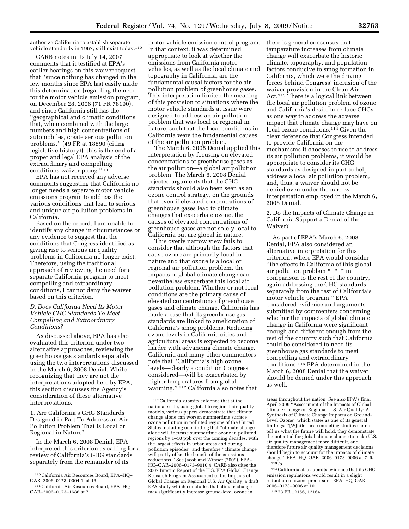authorize California to establish separate vehicle standards in 1967, still exist today.110

CARB notes in its July 14, 2007 comments that it testified at EPA's earlier hearings on this waiver request that ''since nothing has changed in the few months since EPA last easily made this determination [regarding the need for the motor vehicle emission program] on December 28, 2006 (71 FR 78190), and since California still has the ''geographical and climatic conditions that, when combined with the large numbers and high concentrations of automobiles, create serious pollution problems,'' (49 FR at 18890 (citing legislative history)), this is the end of a proper and legal EPA analysis of the extraordinary and compelling conditions waiver prong.'' 111

EPA has not received any adverse comments suggesting that California no longer needs a separate motor vehicle emissions program to address the various conditions that lead to serious and unique air pollution problems in California.

Based on the record, I am unable to identify any change in circumstances or any evidence to suggest that the conditions that Congress identified as giving rise to serious air quality problems in California no longer exist. Therefore, using the traditional approach of reviewing the need for a separate California program to meet compelling and extraordinary conditions, I cannot deny the waiver based on this criterion.

### *D. Does California Need Its Motor Vehicle GHG Standards To Meet Compelling and Extraordinary Conditions?*

As discussed above, EPA has also evaluated this criterion under two alternative approaches, reviewing the greenhouse gas standards separately using the two interpretations discussed in the March 6, 2008 Denial. While recognizing that they are not the interpretations adopted here by EPA, this section discusses the Agency's consideration of these alternative interpretations.

1. Are California's GHG Standards Designed in Part To Address an Air Pollution Problem That Is Local or Regional in Nature?

In the March 6, 2008 Denial, EPA interpreted this criterion as calling for a review of California's GHG standards separately from the remainder of its

motor vehicle emission control program. In that context, it was determined appropriate to look at whether the emissions from California motor vehicles, as well as the local climate and topography in California, are the fundamental causal factors for the air pollution problem of greenhouse gases. This interpretation limited the meaning of this provision to situations where the motor vehicle standards at issue were designed to address an air pollution problem that was local or regional in nature, such that the local conditions in California were the fundamental causes of the air pollution problem.

The March 6, 2008 Denial applied this interpretation by focusing on elevated concentrations of greenhouse gases as the air pollution—a global air pollution problem. The March 6, 2008 Denial rejected arguments that the GHG standards should also been seen as an ozone control strategy, on the grounds that even if elevated concentrations of greenhouse gases lead to climate changes that exacerbate ozone, the causes of elevated concentrations of greenhouse gases are not solely local to California but are global in nature.

This overly narrow view fails to consider that although the factors that cause ozone are primarily local in nature and that ozone is a local or regional air pollution problem, the impacts of global climate change can nevertheless exacerbate this local air pollution problem. Whether or not local conditions are the primary cause of elevated concentrations of greenhouse gases and climate change, California has made a case that its greenhouse gas standards are linked to amelioration of California's smog problems. Reducing ozone levels in California cities and agricultural areas is expected to become harder with advancing climate change. California and many other commenters note that ''California's high ozone levels—clearly a condition Congress considered—will be exacerbated by higher temperatures from global warming.'' 112 California also notes that

there is general consensus that temperature increases from climate change will exacerbate the historic climate, topography, and population factors conducive to smog formation in California, which were the driving forces behind Congress' inclusion of the waiver provision in the Clean Air Act.113 There is a logical link between the local air pollution problem of ozone and California's desire to reduce GHGs as one way to address the adverse impact that climate change may have on local ozone conditions.<sup>114</sup> Given the clear deference that Congress intended to provide California on the mechanisms it chooses to use to address its air pollution problems, it would be appropriate to consider its GHG standards as designed in part to help address a local air pollution problem, and, thus, a waiver should not be denied even under the narrow interpretation employed in the March 6, 2008 Denial.

2. Do the Impacts of Climate Change in California Support a Denial of the Waiver?

As part of EPA's March 6, 2008 Denial, EPA also considered an alternative interpretation for this criterion, where EPA would consider ''the effects in California of this global air pollution problem \* \* \* in comparison to the rest of the country, again addressing the GHG standards separately from the rest of California's motor vehicle program.'' EPA considered evidence and arguments submitted by commenters concerning whether the impacts of global climate change in California were significant enough and different enough from the rest of the country such that California could be considered to need its greenhouse gas standards to meet compelling and extraordinary conditions.115 EPA determined in the March 6, 2008 Denial that the waiver should be denied under this approach as well.

114California also submits evidence that its GHG emission regulations would result in a slight reduction of ozone precursors. EPA–HQ–OAR– 2006–0173–9006 at 10.

115 73 FR 12156, 12164.

<sup>110</sup>California Air Resources Board, EPA–HQ– OAR–2006–0173–0004.1, at 16.

<sup>111</sup>California Air Resources Board, EPA–HQ– OAR–2006–0173–1686 at 7.

<sup>112</sup>California submits evidence that at the national scale, using global to regional air quality models, various papers demonstrate that climate change alone can worsen summertime surface ozone pollution in polluted regions of the United States including one finding that ''climate change alone will increase summertime ozone in polluted regions by 1–10 ppb over the coming decades, with the largest effects in urban areas and during pollution episodes'' and therefore ''climate change will partly offset the benefit of the emissions reductions.'' See Jacob and Winner (2009), EPA– HQ–OAR–2006–0173–9010.4. CARB also cites the 2007 Interim Report of the U.S. EPA Global Change Research Program Assessment of the Impacts of Global Change on Regional U.S. Air Quality, a draft EPA study which concludes that climate change may significantly increase ground-level ozone in

areas throughout the nation. See also EPA's final April 2009 ''Assessment of the Impacts of Global Climate Change on Regional U.S. Air Quality: A Synthesis of Climate Change Impacts on Ground-Level Ozone'' which states as one of its general findings: ''[W]hile these modeling studies cannot tell us what the future will hold, they demonstrate the potential for global climate change to make U.S. air quality management more difficult, and therefore future air quality management decisions should begin to account for the impacts of climate change.'' EPA–HQ–OAR–2006–0173–9006 at 7–9. 113 *Id.*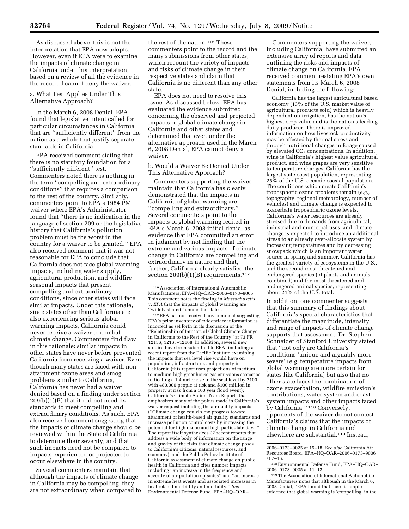As discussed above, this is not the interpretation that EPA now adopts. However, even if EPA were to examine the impacts of climate change in California under this interpretation, based on a review of all the evidence in the record, I cannot deny the waiver.

a. What Test Applies Under This Alternative Approach?

In the March 6, 2008 Denial, EPA found that legislative intent called for particular circumstances in California that are ''sufficiently different'' from the nation as a whole that justify separate standards in California.

EPA received comment stating that there is no statutory foundation for a ''sufficiently different'' test. Commenters noted there is nothing in the term ''compelling and extraordinary conditions'' that requires a comparison to the rest of the country. Similarly, commenters point to EPA's 1984 PM waiver where EPA's Administrator found that ''there is no indication in the language of section 209 or the legislative history that California's pollution problem must be the worst in the country for a waiver to be granted.'' EPA also received comment that it was not reasonable for EPA to conclude that California does not face global warming impacts, including water supply, agricultural production, and wildfire seasonal impacts that present compelling and extraordinary conditions, since other states will face similar impacts. Under this rationale, since states other than California are also experiencing serious global warming impacts, California could never receive a waiver to combat climate change. Commenters find flaw in this rationale: similar impacts in other states have never before prevented California from receiving a waiver. Even though many states are faced with nonattainment ozone areas and smog problems similar to California, California has never had a waiver denied based on a finding under section 209(b)(1)(B) that it did not need its standards to meet compelling and extraordinary conditions. As such, EPA also received comment suggesting that the impacts of climate change should be reviewed within the State of California to determine their severity, and that such impacts need not be compared to impacts experienced or projected to occur elsewhere in the country.

Several commenters maintain that although the impacts of climate change in California may be compelling, they are not extraordinary when compared to

the rest of the nation.116 These commenters point to the record and the many submissions from other states, which recount the variety of impacts and risks of climate change in their respective states and claim that California is no different than any other state.

EPA does not need to resolve this issue. As discussed below, EPA has evaluated the evidence submitted concerning the observed and projected impacts of global climate change in California and other states and determined that even under the alternative approach used in the March 6, 2008 Denial, EPA cannot deny a waiver.

b. Would a Waiver Be Denied Under This Alternative Approach?

Commenters supporting the waiver maintain that California has clearly demonstrated that the impacts in California of global warming are ''compelling and extraordinary.'' Several commenters point to the impacts of global warming recited in EPA's March 6, 2008 initial denial as evidence that EPA committed an error in judgment by not finding that the extreme and various impacts of climate change in California are compelling and extraordinary in nature and that, further, California clearly satisfied the section  $209(b)(1)(B)$  requirements.<sup>117</sup>

117EPA has not received any comment suggesting EPA's prior inventory of evidentiary information is incorrect as set forth in its discussion of the ''Relationship of Impacts of Global Climate Change in California to the Rest of the Country'' at 73 FR 12156, 12163–12168. In addition, several new studies have been submitted to EPA, including: a recent report from the Pacific Institute examining the impacts that sea level rise would have on population, infrastructure, and property in California (this report uses projections of medium to medium-high greenhouse gas emissions scenarios indicating a 1.4 meter rise in the seal level by 2100 with 480,000 people at risk and \$100 million in property at risk from a 100 year flood event); California's Climate Action Team Reports that emphasizes many of the points made in California's waiver request including the air quality impacts (''Climate change could slow progress toward attainment of health-based air quality standards and increase pollution control costs by increasing the potential for high ozone and high particulate days.'' The report itself synthesizes 37 recent reports that address a wide body of information on the range and gravity of the risks that climate change poses to California's citizens, natural resources, and economy); and the Public Policy Institute of California assessment of climate change on public health in California and cites number impacts including ''an increase in the frequency and severity of air pollution episodes'' and ''an increase in extreme heat events and associated increases in heat related morbidity and mortality.'' *See*  Environmental Defense Fund, EPA–HQ–OAR–

Commenters supporting the waiver, including California, have submitted an extensive array of reports and data outlining the risks and impacts of climate change on California. EPA received comment restating EPA's own statements from its March 6, 2008 Denial, including the following:

California has the largest agricultural based economy (13% of the U.S. market value of agricultural products sold) which is heavily dependent on irrigation, has the nation's highest crop value and is the nation's leading dairy producer. There is improved information on how livestock productivity may be affected by thermal stress and through nutritional changes in forage caused by elevated CO<sub>2</sub> concentrations. In addition, wine is California's highest value agricultural product, and wine grapes are very sensitive to temperature changes. California has the largest state coast population, representing 25% of the U.S. oceanic coastal population. The conditions which create California's tropospheric ozone problems remain (*e.g.,*  topography, regional meteorology, number of vehicles) and climate change is expected to exacerbate tropospheric ozone levels. California's water resources are already stressed due to demands from agricultural, industrial and municipal uses, and climate change is expected to introduce an additional stress to an already over-allocate system by increasing temperatures and by decreasing snowpack which is an important water source in spring and summer. California has the greatest variety of ecosystems in the U.S., and the second most threatened and endangered species (of plants and animals combined) and the most threatened and endangered animal species, representing about 21% of the U.S. total.

In addition, one commenter suggests that this summary of findings about California's special characteristics that differentiate the magnitude, intensity and range of impacts of climate change supports that assessment. Dr. Stephen Schneider of Stanford University stated that ''not only are California's conditions 'unique and arguably more severe' (*e.g.* temperature impacts from global warming are more certain for states like California) but also that no other state faces the combination of ozone exacerbation, wildfire emission's contributions, water system and coast system impacts and other impacts faced by California.'' 118 Conversely, opponents of the waiver do not contest California's claims that the impacts of climate change in California and elsewhere are substantial.119 Instead,

119The Association of International Automobile Manufacturers notes that although in the March 6, 2008 Denial, ''EPA found that there is ample evidence that global warming is 'compelling' in the

 $^{\rm 116}$  Association of International Automobile Manufacturers, EPA–HQ–OAR–2006–0173–9005. This comment notes the finding in *Massachusetts*  v. *EPA* that the impacts of global warming are ''widely shared'' among the states.

<sup>2006–0173–9025</sup> at 15–18; *See also* California Air Resources Board, EPA–HQ–OAR–2006–0173–9006 at 7–16.

<sup>118</sup>Environmental Defense Fund, EPA–HQ–OAR– 2006–0173–9025 at 11–12.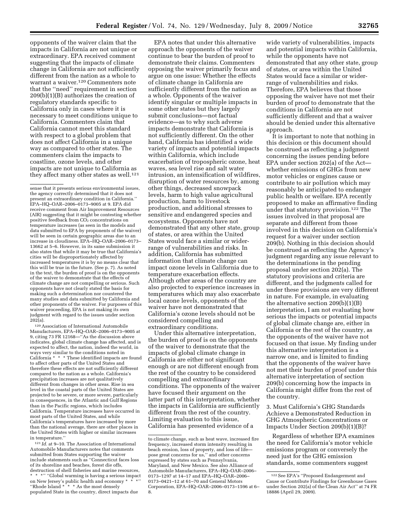opponents of the waiver claim that the impacts in California are not unique or extraordinary. EPA received comment suggesting that the impacts of climate change in California are not sufficiently different from the nation as a whole to warrant a waiver.120 Commenters note that the ''need'' requirement in section 209(b)(1)(B) authorizes the creation of regulatory standards specific to California only in cases where it is necessary to meet conditions unique to California. Commenters claim that California cannot meet this standard with respect to a global problem that does not affect California in a unique way as compared to other states. The commenters claim the impacts to coastline, ozone levels, and other impacts are not unique to California as they affect many other states as well.<sup>121</sup>

120Association of International Automobile Manufacturers, EPA–HQ–OAR–2006–0173–9005 at 9, citing 73 FR 12168—''As the discussion above indicates, global climate change has affected, and is expected to affect, the nation, indeed the world, in ways very similar to the conditions noted in California \* \* \* These identified impacts are found to affect other parts of the United States and therefore these effects are not sufficiently different compared to the nation as a whole. California's precipitation increases are not qualitatively different from changes in other areas. Rise in sea level in the coastal parts of the United States are projected to be severe, or more severe, particularly in consequences, in the Atlantic and Gulf Regions than in the Pacific regions, which includes California. Temperature increases have occurred in most parts of the United States, and while California's temperatures have increased by more than the national average, there are other places in the United States with higher or similar increases in temperature.''

121 *Id.* at 9–10. The Association of International Automobile Manufacturers notes that comments submitted from States supporting the waiver include statements such as ''Connecticut faces loss of its shoreline and beaches, forest die offs, destruction of shell fisheries and marine resources, \* \* \*'' ''Global warming is having a serious impact on New Jersey's public health and economy \* \* \*'' ''Rhode Island \* \* \* As the most densely populated State in the country, direct impacts due

EPA notes that under this alternative approach the opponents of the waiver continue to bear the burden of proof to demonstrate their claims. Commenters opposing the waiver primarily focus and argue on one issue: Whether the effects of climate change in California are sufficiently different from the nation as a whole. Opponents of the waiver identify singular or multiple impacts in some other states but they largely submit conclusions—not factual evidence—as to why such adverse impacts demonstrate that California is not sufficiently different. On the other hand, California has identified a wide variety of impacts and potential impacts within California, which include exacerbation of tropospheric ozone, heat waves, sea level rise and salt water intrusion, an intensification of wildfires, disruption of water resources by, among other things, decreased snowpack levels, harm to high value agricultural production, harm to livestock production, and additional stresses to sensitive and endangered species and ecosystems. Opponents have not demonstrated that any other state, group of states, or area within the United States would face a similar or widerrange of vulnerabilities and risks. In addition, California has submitted information that climate change can impact ozone levels in California due to temperature exacerbation effects. Although other areas of the country are also projected to experience increases in temperatures which may also exacerbate local ozone levels, opponents of the waiver have not demonstrated that California's ozone levels should not be considered compelling and extraordinary conditions.

Under this alternative interpretation, the burden of proof is on the opponents of the waiver to demonstrate that the impacts of global climate change in California are either not significant enough or are not different enough from the rest of the country to be considered compelling and extraordinary conditions. The opponents of the waiver have focused their argument on the latter part of this interpretation, whether the impacts in California are sufficiently different from the rest of the country. Limiting evaluation to this issue, California has presented evidence of a

wide variety of vulnerabilities, impacts and potential impacts within California, while the opponents have not demonstrated that any other state, group of states, or area within the United States would face a similar or widerrange of vulnerabilities and risks. Therefore, EPA believes that those opposing the waiver have not met their burden of proof to demonstrate that the conditions in California are not sufficiently different and that a waiver should be denied under this alternative approach.

It is important to note that nothing in this decision or this document should be construed as reflecting a judgment concerning the issues pending before EPA under section 202(a) of the Act whether emissions of GHGs from new motor vehicles or engines cause or contribute to air pollution which may reasonably be anticipated to endanger public health or welfare. EPA recently proposed to make an affirmative finding under that statutory provision.122 The issues involved in that proposal are separate and different from those involved in this decision on California's request for a waiver under section 209(b). Nothing in this decision should be construed as reflecting the Agency's judgment regarding any issue relevant to the determinations in the pending proposal under section 202(a). The statutory provisions and criteria are different, and the judgments called for under these provisions are very different in nature. For example, in evaluating the alternative section 209(b)(1)(B) interpretation, I am not evaluating how serious the impacts or potential impacts of global climate change are, either in California or the rest of the country, as the opponents of the waiver have not focused on that issue. My finding under this alternative interpretation is a narrow one, and is limited to finding that the opponents of the waiver have not met their burden of proof under this alternative interpretation of section 209(b) concerning how the impacts in California might differ from the rest of the country.

3. Must California's GHG Standards Achieve a Demonstrated Reduction in GHG Atmospheric Concentrations or Impacts Under Section 209(b)(1)(B)?

Regardless of whether EPA examines the need for California's motor vehicle emissions program or conversely the need just for the GHG emission standards, some commenters suggest

sense that it presents serious environmental issues, the agency correctly determined that it does not present an extraordinary condition in California.'' EPA–HQ–OAR–2006–0173–9005 at 9. EPA did receive comment from Air Improvement Resources (AIR) suggesting that it might be contesting whether positive feedback from CO<sub>2</sub> concentrations on temperature increases (as seen in the models and data submitted to EPA by proponents of the waiver) will be seen in certain geographic areas due to an increase in cloudiness. EPA–HQ–OAR–2006–0173– 13662 at 5–6. However, in its same submission it also states that while it may be true that California's cities will be disproportionately affected by increased temperatures it is by no means clear that this will be true in the future. (See p. 7). As noted in the text, the burden of proof is on the opponents of the waiver to demonstrate that the effects of climate change are not compelling or serious. Such opponents have not clearly stated the basis for making such a determination nor countered the many studies and data submitted by California and other proponents of the waiver. For purposes of this waiver proceeding, EPA is not making its own judgment with regard to the issues under section 202(a).

to climate change, such as heat wave, increased fire frequency, increased storm intensity resulting in beach erosion, loss of property, and loss of life pose great concerns for us,'' and other concerns expressed by states such as Pennsylvania, Maryland, and New Mexico. See also Alliance of Automobile Manufacturers, EPA–HQ–OAR–2006– 0173–1297 at 14–17 and EPA–HQ–OAR–2006– 0173–0421–12 at 61–70 and General Motors Corporation, EPA–HQ–OAR–2006–0173–1596 at 6– 8.

<sup>122</sup>See EPA's ''Proposed Endangerment and Cause or Contribute Findings for Greenhouse Gases under Section 202(a) of the Clean Air Act'' at 74 FR 18886 (April 29, 2009).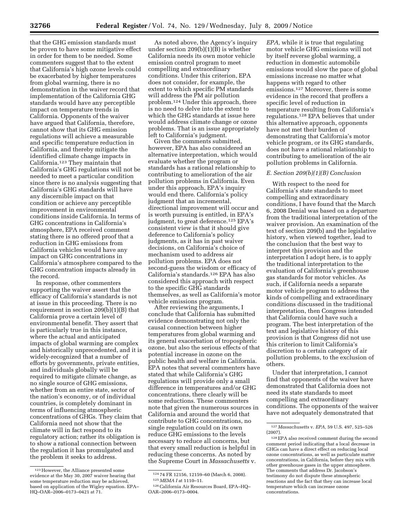that the GHG emission standards must be proven to have some mitigative effect in order for them to be needed. Some commenters suggest that to the extent that California's high ozone levels could be exacerbated by higher temperatures from global warming, there is no demonstration in the waiver record that implementation of the California GHG standards would have any perceptible impact on temperature trends in California. Opponents of the waiver have argued that California, therefore, cannot show that its GHG emission regulations will achieve a measurable and specific temperature reduction in California, and thereby mitigate the identified climate change impacts in California.123 They maintain that California's GHG regulations will not be needed to meet a particular condition since there is no analysis suggesting that California's GHG standards will have any discernible impact on that condition or achieve any perceptible improvement in environmental conditions inside California. In terms of GHG concentrations in California's atmosphere, EPA received comment stating there is no offered proof that a reduction in GHG emissions from California vehicles would have any impact on GHG concentrations in California's atmosphere compared to the GHG concentration impacts already in the record.

In response, other commenters supporting the waiver assert that the efficacy of California's standards is not at issue in this proceeding. There is no requirement in section 209(b)(1)(B) that California prove a certain level of environmental benefit. They assert that is particularly true in this instance, where the actual and anticipated impacts of global warming are complex and historically unprecedented, and it is widely-recognized that a number of efforts by governments, private entities, and individuals globally will be required to mitigate climate change, as no single source of GHG emissions, whether from an entire state, sector of the nation's economy, or of individual countries, is completely dominant in terms of influencing atmospheric concentrations of GHGs. They claim that California need not show that the climate will in fact respond to its regulatory action; rather its obligation is to show a rational connection between the regulation it has promulgated and the problem it seeks to address.

As noted above, the Agency's inquiry under section 209(b)(1)(B) is whether California needs its own motor vehicle emission control program to meet compelling and extraordinary conditions. Under this criterion, EPA does not consider, for example, the extent to which specific PM standards will address the PM air pollution problem.124 Under this approach, there is no need to delve into the extent to which the GHG standards at issue here would address climate change or ozone problems. That is an issue appropriately left to California's judgment.

Given the comments submitted, however, EPA has also considered an alternative interpretation, which would evaluate whether the program or standards has a rational relationship to contributing to amelioration of the air pollution problems in California. Even under this approach, EPA's inquiry would end there. California's policy judgment that an incremental, directional improvement will occur and is worth pursuing is entitled, in EPA's judgment, to great deference.<sup>125</sup> EPA's consistent view is that it should give deference to California's policy judgments, as it has in past waiver decisions, on California's choice of mechanism used to address air pollution problems. EPA does not second-guess the wisdom or efficacy of California's standards.126 EPA has also considered this approach with respect to the specific GHG standards themselves, as well as California's motor vehicle emissions program.

After reviewing the arguments, I conclude that California has submitted evidence demonstrating not only the causal connection between higher temperatures from global warming and its general exacerbation of tropospheric ozone, but also the serious effects of that potential increase in ozone on the public health and welfare in California. EPA notes that several commenters have stated that while California's GHG regulations will provide only a small difference in temperatures and/or GHG concentrations, there clearly will be some reductions. These commenters note that given the numerous sources in California and around the world that contribute to GHG concentrations, no single regulation could on its own reduce GHG emissions to the levels necessary to reduce all concerns, but that every small reduction is helpful in reducing these concerns. As noted by the Supreme Court in *Massachusetts* v.

*EPA,* while it is true that regulating motor vehicle GHG emissions will not by itself reverse global warming, a reduction in domestic automobile emissions would slow the pace of global emissions increase no matter what happens with regard to other emissions.127 Moreover, there is some evidence in the record that proffers a specific level of reduction in temperature resulting from California's regulations.128 EPA believes that under this alternative approach, opponents have not met their burden of demonstrating that California's motor vehicle program, or its GHG standards, does not have a rational relationship to contributing to amelioration of the air pollution problems in California.

#### *E. Section 209(b)(1)(B) Conclusion*

With respect to the need for California's state standards to meet compelling and extraordinary conditions, I have found that the March 6, 2008 Denial was based on a departure from the traditional interpretation of the waiver provision. An examination of the text of section 209(b) and the legislative history, when viewed together, lead to the conclusion that the best way to interpret this provision and the interpretation I adopt here, is to apply the traditional interpretation to the evaluation of California's greenhouse gas standards for motor vehicles. As such, if California needs a separate motor vehicle program to address the kinds of compelling and extraordinary conditions discussed in the traditional interpretation, then Congress intended that California could have such a program. The best interpretation of the text and legislative history of this provision is that Congress did not use this criterion to limit California's discretion to a certain category of air pollution problems, to the exclusion of others.

Under that interpretation, I cannot find that opponents of the waiver have demonstrated that California does not need its state standards to meet compelling and extraordinary conditions. The opponents of the waiver have not adequately demonstrated that

<sup>123</sup>However, the Alliance presented some evidence at the May 30, 2007 waiver hearing that some temperature reduction may be achieved, based on application of the Wigley equation. EPA– HQ–OAR–2006–0173–0421 at 71.

<sup>124</sup> 74 FR 12156, 12159–60 (March 6, 2008). 125*MEMA I* at 1110–11.

<sup>126</sup>California Air Resources Board, EPA–HQ– OAR–2006–0173–0004.

<sup>127</sup> *Massachusetts* v. *EPA,* 59 U.S. 497, 525–526 (2007).

<sup>128</sup>EPA also received comment during the second comment period indicating that a local decrease in GHGs can have a direct effect on reducing local ozone concentrations, as well as particulate matter concentrations, in California, before they mix with other greenhouse gases in the upper atmosphere. The comments that address Dr. Jacobson's testimony do not dispute these atmospheric reactions and the fact that they can increase local temperature which can increase ozone concentrations.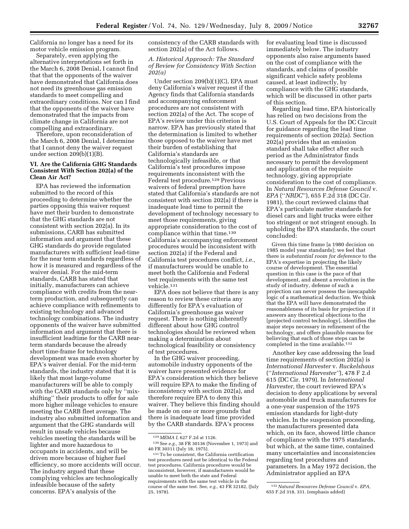California no longer has a need for its motor vehicle emission program.

Separately, even applying the alternative interpretations set forth in the March 6, 2008 Denial, I cannot find that that the opponents of the waiver have demonstrated that California does not need its greenhouse gas emission standards to meet compelling and extraordinary conditions. Nor can I find that the opponents of the waiver have demonstrated that the impacts from climate change in California are not compelling and extraordinary.

Therefore, upon reconsideration of the March 6, 2008 Denial, I determine that I cannot deny the waiver request under section 209(b)(1)(B).

### **VI. Are the California GHG Standards Consistent With Section 202(a) of the Clean Air Act?**

EPA has reviewed the information submitted to the record of this proceeding to determine whether the parties opposing this waiver request have met their burden to demonstrate that the GHG standards are not consistent with section 202(a). In its submissions, CARB has submitted information and argument that these GHG standards do provide regulated manufacturers with sufficient lead-time for the near term standards regardless of how it is measured and regardless of the waiver denial. For the mid-term standards, CARB has stated that initially, manufacturers can achieve compliance with credits from the nearterm production, and subsequently can achieve compliance with refinements to existing technology and advanced technology combinations. The industry opponents of the waiver have submitted information and argument that there is insufficient leadtime for the CARB nearterm standards because the already short time-frame for technology development was made even shorter by EPA's waiver denial. For the mid-term standards, the industry stated that it is likely that most large-volume manufacturers will be able to comply with the CARB standards only by ''mixshifting'' their products to offer for sale more higher mileage vehicles to ensure meeting the CARB fleet average. The industry also submitted information and argument that the GHG standards will result in unsafe vehicles because vehicles meeting the standards will be lighter and more hazardous to occupants in accidents, and will be driven more because of higher fuel efficiency, so more accidents will occur. The industry argued that these complying vehicles are technologically infeasible because of the safety concerns. EPA's analysis of the

consistency of the CARB standards with section 202(a) of the Act follows.

# *A. Historical Approach: The Standard of Review for Consistency With Section 202(a)*

Under section 209(b)(1)(C), EPA must deny California's waiver request if the Agency finds that California standards and accompanying enforcement procedures are not consistent with section 202(a) of the Act. The scope of EPA's review under this criterion is narrow. EPA has previously stated that the determination is limited to whether those opposed to the waiver have met their burden of establishing that California's standards are technologically infeasible, or that California's test procedures impose requirements inconsistent with the Federal test procedure.129 Previous waivers of federal preemption have stated that California's standards are not consistent with section 202(a) if there is inadequate lead time to permit the development of technology necessary to meet those requirements, giving appropriate consideration to the cost of compliance within that time.<sup>130</sup> California's accompanying enforcement procedures would be inconsistent with section 202(a) if the Federal and California test procedures conflict, *i.e.,*  if manufacturers would be unable to meet both the California and Federal test requirements with the same test vehicle.131

EPA does not believe that there is any reason to review these criteria any differently for EPA's evaluation of California's greenhouse gas waiver request. There is nothing inherently different about how GHG control technologies should be reviewed when making a determination about technological feasibility or consistency of test procedures.

In the GHG waiver proceeding, automobile industry opponents of the waiver have presented evidence for EPA's consideration which they believe will require EPA to make the finding of inconsistency with section 202(a), and therefore require EPA to deny this waiver. They believe this finding should be made on one or more grounds that there is inadequate lead time provided by the CARB standards. EPA's process

for evaluating lead time is discussed immediately below. The industry opponents also raise arguments based on the cost of compliance with the standards, and claims of possible significant vehicle safety problems caused, at least indirectly, by compliance with the GHG standards, which will be discussed in other parts of this section.

Regarding lead time, EPA historically has relied on two decisions from the U.S. Court of Appeals for the DC Circuit for guidance regarding the lead time requirements of section 202(a). Section 202(a) provides that an emission standard shall take effect after such period as the Administrator finds necessary to permit the development and application of the requisite technology, giving appropriate consideration to the cost of compliance. In *Natural Resources Defense Council* v. *EPA* (''*NRDC*''), 655 F.2d 318 (DC Cir. 1981), the court reviewed claims that EPA's particulate matter standards for diesel cars and light trucks were either too stringent or not stringent enough. In upholding the EPA standards, the court concluded:

Given this time frame [a 1980 decision on 1985 model year standards]; we feel that there is *substantial room for deference* to the EPA's expertise in projecting the likely course of development. The essential question in this case is the pace of that development, and absent a revolution in the study of industry, defense of such a projection can never possess the inescapable logic of a mathematical deduction. We think that the EPA will have demonstrated the reasonableness of its basis for projection if it answers any theoretical objections to the [projected control technology], identifies the major steps necessary in refinement of the technology, and offers plausible reasons for believing that each of those steps can be completed in the time available.<sup>132</sup>

Another key case addressing the lead time requirements of section 202(a) is *International Harvester* v. *Ruckelshaus*  (''*International Harvester''*), 478 F 2.d 615 (DC Cir. 1979). In *International Harvester,* the court reviewed EPA's decision to deny applications by several automobile and truck manufacturers for a one-year suspension of the 1975 emission standards for light-duty vehicles. In the suspension proceeding, the manufacturers presented data which, on its face, showed little chance of compliance with the 1975 standards, but which, at the same time, contained many uncertainties and inconsistencies regarding test procedures and parameters. In a May 1972 decision, the Administrator applied an EPA

<sup>129</sup>*MEMA I,* 627 F.2d at 1126.

<sup>130</sup>See *e.g.,* 38 FR 30136 (November 1, 1973) and 40 FR 30311 (July 18, 1975).

<sup>131</sup>To be consistent, the California certification test procedures need not be identical to the Federal test procedures. California procedures would be inconsistent, however, if manufacturers would be unable to meet both the state and Federal requirements with the same test vehicle in the course of the same test. See, *e.g.,* 43 FR 32182, (July 25, 1978).

<sup>132</sup>*Natural Resources Defense Council* v. *EPA,*  655 F.2d 318, 331. (emphasis added)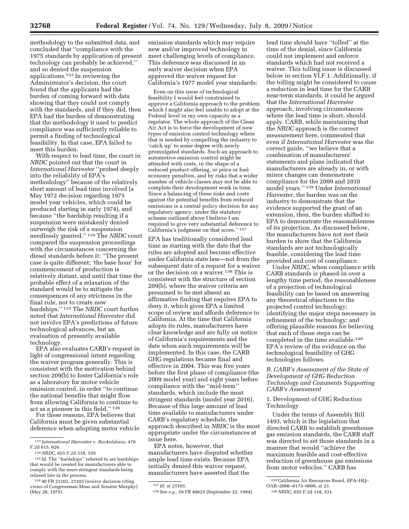methodology to the submitted data, and concluded that ''compliance with the 1975 standards by application of present technology can probably be achieved,'' and so denied the suspension applications.133 In reviewing the Administrator's decision, the court found that the applicants had the burden of coming forward with data showing that they could not comply with the standards, and if they did, then EPA had the burden of demonstrating that the methodology it used to predict compliance was sufficiently reliable to permit a finding of technological feasibility. In that case, EPA failed to meet this burden.

With respect to lead time, the court in *NRDC* pointed out that the court in *International Harvester* ''probed deeply into the reliability of EPA's methodology'' because of the relatively short amount of lead time involved (a May 1972 decision regarding 1975 model year vehicles, which could be produced starting in early 1974), and because ''the hardship resulting if a suspension were mistakenly denied outweigh the risk of a suspension needlessly granted.'' 134 The *NRDC* court compared the suspension proceedings with the circumstances concerning the diesel standards before it: ''The present case is quite different; 'the base hour' for commencement of production is relatively distant, and until that time the probable effect of a relaxation of the standard would be to mitigate the consequences of any strictness in the final rule, not to create new hardships.'' 135 The *NRDC* court further noted that *International Harvester* did not involve EPA's predictions of future technological advances, but an evaluation of presently available technology.

EPA also evaluates CARB's request in light of congressional intent regarding the waiver program generally. This is consistent with the motivation behind section 209(b) to foster California's role as a laboratory for motor vehicle emission control, in order ''to continue the national benefits that might flow from allowing California to continue to act as a pioneer in this field.'' 136

For these reasons, EPA believes that California must be given substantial deference when adopting motor vehicle

emission standards which may require new and/or improved technology to meet challenging levels of compliance. This deference was discussed in an early waiver decision when EPA approved the waiver request for California's 1977 model year standards:

Even on this issue of technological feasibility I would feel constrained to approve a California approach to the problem which I might also feel unable to adopt at the Federal level in my own capacity as a regulator. The whole approach of the Clean Air Act is to force the development of new types of emission control technology where that is needed by compelling the industry to 'catch up' to some degree with newly promulgated standards. Such an approach to automotive emission control might be attended with costs, in the shape of a reduced product offering, or price or fuel economy penalties, and by risks that a wider number of vehicle classes may not be able to complete their development work in time. Since a balancing of these risks and costs against the potential benefits from reduced emissions is a central policy decision for any regulatory agency, under the statutory scheme outlined above I believe I am required to give very substantial deference to California's judgment on that score.'' 137

EPA has traditionally considered lead time as starting with the date that the rules are adopted and become effective under California state law—not from the subsequent date of a request for a waiver or the decision on a waiver.138 This is consistent with the structure of section 209(b), where the waiver criteria are presumed to be met absent an affirmative finding that requires EPA to deny it, which gives EPA a limited scope of review and affords deference to California. At the time that California adopts its rules, manufacturers have clear knowledge and are fully on notice of California's requirements and the date when such requirements will be implemented. In this case, the CARB GHG regulations became final and effective in 2004. This was five years before the first phase of compliance (the 2009 model year) and eight years before compliance with the ''mid-term'' standards, which include the most stringent standards (model year 2016). Because of this large amount of lead time available to manufacturers under CARB's regulatory schedule, the approach described in *NRDC* is the most appropriate under the circumstances at issue here.

EPA notes, however, that manufacturers have disputed whether ample lead time exists. Because EPA initially denied this waiver request, manufacturers have asserted that the

lead time should have ''tolled'' at the time of the denial, since California could not implement and enforce standards which had not received a waiver. This tolling issue is discussed below in section VI.F.1. Additionally, if the tolling might be considered to cause a reduction in lead time for the CARB near-term standards, it could be argued that the *International Harvester*  approach, involving circumstances where the lead time is short, should apply. CARB, while maintaining that the *NRDC* approach is the correct measurement here, commented that even if *International Harvester* was the correct guide, ''we believe that a combination of manufacturers' statements and plans indicated that manufacturers are already in, or with minor changes can demonstrate compliance for the 2009 and 2010 model years.'' 139 Under *International Harvester,* the burden was on the industry to demonstrate that the evidence supported the grant of an extension, then, the burden shifted to EPA to demonstrate the reasonableness of its projection. As discussed below, the manufacturers have not met their burden to show that the California standards are not technologically feasible, considering the lead time provided and cost of compliance.

Under *NRDC,* when compliance with CARB standards is phased-in over a lengthy time period, the reasonableness of a projection of technological feasibility can be based on answering any theoretical objections to the projected control technology; identifying the major steps necessary in refinement of the technology; and offering plausible reasons for believing that each of those steps can be completed in the time available.140 EPA's review of the evidence on the technological feasibility of GHG technologies follows.

#### *B. CARB's Assessment of the State of Development of GHG Reduction Technology and Comments Supporting CARB's Assessment*

1. Development of GHG Reduction Technology

Under the terms of Assembly Bill 1493, which is the legislation that directed CARB to establish greenhouse gas emission standards, the CARB staff was directed to set those standards in a manner that would ''achieve the maximum feasible and cost-effective reduction of greenhouse gas emissions from motor vehicles.'' CARB has

<sup>133</sup> *International Harvester* v. *Ruckelshaus,* 478 F.2d 615, 626.

<sup>134</sup>*NRDC,* 655 F.2d 318, 330.

<sup>135</sup> Id. The ''hardships'' referred to are hardships that would be created for manufacturers able to comply with the more stringent standards being relaxed late in the process.

<sup>136</sup> 40 FR 23102, 23103 (waiver decision citing views of Congressman Moss and Senator Murphy) (May 28, 1975).

<sup>137</sup> *Id.* at 23103.

<sup>138</sup>*See e.g.,* 59 FR 40625 (September 22, 1994).

<sup>&</sup>lt;sup>139</sup> California Air Resources Board, EPA–HQ–<br>OAR–2006–0173–9006, at 23.

OAR–2006–0173–9006, at 23. 140*NRDC,* 655 F.2d 318, 331.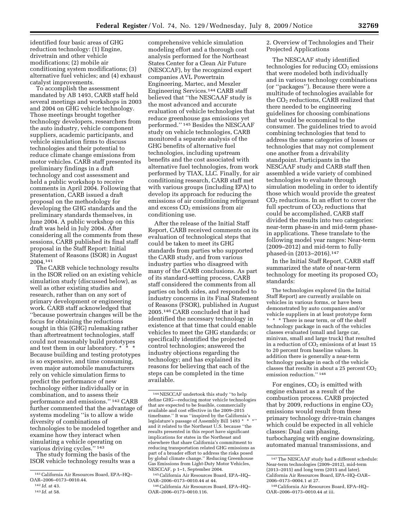identified four basic areas of GHG reduction technology: (1) Engine, drivetrain and other vehicle modifications; (2) mobile air conditioning system modifications; (3) alternative fuel vehicles; and (4) exhaust catalyst improvements.

To accomplish the assessment mandated by AB 1493, CARB staff held several meetings and workshops in 2003 and 2004 on GHG vehicle technology. Those meetings brought together technology developers, researchers from the auto industry, vehicle component suppliers, academic participants, and vehicle simulation firms to discuss technologies and their potential to reduce climate change emissions from motor vehicles. CARB staff presented its preliminary findings in a draft technology and cost assessment and held a public workshop to receive comments in April 2004. Following that presentation, CARB issued a draft proposal on the methodology for developing the GHG standards and the preliminary standards themselves, in June 2004. A public workshop on this draft was held in July 2004. After considering all the comments from these sessions, CARB published its final staff proposal in the Staff Report: Initial Statement of Reasons (ISOR) in August 2004.141

The CARB vehicle technology results in the ISOR relied on an existing vehicle simulation study (discussed below), as well as other existing studies and research, rather than on any sort of primary development or engineering work. CARB staff acknowledged that ''because powertrain changes will be the focus for obtaining the reductions sought in this (GHG) rulemaking rather than aftertreatment technologies, staff could not reasonably build prototypes and test them in our laboratory. \* \* \* Because building and testing prototypes is so expensive, and time consuming, even major automobile manufacturers rely on vehicle simulation firms to predict the performance of new technology either individually or in combination, and to assess their performance and emissions.'' 142 CARB further commented that the advantage of systems modeling ''is to allow a wide diversity of combinations of technologies to be modeled together and examine how they interact when simulating a vehicle operating on various driving cycles.'' 143

The study forming the basis of the ISOR vehicle technology results was a

comprehensive vehicle simulation modeling effort and a thorough cost analysis performed for the Northeast States Center for a Clean Air Future (NESCCAF), by the recognized expert companies AVL Powertrain Engineering, Martec, and Meszler Engineering Services.144 CARB staff believed that ''the NESCAAF study is the most advanced and accurate evaluation of vehicle technologies that reduce greenhouse gas emissions yet performed.'' 145 Besides the NESCAAF study on vehicle technologies, CARB monitored a separate analysis of the GHG benefits of alternative fuel technologies, including upstream benefits and the cost associated with alternative fuel technologies, from work performed by TIAX, LLC. Finally, for air conditioning research, CARB staff met with various groups (including EPA) to develop its approach for reducing the emissions of air conditioning refrigerant and excess  $CO<sub>2</sub>$  emissions from air conditioning use.

After the release of the Initial Staff Report, CARB received comments on its evaluation of technological steps that could be taken to meet its GHG standards from parties who supported the CARB study, and from various industry parties who disagreed with many of the CARB conclusions. As part of its standard-setting process, CARB staff considered the comments from all parties on both sides, and responded to industry concerns in its Final Statement of Reasons (FSOR), published in August 2005.146 CARB concluded that it had identified the necessary technology in existence at that time that could enable vehicles to meet the GHG standards; or specifically identified the projected control technologies; answered the industry objections regarding the technology; and has explained its reasons for believing that each of the steps can be completed in the time available.

2. Overview of Technologies and Their Projected Applications

The NESCAAF study identified technologies for reducing  $CO<sub>2</sub>$  emissions that were modeled both individually and in various technology combinations (or ''packages''). Because there were a multitude of technologies available for the  $CO<sub>2</sub>$  reductions, CARB realized that there needed to be engineering guidelines for choosing combinations that would be economical to the consumer. The guidelines tried to avoid combining technologies that tend to address the same categories of losses or technologies that may not complement one another from a drivability standpoint. Participants in the NESCAAF study and CARB staff then assembled a wide variety of combined technologies to evaluate through simulation modeling in order to identify those which would provide the greatest CO2 reductions. In an effort to cover the full spectrum of  $CO<sub>2</sub>$  reductions that could be accomplished, CARB staff divided the results into two categories: near-term phase-in and mid-term phasein applications. These translate to the following model year ranges: Near-term (2009–2012) and mid-term to fully phased-in (2013–2016).147

In the Initial Staff Report, CARB staff summarized the state of near-term technology for meeting its proposed  $CO<sub>2</sub>$ standards:

The technologies explored (in the Initial Staff Report) are currently available on vehicles in various forms, or have been demonstrated by auto companies and/or vehicle suppliers in at least prototype form \* \* \* There is near term, or off the shelf technology package in each of the vehicles classes evaluated (small and large car, minivan, small and large truck) that resulted in a reduction of  $CO<sub>2</sub>$  emissions of at least 15 to 20 percent from baseline values. In addition there is generally a near-term technology package in each of the vehicle classes that results in about a 25 percent  $CO<sub>2</sub>$ emission reduction.'' 148

For engines,  $CO<sub>2</sub>$  is emitted with engine exhaust as a result of the combustion process. CARB projected that by 2009, reductions in engine  $CO<sub>2</sub>$ emissions would result from these primary technology drive-train changes which could be expected in all vehicle classes: Dual cam phasing, turbocharging with engine downsizing, automated manual transmissions, and

<sup>141</sup>California Air Resources Board, EPA–HQ– OAR–2006–0173–0010.44.

<sup>142</sup> *Id.* at 43.

<sup>143</sup> *Id.* at 58.

<sup>144</sup>NESCCAF undertook this study ''to help define GHG—reducing motor vehicle technologies that are expected to be feasible, commercially available and cost effective in the 2009–2015 timeframe.'' It was ''inspired by the California's legislature's passage of Assembly Bill 1493 \* \* and it related to the Northeast U.S. because ''the results presented in this report have significant implications for states in the Northeast and elsewhere that share California's commitment to reducing transportation related GHG emissions as part of a broader effort to address the risks posed by global climate change.'' Reducing Greenhouse Gas Emissions from Light-Duty Motor Vehicles, NESCCAF, p 1–1, September 2004.

<sup>145</sup>California Air Resources Board, EPA–HQ– OAR–2006–0173–0010.44 at 44.

<sup>146</sup>California Air Resources Board, EPA–HQ– OAR–2006–0173–0010.116.

<sup>147</sup>The NESCAAF study had a different schedule: Near-term technologies (2009–2012), mid-term (2013–2015) and long term (2015 and later). California Air Resources Board, EPA–HQ–OAR– 2006–0173–0004.1 at 27.

<sup>148</sup>California Air Resources Board, EPA–HQ– OAR–2006–0173–0010.44 at iii.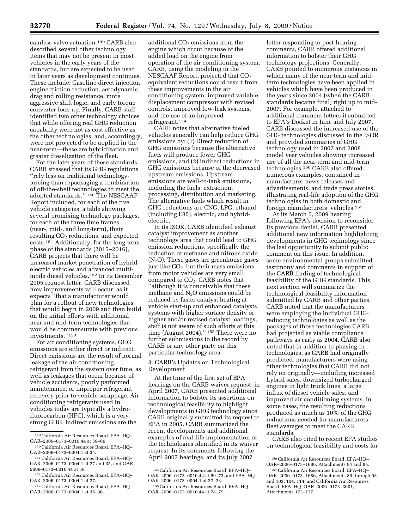camless valve actuation.149 CARB also described several other technology items that may not be present in most vehicles in the early years of the standards, but are expected to be used in later years as development continues. These include: Gasoline direct injection, engine friction reduction, aerodynamic drag and rolling resistance, more aggressive shift logic, and early torque converter lock-up. Finally, CARB staff identified two other technology choices that while offering real GHG reduction capability were not as cost effective as the other technologies, and, accordingly, were not projected to be applied in the near-term—these are hybridization and greater dieselization of the fleet.

For the later years of these standards, CARB stressed that its GHG regulations ''rely less on traditional technologyforcing than repackaging a combination of off-the-shelf technologies to meet the adopted standards.'' 150 The NESCAAF Report included, for each of the five vehicle categories, a table showing several promising technology packages, for each of the three time frames (near-, mid-, and long-term), their resulting  $CO<sub>2</sub>$  reductions, and expected costs.151 Additionally, for the long-term phase of the standards (2015–2016), CARB projects that there will be increased market penetration of hybridelectric vehicles and advanced multimode diesel vehicles.152 In its December 2005 request letter, CARB discussed how improvements will occur, as it expects ''that a manufacturer would plan for a rollout of new technologies that would begin in 2009 and then build on the initial efforts with additional near and mid-term technologies that would be commensurate with previous investments.''153

For air conditioning systems, GHG emissions are either direct or indirect. Direct emissions are the result of normal leakage of the air conditioning refrigerant from the system over time, as well as leakages that occur because of vehicle accidents, poorly performed maintenance, or improper refrigerant recovery prior to vehicle scrappage. Air conditioning refrigerants used in vehicles today are typically a hydrofluorocarbon (HFC), which is a very strong GHG. Indirect emissions are the

additional  $CO<sub>2</sub>$  emissions from the engine which occur because of the added load on the engine from operation of the air conditioning system. CARB, using the modeling in the NESCAAF Report, projected that CO2 equivalent reductions could result from these improvements in the air conditioning system: improved variable displacement compressor with revised controls, improved low-leak systems, and the use of an improved refrigerant.154

CARB notes that alternative fueled vehicles generally can help reduce GHG emissions by: (1) Direct reduction of GHG emissions because the alternative fuels will produce fewer GHG emissions, and (2) indirect reductions in GHG emissions because of the decreased upstream emissions. Upstream emissions are well-to-tank emissions, including the fuels' extraction, processing, distribution and marketing. The alternative fuels which result in GHG reductions are CNG, LPG, ethanol (including E85), electric, and hybridelectric.

In its ISOR, CARB identified exhaust catalyst improvement as another technology area that could lead to GHG emission reductions, specifically the reduction of methane and nitrous oxide  $(N_2O)$ . These gases are greenhouse gases just like  $CO<sub>2</sub>$ , but their mass emissions from motor vehicles are very small compared to  $CO<sub>2</sub>$ . CARB notes that ''although it is conceivable that these methane and  $N<sub>2</sub>O$  emissions could be reduced by faster catalyst heating at vehicle start-up and enhanced catalysts systems with higher surface density or higher and/or revised catalyst loadings, staff is not aware of such efforts at this time (August 2004).'' 155 There were no further submissions to the record by CARB or any other party on this particular technology area.

3. CARB's Updates on Technological Development

At the time of the first set of EPA hearings on the CARB waiver request, in April 2007, CARB presented additional information to bolster its assertions on technological feasibility to highlight developments in GHG technology since CARB originally submitted its request to EPA in 2005. CARB summarized the recent developments and additional examples of real-life implementation of the technologies identified in its waiver request. In its comments following the April 2007 hearings, and its July 2007

letter responding to post-hearing comments, CARB offered additional information to bolster their GHG technology projections. Generally, CARB pointed to numerous instances in which many of the near-term and midterm technologies have been applied in vehicles which have been produced in the years since 2004 (when the CARB standards became final) right up to mid-2007. For example, attached to additional comment letters it submitted to EPA's Docket in June and July 2007, CARB discussed the increased use of the GHG technologies discussed in the ISOR and provided summaries of GHG technology used in 2007 and 2008 model year vehicles showing increased use of all the near-term and mid-term technologies.156 CARB also offered numerous examples, contained in manufacturer news releases and advertisements, and trade press stories, illustrating real-life adoption of the GHG technologies in both domestic and foreign manufacturers' vehicles.157

At its March 5, 2009 hearing following EPA's decision to reconsider its previous denial, CARB presented additional new information highlighting developments in GHG technology since the last opportunity to submit public comment on this issue. In addition, some environmental groups submitted testimony and comments in support of the CARB finding of technological feasibility of the GHG standards. This next section will summarize the technological feasibility information submitted by CARB and other parties. CARB noted that the manufacturers were employing the individual GHGreducing technologies as well as the packages of those technologies CARB had projected as viable compliance pathways as early as 2004. CARB also noted that in addition to phasing-in technologies, as CARB had originally predicted, manufacturers were using other technologies that CARB did not rely on originally—including increased hybrid sales, downsized turbocharged engines in light truck lines, a large influx of diesel vehicle sales, and improved air conditioning systems. In some cases, the resulting reductions produced as much as 10% of the GHG reductions needed for manufacturers' fleet averages to meet the CARB standards.

CARB also cited to recent EPA studies on technological feasibility and costs for

<sup>149</sup>California Air Resources Board, EPA–HQ– OAR–2006–0173–0010.44 at 59–60.

<sup>150</sup>California Air Resources Board, EPA–HQ– OAR–2006–0173–0004.1 at 34.

<sup>151</sup>California Air Resources Board, EPA–HQ– OAR–2006–0173–0004.1 at 27 and 35, and OAR– 2006–0173–0010.44 at 59.

<sup>152</sup>California Air Resources Board, EPA–HQ– OAR–2006–0173–0004.1 at 27.

<sup>153</sup>California Air Resources Board, EPA–HQ– OAR–2006–0173–0004.1 at 35–36.

<sup>154</sup>California Air Resources Board, EPA–HQ– OAR–2006–0173–0010.44 at 69–73, and EPA–HQ–

<sup>&</sup>lt;sup>155</sup> California Air Resources Board, EPA–HQ– OAR–2006–0173–0010.44 at 78–79.

<sup>156</sup>California Air Resources Board, EPA–HQ– OAR–2006–0173–1686, Attachments 84 and 85.

<sup>157</sup>California Air Resources Board, EPA–HQ– OAR–2006–0173–1686, Attachments 86 through 93 and 103, 104, 114, and California Air Resources Board, EPA–HQ–OAR–2006–0173–3601, Attachments 173–177.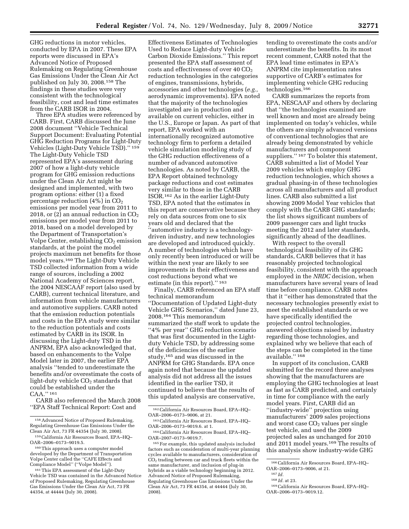GHG reductions in motor vehicles, conducted by EPA in 2007. These EPA reports were discussed in EPA's Advanced Notice of Proposed Rulemaking on Regulating Greenhouse Gas Emissions Under the Clean Air Act published on July 30, 2008.158 The findings in these studies were very consistent with the technological feasibility, cost and lead time estimates from the CARB ISOR in 2004.

Three EPA studies were referenced by CARB. First, CARB discussed the June 2008 document ''Vehicle Technical Support Document: Evaluating Potential GHG Reduction Programs for Light-Duty Vehicles (Light-Duty Vehicle TSD).'' 159 The Light-Duty Vehicle TSD represented EPA's assessment during 2007 of how a light-duty vehicle program for GHG emission reductions under the Clean Air Act might be designed and implemented, with two program options: either (1) a fixed percentage reduction  $(4%)$  in  $CO<sub>2</sub>$ emissions per model year from 2011 to 2018, or (2) an annual reduction in  $CO<sub>2</sub>$ emissions per model year from 2011 to 2018, based on a model developed by the Department of Transportation's Volpe Center, establishing  $CO<sub>2</sub>$  emission standards, at the point the model projects maximum net benefits for those model years.160 The Light-Duty Vehicle TSD collected information from a wide range of sources, including a 2002 National Academy of Sciences report, the 2004 NESCAAF report (also used by CARB), current technical literature, and information from vehicle manufacturers and automotive suppliers. CARB noted that the emission reduction potentials and costs in the EPA study were similar to the reduction potentials and costs estimated by CARB in its ISOR. In discussing the Light-duty TSD in the ANPRM, EPA also acknowledged that, based on enhancements to the Volpe Model later in 2007, the earlier EPA analysis ''tended to underestimate the benefits and/or overestimate the costs of light-duty vehicle CO<sub>2</sub> standards that could be established under the CAA.'' 161

CARB also referenced the March 2008 ''EPA Staff Technical Report: Cost and

Effectiveness Estimates of Technologies Used to Reduce Light-duty Vehicle Carbon Dioxide Emissions.'' This report presented the EPA staff assessment of costs and effectiveness of over  $40 \text{ CO}_2$ reduction technologies in the categories of engines, transmissions, hybrids, accessories and other technologies (*e.g.,*  aerodynamic improvements). EPA noted that the majority of the technologies investigated are in production and available on current vehicles, either in the U.S., Europe or Japan. As part of that report, EPA worked with an internationally recognized automotive technology firm to perform a detailed vehicle simulation modeling study of the GHG reduction effectiveness of a number of advanced automotive technologies. As noted by CARB, the EPA Report obtained technology package reductions and cost estimates very similar to those in the CARB ISOR.162 As in the earlier Light-Duty TSD, EPA noted that the estimates in this report are conservative because they rely on data sources from one to six years old and declared that the ''automotive industry is a technologydriven industry, and new technologies are developed and introduced quickly. A number of technologies which have only recently been introduced or will be within the next year are likely to see improvements in their effectiveness and cost reductions beyond what we estimate (in this report)."<sup>163</sup>

Finally, CARB referenced an EPA staff technical memorandum ''Documentation of Updated Light-duty Vehicle GHG Scenarios,'' dated June 23, 2008.164 This memorandum summarized the staff work to update the "4% per year" GHG reduction scenario that was first documented in the Lightduty Vehicle TSD, by addressing some of the deficiencies of the earlier study,165 and was discussed in the ANPRM for GHG Standards. EPA once again noted that because the updated analysis did not address all the issues identified in the earlier TSD, it continued to believe that the results of this updated analysis are conservative,

tending to overestimate the costs and/or underestimate the benefits. In its most recent comment, CARB noted that the EPA lead time estimates in EPA's ANPRM cite implementation rates supportive of CARB's estimates for implementing vehicle GHG reducing technologies.166

CARB summarizes the reports from EPA, NESCAAF and others by declaring that ''the technologies examined are well known and most are already being implemented on today's vehicles, while the others are simply advanced versions of conventional technologies that are already being demonstrated by vehicle manufacturers and component suppliers."<sup>167</sup> To bolster this statement, CARB submitted a list of Model Year 2009 vehicles which employ GHG reduction technologies, which shows a gradual phasing-in of these technologies across all manufacturers and all product lines. CARB also submitted a list showing 2009 Model Year vehicles that comply with the CARB GHG standards; the list shows significant numbers of 2009 passenger cars and light trucks meeting the 2012 and later standards, significantly ahead of the deadlines.

With respect to the overall technological feasibility of its GHG standards, CARB believes that it has reasonably projected technological feasibility, consistent with the approach employed in the *NRDC* decision, when manufacturers have several years of lead time before compliance. CARB notes that it ''either has demonstrated that the necessary technologies presently exist to meet the established standards or we have specifically identified the projected control technologies, answered objections raised by industry regarding those technologies, and explained why we believe that each of the steps can be completed in the time available.'' 168

In support of its conclusion, CARB submitted for the record three analyses showing that the manufacturers are employing the GHG technologies at least as fast as CARB predicted, and certainly in time for compliance with the early model years. First, CARB did an ''industry-wide'' projection using manufacturers' 2009 sales projections and worst case  $CO<sub>2</sub>$  values per single test vehicle, and used the 2009 projected sales as unchanged for 2010 and 2011 model years.169 The results of this analysis show industry-wide GHG

168 *Id.* at 23.

<sup>158</sup>Advanced Notice of Proposed Rulemaking, Regulating Greenhouse Gas Emissions Under the Clean Air Act, 73 FR 44354 (July 30, 2008).

<sup>159</sup>California Air Resources Board, EPA–HQ– OAR–2006–0173–9019.5.

<sup>160</sup>This approach uses a computer model developed by the Department of Transportation Volpe Center called the ''CAFE Effects and Compliance Model'' (''Volpe Model'').

<sup>161</sup>This EPA assessment of the Light-Duty Vehicle TSD was contained in the Advanced Notice of Proposed Rulemaking, Regulating Greenhouse Gas Emissions Under the Clean Air Act, 73 FR 44354, at 44444 (July 30, 2008).

<sup>162</sup>California Air Resources Board, EPA–HQ– OAR–2006–0173–9006, at 21.

<sup>163</sup>California Air Resources Board, EPA–HQ– OAR–2006–0173–9019.6. at 1.

<sup>164</sup>California Air Resources Board, EPA–HQ– OAR–2007–0173–9019.7.

<sup>165</sup>For example, this updated analysis included factors such as consideration of multi-year planning cycles available to manufacturers, consideration of  $CO<sub>2</sub>$  trading between car and truck fleets within the same manufacturer, and inclusion of plug-in hybrids as a viable technology beginning in 2012. Advanced Notice of Proposed Rulemaking, Regulating Greenhouse Gas Emissions Under the Clean Air Act, 73 FR 44354, at 44444 (July 30, 2008).

<sup>166</sup>California Air Resources Board, EPA–HQ– OAR–2006–0173–9006, at 21.

<sup>167</sup> *Id.* 

<sup>169</sup>California Air Resources Board, EPA–HQ– OAR–2006–0173–9019.12.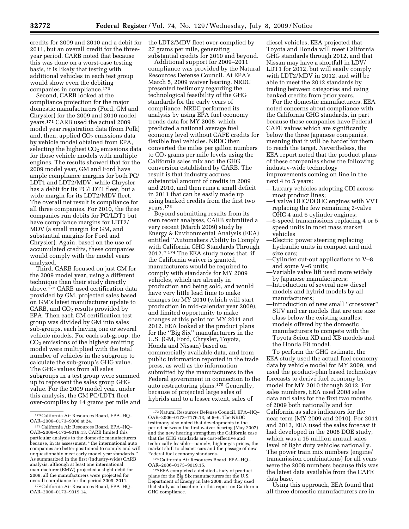credits for 2009 and 2010 and a debit for 2011, but an overall credit for the threeyear period. CARB noted that because this was done on a worst-case testing basis, it is likely that testing with additional vehicles in each test group would show even the debiting companies in compliance.170

Second, CARB looked at the compliance projection for the major domestic manufacturers (Ford, GM and Chrysler) for the 2009 and 2010 model years.171 CARB used the actual 2009 model year registration data (from Polk) and, then, applied  $CO<sub>2</sub>$  emissions data by vehicle model obtained from EPA, selecting the highest  $CO<sub>2</sub>$  emissions data for those vehicle models with multiple engines. The results showed that for the 2009 model year, GM and Ford have ample compliance margins for both PC/ LDT1 and LDT2/MDV, while Chrysler has a debit for its PC/LDT1 fleet, but a wide margin for its LDT2/MDV fleet. The overall net result is compliance for all three companies. For 2010, the three companies run debits for PC/LDT1 but have compliance margins for LDT2/ MDV (a small margin for GM, and substantial margins for Ford and Chrysler). Again, based on the use of accumulated credits, these companies would comply with the model years analyzed.

Third, CARB focused on just GM for the 2009 model year, using a different technique than their study directly above.172 CARB used certification data provided by GM, projected sales based on GM's latest manufacturer update to CARB, and  $CO<sub>2</sub>$  results provided by EPA. Then each GM certification test group was divided by GM into sales sub-groups, each having one or several vehicle models. For each sub-group, the  $CO<sub>2</sub>$  emissions of the highest emitting model were multiplied with the total number of vehicles in the subgroup to calculate the sub-group's GHG value. The GHG values from all sales subgroups in a test group were summed up to represent the sales group GHG value. For the 2009 model year, under this analysis, the GM PC/LDT1 fleet over-complies by 14 grams per mile and

172California Air Resources Board, EPA–HQ– OAR–2006–0173–9019.14.

the LDT2/MDV fleet over-complied by 27 grams per mile, generating substantial credits for 2010 and beyond.

Additional support for 2009–2011 compliance was provided by the Natural Resources Defense Council. At EPA's March 5, 2009 waiver hearing, NRDC presented testimony regarding the technological feasibility of the GHG standards for the early years of compliance. NRDC performed its analysis by using EPA fuel economy trends data for MY 2008, which predicted a national average fuel economy level without CAFE credits for flexible fuel vehicles. NRDC then converted the miles per gallon numbers to CO2 grams per mile levels using the California sales mix and the GHG conversion established by CARB. The result is that industry accrues substantial amount of credits in 2009 and 2010, and then runs a small deficit in 2011 that can be easily made up using banked credits from the first two years.173

Beyond submitting results from its own recent analyses, CARB submitted a very recent (March 2009) study by Energy & Environmental Analysis (EEA) entitled ''Automakers Ability to Comply with California GHG Standards Through 2012.'' 174 The EEA study notes that, if the California waiver is granted, manufacturers would be required to comply with standards for MY 2009 vehicles, which are already in production and being sold, and would have very little lead time to make changes for MY 2010 (which will start production in mid-calendar year 2009), and limited opportunity to make changes at this point for MY 2011 and 2012. EEA looked at the product plans for the ''Big Six'' manufacturers in the U.S. (GM, Ford, Chrysler, Toyota, Honda and Nissan) based on commercially available data, and from public information reported in the trade press, as well as the information submitted by the manufacturers to the Federal government in connection to the auto restructuring plans.175 Generally, because of projected large sales of hybrids and to a lesser extent, sales of

diesel vehicles, EEA projected that Toyota and Honda will meet California GHG standards through 2012, and that Nissan may have a shortfall in LDV/ LDT1 for 2012, but will easily comply with LDT2/MDV in 2012, and will be able to meet the 2012 standards by trading between categories and using banked credits from prior years.

For the domestic manufacturers, EEA noted concerns about compliance with the California GHG standards, in part because these companies have Federal CAFE values which are significantly below the three Japanese companies, meaning that it will be harder for them to reach the target. Nevertheless, the EEA report noted that the product plans of these companies show the following industry-wide technology improvements coming on line in the next 4 to 5 years:

- —Luxury vehicles adopting GDI across most product lines;
- —4 valve OHC/DOHC engines with VVT replacing the few remaining 2-valve OHC 4 and 6 cylinder engines;
- —6-speed transmissions replacing 4 or 5 speed units in most mass market vehicles
- —Electric power steering replacing hydraulic units in compact and mid size cars;
- —Cylinder cut-out applications to V–8 and some V–6 units;
- —Variable valve lift used more widely by Japanese manufacturers;
- —Introduction of several new diesel models and hybrid models by all manufacturers;
- —Introduction of new small ''crossover'' SUV and car models that are one size class below the existing smallest models offered by the domestic manufacturers to compete with the Toyota Scion XD and XB models and the Honda Fit model.

To perform the GHG estimate, the EEA study used the actual fuel economy data by vehicle model for MY 2009, and used the product-plan based technology forecasts to derive fuel economy by model for MY 2010 through 2012. For sales numbers, EEA used 2008 sales data and sales for the first two months of 2009 both nationally and for California as sales indicators for the near term (MY 2009 and 2010). For 2011 and 2012, EEA used the sales forecast it had developed in the 2008 DOE study, which was a 15 million annual sales level of light duty vehicles nationally. The power train mix numbers (engine/ transmission combinations) for all years were the 2008 numbers because this was the latest data available from the CAFE data base.

Using this approach, EEA found that all three domestic manufacturers are in

<sup>170</sup>California Air Resources Board, EPA–HQ– OAR–2006–0173–9006 at 24.

<sup>171</sup>California Air Resources Board, EPA–HQ– OAR–2006–0173–9019.13. CARB limited this particular analysis to the domestic manufacturers because, in its assessment, ''the international auto companies are better positioned to comply and will unquestionably meet early model year standards. As summarized in the first (industry-wide) CARB analysis, although at least one international manufacturer (BMW) projected a slight debit for 2009, all the manufacturers were projected for overall compliance for the period 2009–2011.

<sup>173</sup>Natural Resources Defense Council, EPA–HQ– OAR–2006–0173–7176.13, at 5–6. The NRDC testimony also noted that developments in the period between the first waiver hearing (May 2007) and the new hearing strengthen the California case that the GHG standards are cost-effective and technically feasible—namely, higher gas prices, the market shift to cleaner cars and the passage of new<br>Federal fuel economy standards.

 $^{174}$  California Air Resources Board, EPA–HQ–OAR–2006–0173–9019.15.

<sup>175</sup> EEA completed a detailed study of product plans for the Big Six manufacturers for the U.S. Department of Energy in late 2008, and they used that study as a baseline for this report on California GHG compliance.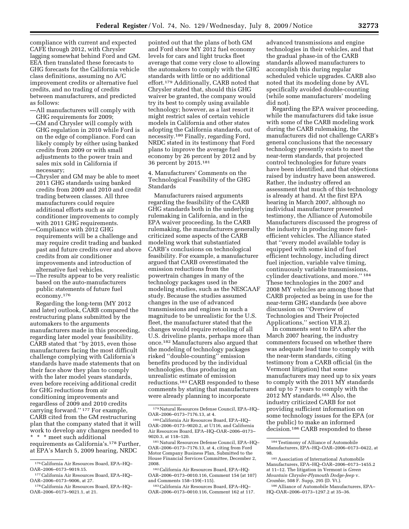compliance with current and expected CAFE through 2012, with Chrysler lagging somewhat behind Ford and GM. EEA then translated these forecasts to GHG forecasts for the California vehicle class definitions, assuming no A/C improvement credits or alternative fuel credits, and no trading of credits between manufacturers, and predicted as follows:

- —All manufacturers will comply with GHG requirements for 2009;
- —GM and Chrysler will comply with GHG regulation in 2010 while Ford is on the edge of compliance. Ford can likely comply by either using banked credits from 2009 or with small adjustments to the power train and sales mix sold in California if necessary;
- —Chrysler and GM may be able to meet 2011 GHG standards using banked credits from 2009 and 2010 and credit trading between classes. All three manufacturers could require additional efforts such as air conditioner improvements to comply with 2011 GHG requirements.
- —Compliance with 2012 GHG requirements will be a challenge and may require credit trading and banked past and future credits over and above credits from air conditioner improvements and introduction of alternative fuel vehicles.
- —The results appear to be very realistic based on the auto-manufacturers public statements of future fuel economy.176

Regarding the long-term (MY 2012 and later) outlook, CARB compared the restructuring plans submitted by the automakers to the arguments manufacturers made in this proceeding, regarding later model year feasibility. CARB stated that ''by 2015, even those manufacturers facing the most difficult challenge complying with California's standards have made statements that on their face show they plan to comply with the later model years standards, even before receiving additional credit for GHG reductions from air conditioning improvements and regardless of 2009 and 2010 credits carrying forward.'' 177 For example, CARB cited from the GM restructuring plan that the company stated that it will work to develop any changes needed to \* \* \* meet such additional requirements as California's.178 Further,

at EPA's March 5, 2009 hearing, NRDC

pointed out that the plans of both GM and Ford show MY 2012 fuel economy levels for cars and light trucks fleet average that come very close to allowing the automakers to comply with the GHG standards with little or no additional effort.179 Additionally, CARB noted that Chrysler stated that, should this GHG waiver be granted, the company would try its best to comply using available technology; however, as a last resort it might restrict sales of certain vehicle models in California and other states adopting the California standards, out of necessity.180 Finally, regarding Ford, NRDC stated in its testimony that Ford plans to improve the average fuel economy by 26 percent by 2012 and by 36 percent by 2015.181

4. Manufacturers' Comments on the Technological Feasibility of the GHG Standards

Manufacturers raised arguments regarding the feasibility of the CARB GHG standards both in the underlying rulemaking in California, and in the EPA waiver proceeding. In the CARB rulemaking, the manufacturers generally criticized some aspects of the CARB modeling work that substantiated CARB's conclusions on technological feasibility. For example, a manufacturer argued that CARB overestimated the emission reductions from the powertrain changes in many of the technology packages used in the modeling studies, such as the NESCAAF study. Because the studies assumed changes in the use of advanced transmissions and engines in such a magnitude to be unrealistic for the U.S. fleet, the manufacturer stated that the changes would require retooling of all U.S. driveline plants, perhaps more than once.182 Manufacturers also argued that the modeling of technology packages risked ''double-counting'' emission benefits produced by the individual technologies, thus producing an unrealistic estimate of emission reductions.183 CARB responded to these comments by stating that manufacturers were already planning to incorporate

183California Air Resources Board, EPA–HQ– OAR–2006–0173–0010.116, Comment 162 at 117. advanced transmissions and engine technologies in their vehicles, and that the gradual phase-in of the CARB standards allowed manufacturers to accomplish this during regular scheduled vehicle upgrades. CARB also noted that its modeling done by AVL specifically avoided double-counting (while some manufacturers' modeling did not).

Regarding the EPA waiver proceeding, while the manufacturers did take issue with some of the CARB modeling work during the CARB rulemaking, the manufacturers did not challenge CARB's general conclusions that the necessary technology presently exists to meet the near-term standards, that projected control technologies for future years have been identified, and that objections raised by industry have been answered. Rather, the industry offered an assessment that much of this technology is already at hand. At the first EPA hearing in March 2007, although no individual manufacturer presented testimony, the Alliance of Automobile Manufacturers discussed the progress of the industry in producing more fuelefficient vehicles. The Alliance stated that ''every model available today is equipped with some kind of fuel efficient technology, including direct fuel injection, variable valve timing, continuously variable transmissions, cylinder deactivations, and more.'' 184 These technologies in the 2007 and 2008 MY vehicles are among those that CARB projected as being in use for the near-term GHG standards (see above discussion on ''Overview of Technologies and Their Projected Applications,'' section VI.B.2).

In comments sent to EPA after the March 2007 hearing, the industry commenters focused on whether there was adequate lead time to comply with the near-term standards, citing testimony from a CARB official (in the Vermont litigation) that some manufacturers may need up to six years to comply with the 2011 MY standards and up to 7 years to comply with the 2012 MY standards.185 Also, the industry criticized CARB for not providing sufficient information on some technology issues for the EPA (or the public) to make an informed decision.186 CARB responded to these

<sup>176</sup>California Air Resources Board, EPA–HQ– OAR–2006–0173–9019.15.

<sup>177</sup>California Air Resources Board, EPA–HQ– OAR–2006–0173–9006, at 27.

<sup>178</sup>California Air Resources Board, EPA–HQ– OAR–2006–0173–9021.1, at 21.

<sup>179</sup>Natural Resources Defense Council, EPA–HQ– OAR–2006–0173–7176.13, at 4.

<sup>180</sup>California Air Resources Board, EPA–HQ– OAR–2006–0173–9020.2, at U116, and California Air Resources Board, EPA–HQ–OAR–2006–0173– 9020.3, at 118–120.

<sup>181</sup>Natural Resources Defense Council, EPA–HQ– OAR–2006–0173–7176.13, at 4, citing from Ford Motor Company Business Plan, Submitted to the House Financial Services Committee, December 2, 2008.

<sup>182</sup>California Air Resources Board, EPA–HQ-OAR–2006–0173–0010.116, Comment 154 (at 107) and Comments 158–159(–115).

<sup>184</sup>Testimony of Alliance of Automobile Manufacturers, EPA–HQ–OAR–2006–0173–0422, at 98.

<sup>185</sup>Association of International Automobile Manufacturers, EPA–HQ–OAR–2006–0173–1455.2 at 11–12. The litigation in Vermont is *Green Mountain Chrysler-Plymouth Dodge-Jeep* v. *Crombie,* 508 F. Supp, 295 (D. Vt.).

<sup>186</sup>Alliance of Automobile Manufacturers, EPA– HQ–OAR–2006–0173–1297.2 at 35–36.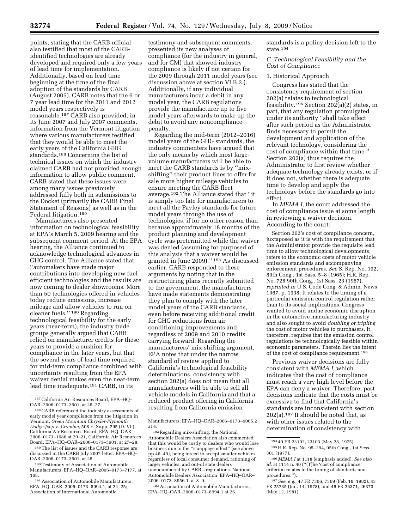points, stating that the CARB official also testified that most of the CARBidentified technologies are already developed and required only a few years of lead time for implementation. Additionally, based on lead time beginning at the time of the final adoption of the standards by CARB (August 2005), CARB notes that the 6 or 7 year lead time for the 2011 and 2012 model years respectively is reasonable.187 CARB also provided, in its June 2007 and July 2007 comments, information from the Vermont litigation where various manufacturers testified that they would be able to meet the early years of the California GHG standards.188 Concerning the list of technical issues on which the industry claimed CARB had not provided enough information to allow public comment, CARB stated that these issues were among many issues previously addressed fully both in submissions to the Docket (primarily the CARB Final Statement of Reasons) as well as in the Federal litigation.189

Manufacturers also presented information on technological feasibility at EPA's March 5, 2009 hearing and the subsequent comment period. At the EPA hearing, the Alliance continued to acknowledge technological advances in GHG control. The Alliance stated that ''automakers have made major contributions into developing new fuel efficient technologies and the results are now coming to dealer showrooms. More than 50 technologies offered in vehicles today reduce emissions, increase mileage and allow vehicles to run on cleaner fuels.'' 190 Regarding technological feasibility for the early years (near-term), the industry trade groups generally argued that CARB relied on manufacturer credits for these years to provide a cushion for compliance in the later years, but that the several years of lead time required for mid-term compliance combined with uncertainty resulting from the EPA waiver denial makes even the near-term lead time inadequate.191 CARB, in its

testimony and subsequent comments, presented its new analyses of compliance (for the industry in general, and for GM) that showed industry compliance is likely if not certain for the 2009 through 2011 model years (see discussion above at section VI.B.3.). Additionally, if any individual manufacturers incur a debit in any model year, the CARB regulations provide the manufacturer up to five model years afterwards to make up the debit to avoid any noncompliance penalty.

Regarding the mid-term (2012–2016) model years of the GHG standards, the industry commenters have argued that the only means by which most largevolume manufacturers will be able to meet the CARB standards is by ''mixshifting'' their product lines to offer for sale more higher mileage vehicles to ensure meeting the CARB fleet average.192 The Alliance stated that ''it is simply too late for manufacturers to meet all the Pavley standards for future model years through the use of technologies, if for no other reason than because approximately 18 months of the product planning and development cycle was pretermitted while the waiver was denied (assuming for purposed of this analysis that a waiver would be granted in June 2009).'' 193 As discussed earlier, CARB responded to these arguments by noting that in the restructuring plans recently submitted to the government, the manufacturers have made statements demonstrating they plan to comply with the later model years of the CARB standards, even before receiving additional credit for GHG reductions from air conditioning improvements and regardless of 2009 and 2010 credits carrying forward. Regarding the manufacturers' mix-shifting argument, EPA notes that under the narrow standard of review applied to California's technological feasibility determinations, consistency with section 202(a) does not mean that all manufacturers will be able to sell all vehicle models in California and that a reduced product offering in California resulting from California emission

193Association of Automobile Manufacturers, EPA–HQ–OAR–2006–0173–8994.1 at 26.

standards is a policy decision left to the state.194

*C. Technological Feasibility and the Cost of Compliance* 

#### 1. Historical Approach

Congress has stated that the consistency requirement of section 202(a) relates to technological feasibility.<sup>195</sup> Section 202(a)(2) states, in part, that any regulation promulgated under its authority ''shall take effect after such period as the Administrator finds necessary to permit the development and application of the relevant technology, considering the cost of compliance within that time.'' Section 202(a) thus requires the Administrator to first review whether adequate technology already exists, or if it does not, whether there is adequate time to develop and apply the technology before the standards go into effect.

In *MEMA I,* the court addressed the cost of compliance issue at some length in reviewing a waiver decision. According to the court:

Section 202's cost of compliance concern, juxtaposed as it is with the requirement that the Administrator provide the requisite lead time to allow technological developments, refers to the economic costs of motor vehicle emission standards and accompanying enforcement procedures. *See* S. Rep. No. 192, 89th Cong., 1st Sass. 5–8 (1965); H.R. Rep. No. 728 90th Cong., 1st Sass. 23 (1967), *reprinted in* U.S. Code Cong. & Admin. News 1967, p. 1938. It relates to the timing of a particular emission control regulation rather than to its social implications. Congress wanted to avoid undue economic disruption in the automotive manufacturing industry and also sought to avoid *doubling or tripling*  the cost of motor vehicles to purchasers. It, therefore, requires that the emission control regulations be technologically feasible within economic parameters. Therein lies the intent of the cost of compliance requirement.196

Previous waiver decisions are fully consistent with *MEMA I,* which indicates that the cost of compliance must reach a very high level before the EPA can deny a waiver. Therefore, past decisions indicate that the costs must be excessive to find that California's standards are inconsistent with section 202(a).197 It should be noted that, as with other issues related to the determination of consistency with

<sup>187</sup>California Air Resources Board, EPA–HQ– OAR–2006–0173–3601, at 26–27.

<sup>188</sup>CARB referenced the industry assessments of early model year compliance from the litigation in Vermont, *Green Mountain Chrysler-Plymouth Dodge-Jeep* v. *Crombie,* 508 F. Supp, 295 (D. Vt.), California Air Resources Board, EPA–HQ–OAR– 2006–0173–1686 at 20–21, California Air Resources Board, EPA–HQ–OAR–2006–0173–3601, at 27–28.

<sup>189</sup>The list of issues and the CARB response are discussed in the CARB July 2007 letter. EPA–HQ– OAR–2006–0173–3601, at 26.

<sup>190</sup>Testimony of Association of Automobile Manufacturers, EPA–HQ–OAR–2006–0173–7177, at 108.

<sup>191</sup>Association of Automobile Manufacturers, EPA–HQ–OAR–2006–0173–8994.1, at 24–25; Association of International Automobile

Manufacturers, EPA–HQ–OAR–2006–0173–9005.2 at 4.

<sup>192</sup>Regarding mix-shifting, the National Automobile Dealers Association also commented that this would be costly to dealers who would lose business due to the ''scrappage effect'' (see above pp 46–49), being forced to accept smaller vehicles regardless of local consumer demand, rationing of larger vehicles, and out-of state dealers unencumbered by CARB's regulations. National Automobile Dealers Association, EPA–HQ–OAR– 2006–0173–8956.1, at 8–9.

<sup>194</sup> 40 FR 23102, 23103 (May 28, 1975).

<sup>195</sup>H.R. Rep. No. 95–294, 95th Cong., 1st Sess. 301 (1977).

<sup>196</sup> *MEMA I* at 1118 (emphasis added). *See also id.* at 1114 n. 40 (''[T]he 'cost of compliance' criterion relates to the timing of standards and procedures.'').

<sup>197</sup>*See, e.g.,* 47 FR 7306, 7309 (Feb. 18, 1982), 43 FR 25735 (Jun. 14, 1978), and 46 FR 26371, 26373 (May 12, 1981).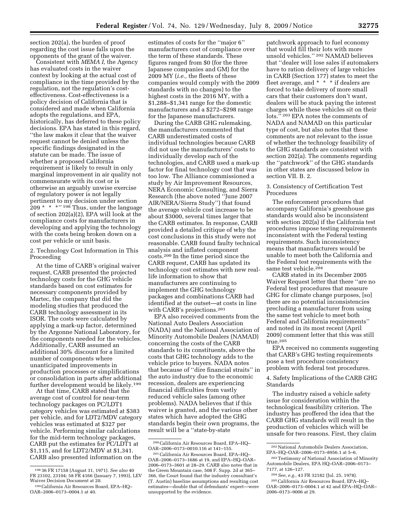section 202(a), the burden of proof regarding the cost issue falls upon the opponents of the grant of the waiver.

Consistent with *MEMA I,* the Agency has evaluated costs in the waiver context by looking at the actual cost of compliance in the time provided by the regulation, not the regulation's costeffectiveness. Cost-effectiveness is a policy decision of California that is considered and made when California adopts the regulations, and EPA, historically, has deferred to these policy decisions. EPA has stated in this regard, ''the law makes it clear that the waiver request cannot be denied unless the specific findings designated in the statute can be made. The issue of whether a proposed California requirement is likely to result in only marginal improvement in air quality not commensurate with its cost or is otherwise an arguably unwise exercise of regulatory power is not legally pertinent to my decision under section  $209 * * * "198$  Thus, under the language of section 202(a)(2), EPA will look at the compliance costs for manufacturers in developing and applying the technology with the costs being broken down on a cost per vehicle or unit basis.

2. Technology Cost Information in This Proceeding

At the time of CARB's original waiver request, CARB presented the projected technology costs for the GHG vehicle standards based on cost estimates for necessary components provided by Martec, the company that did the modeling studies that produced the CARB technology assessment in its ISOR. The costs were calculated by applying a mark-up factor, determined by the Argonne National Laboratory, for the components needed for the vehicles. Additionally, CARB assumed an additional 30% discount for a limited number of components where unanticipated improvements in production processes or simplifications or consolidation in parts after additional further development would be likely.199

At that time, CARB stated that the average cost of control for near-term technology packages on PC/LDT1 category vehicles was estimated at \$383 per vehicle, and for LDT2/MDV category vehicles was estimated at \$327 per vehicle. Performing similar calculations for the mid-term technology packages, CARB put the estimates for PC/LDT1 at \$1,115, and for LDT2/MDV at \$1,341. CARB also presented information on the estimates of costs for the ''major 6'' manufacturers cost of compliance over the term of these standards. These figures ranged from \$0 (for the three Japanese companies and GM) for the 2009 MY (*i.e.,* the fleets of these companies would comply with the 2009 standards with no changes) to the highest costs in the 2016 MY, with a \$1,288–\$1,341 range for the domestic manufacturers and a \$272–\$298 range for the Japanese manufacturers.

During the CARB GHG rulemaking, the manufacturers commented that CARB underestimated costs of individual technologies because CARB did not use the manufacturers' costs to individually develop each of the technologies, and CARB used a mark-up factor for final technology cost that was too low. The Alliance commissioned a study by Air Improvement Resources, NERA Economic Consulting, and Sierra Research (the above noted ''June 2007 AIR/NERA/Sierra Study'') that found the average vehicle cost increase to be about \$3000, several times larger that the CARB estimates. In response, CARB provided a detailed critique of why the cost conclusions in this study were not reasonable. CARB found faulty technical analysis and inflated component costs.200 In the time period since the CARB request, CARB has updated its technology cost estimates with new reallife information to show that manufacturers are continuing to implement the GHG technology packages and combinations CARB had identified at the outset—at costs in line with CARB's projections.201

EPA also received comments from the National Auto Dealers Association (NADA) and the National Association of Minority Automobile Dealers (NAMAD) concerning the costs of the CARB standards to its constituents, above the costs that GHG technology adds to the vehicle price to buyers. NADA notes that because of ''dire financial straits'' in the auto industry due to the economic recession, dealers are experiencing financial difficulties from vastly reduced vehicle sales (among other problems). NADA believes that if this waiver is granted, and the various other states which have adopted the GHG standards begin their own programs, the result will be a ''state-by-state

patchwork approach to fuel economy that would fill their lots with more unsold vehicles.'' 202 NAMAD believes that ''dealer will lose sales if automakers have to ration delivery of large vehicles in CARB (Section 177) states to meet the fleet average, and \* \* \* if dealers are forced to take delivery of more small cars that their customers don't want, dealers will be stuck paying the interest charges while these vehicles sit on their lots.'' 203 EPA notes the comments of NADA and NAMAD on this particular type of cost, but also notes that these comments are not relevant to the issue of whether the technology feasibility of the GHG standards are consistent with section 202(a). The comments regarding the ''patchwork'' of the GHG standards in other states are discussed below in section VII. B. 2.

#### 3. Consistency of Certification Test Procedures

The enforcement procedures that accompany California's greenhouse gas standards would also be inconsistent with section 202(a) if the California test procedures impose testing requirements inconsistent with the Federal testing requirements. Such inconsistency means that manufacturers would be unable to meet both the California and the Federal test requirements with the same test vehicle.<sup>204</sup>

CARB stated in its December 2005 Waiver Request letter that there ''are no Federal test procedures that measure GHG for climate change purposes, [so] there are no potential inconsistencies precluding a manufacturer from using the same test vehicle to meet both Federal and California requirements'' and noted in its most recent (April 2009) comment letter that this was still true.205

EPA received no comments suggesting that CARB's GHG testing requirements pose a test procedure consistency problem with federal test procedures.

4. Safety Implications of the CARB GHG **Standards** 

The industry raised a vehicle safety issue for consideration within the technological feasibility criterion. The industry has proffered the idea that the CARB GHG standards will result in the production of vehicles which will be unsafe for two reasons. First, they claim

<sup>198</sup> 36 FR 17158 (August 31, 1971). *See also* 40 FR 23102, 23104; 58 FR 4166 (January 7, 1993), LEV

<sup>&</sup>lt;sup>199</sup> California Air Resources Board, EPA–HQ– OAR–2006–0173–0004.1 at 40.

<sup>200</sup>California Air Resources Board, EPA–HQ– OAR–2006–0173–0010.116 at 141–155.

<sup>201</sup>California Air Resources Board, EPA–HQ– OAR–2006–0173–1686 at 19, and EPA–HQ–OAR– 2006–0173–3601 at 28–29. CARB also notes that in the Green Mountain case, 508 F. Supp. 2d at 365– 366, the Court found that the industry consultant's (T. Austin) baseline assumptions and resulting cost estimates—double that of defendants' expert—were unsupported by the evidence.

<sup>202</sup>National Automobile Dealers Association, EPA–HQ–OAR–2006–0173–8956.1 at 5–6.

<sup>203</sup>Testimony of National Association of Minority Automobile Dealers, EPA HQ–OAR–2006–0173– 7177, at 126–127.

<sup>204</sup>*See, e.g.,* 43 FR 32182 (Jul. 25, 1978). 205California Air Resources Board, EPA–HQ– OAR–2006–0173–0004.1 at 42 and EPA–HQ–OAR– 2006–0173–9006 at 29.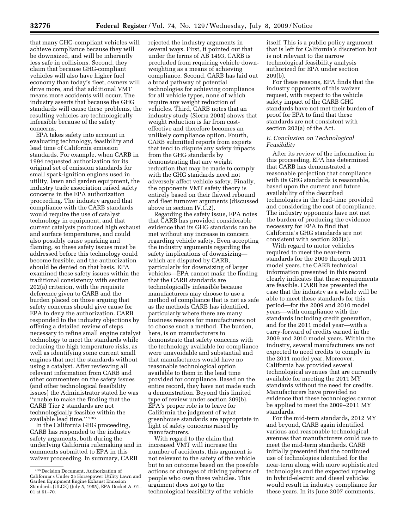that many GHG-compliant vehicles will achieve compliance because they will be downsized, and will be inherently less safe in collisions. Second, they claim that because GHG-compliant vehicles will also have higher fuel economy than today's fleet, owners will drive more, and that additional VMT means more accidents will occur. The industry asserts that because the GHG standards will cause these problems, the resulting vehicles are technologically infeasible because of the safety concerns.

EPA takes safety into account in evaluating technology, feasibility and lead time of California emission standards. For example, when CARB in 1994 requested authorization for its original set of emission standards for small spark-ignition engines used in utility, lawn and garden equipment, the industry trade association raised safety concerns in the EPA authorization proceeding. The industry argued that compliance with the CARB standards would require the use of catalyst technology in equipment, and that current catalysts produced high exhaust and surface temperatures, and could also possibly cause sparking and flaming, so these safety issues must be addressed before this technology could become feasible, and the authorization should be denied on that basis. EPA examined these safety issues within the traditional consistency with section 202(a) criterion, with the requisite deference given to CARB and the burden placed on those arguing that safety concerns should give cause for EPA to deny the authorization. CARB responded to the industry objections by offering a detailed review of steps necessary to refine small engine catalyst technology to meet the standards while reducing the high temperature risks, as well as identifying some current small engines that met the standards without using a catalyst. After reviewing all relevant information from CARB and other commenters on the safety issues (and other technological feasibility issues) the Administrator stated he was ''unable to make the finding that the CARB Tier 2 standards are not technologically feasible within the available lead time.'' 206

In the California GHG proceeding, CARB has responded to the industry safety arguments, both during the underlying California rulemaking and in comments submitted to EPA in this waiver proceeding. In summary, CARB

rejected the industry arguments in several ways. First, it pointed out that under the terms of AB 1493, CARB is precluded from requiring vehicle downweighting as a means of achieving compliance. Second, CARB has laid out a broad pathway of potential technologies for achieving compliance for all vehicle types, none of which require any weight reduction of vehicles. Third, CARB notes that an industry study (Sierra 2004) shows that weight reduction is far from costeffective and therefore becomes an unlikely compliance option. Fourth, CARB submitted reports from experts that tend to dispute any safety impacts from the GHG standards by demonstrating that any weight reduction that may be made to comply with the GHG standards need not adversely affect vehicle safety. Finally, the opponents VMT safety theory is entirely based on their flawed rebound and fleet turnover arguments (discussed above in section IV.C.2).

Regarding the safety issue, EPA notes that CARB has provided considerable evidence that its GHG standards can be met without any increase in concern regarding vehicle safety. Even accepting the industry arguments regarding the safety implications of downsizing which are disputed by CARB, particularly for downsizing of larger vehicles—EPA cannot make the finding that the CARB standards are technologically infeasible because manufacturers may choose to use a method of compliance that is not as safe as the methods CARB has identified, particularly where there are many business reasons for manufacturers not to choose such a method. The burden, here, is on manufacturers to demonstrate that safety concerns with the technology available for compliance were unavoidable and substantial and that manufacturers would have no reasonable technological option available to them in the lead time provided for compliance. Based on the entire record, they have not made such a demonstration. Beyond this limited type of review under section 209(b), EPA's proper role is to leave for California the judgment of what greenhouse standards are appropriate in light of safety concerns raised by manufacturers.

With regard to the claim that increased VMT will increase the number of accidents, this argument is not relevant to the safety of the vehicle but to an outcome based on the possible actions or changes of driving patterns of people who own these vehicles. This argument does not go to the technological feasibility of the vehicle

itself. This is a public policy argument that is left for California's discretion but is not relevant to the narrow technological feasibility analysis authorized for EPA under section 209(b).

For these reasons, EPA finds that the industry opponents of this waiver request, with respect to the vehicle safety impact of the CARB GHG standards have not met their burden of proof for EPA to find that these standards are not consistent with section 202(a) of the Act.

#### *E. Conclusion on Technological Feasibility*

After its review of the information in this proceeding, EPA has determined that CARB has demonstrated a reasonable projection that compliance with its GHG standards is reasonable, based upon the current and future availability of the described technologies in the lead-time provided and considering the cost of compliance. The industry opponents have not met the burden of producing the evidence necessary for EPA to find that California's GHG standards are not consistent with section 202(a).

With regard to motor vehicles required to meet the near-term standards for the 2009 through 2011 model years, the CARB technical information presented in this record clearly indicates that these requirements are feasible. CARB has presented the case that the industry as a whole will be able to meet these standards for this period—for the 2009 and 2010 model years—with compliance with the standards including credit generation, and for the 2011 model year—with a carry-forward of credits earned in the 2009 and 2010 model years. Within the industry, several manufacturers are not expected to need credits to comply in the 2011 model year. Moreover, California has provided several technological avenues that are currently available for meeting the 2011 MY standards without the need for credits. Manufacturers have provided no evidence that these technologies cannot be applied to meet the 2009–2011 MY standards.

For the mid-term standards, 2012 MY and beyond, CARB again identified various and reasonable technological avenues that manufacturers could use to meet the mid-term standards. CARB initially presented that the continued use of technologies identified for the near-term along with more sophisticated technologies and the expected upswing in hybrid-electric and diesel vehicles would result in industry compliance for these years. In its June 2007 comments,

<sup>206</sup> Decision Document, Authorization of California's Under 25 Horsepower Utility Lawn and Garden Equipment Engine Exhaust Emission Standards (ULGE) (July 5, 1995), EPA Docket A–91– 01 at 61–70.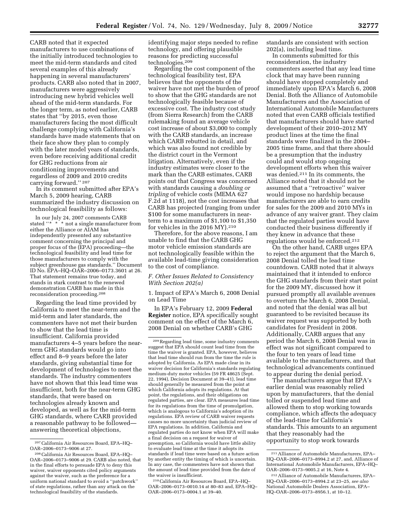CARB noted that it expected manufacturers to use combinations of the initially introduced technologies to meet the mid-term standards and cited several examples of this already happening in several manufacturers' products. CARB also noted that in 2007, manufacturers were aggressively introducing new hybrid vehicles well ahead of the mid-term standards. For the longer term, as noted earlier, CARB states that ''by 2015, even those manufacturers facing the most difficult challenge complying with California's standards have made statements that on their face show they plan to comply with the later model years of standards, even before receiving additional credit for GHG reductions from air conditioning improvements and regardless of 2009 and 2010 credits carrying forward.'' 207

In its comment submitted after EPA's March 5, 2009 hearing, CARB summarized the industry discussion on technological feasibility as follows:

In our July 24, 2007 comments CARB stated ''\* \* \* not a single manufacturer from either the Alliance or AIAM has independently presented any substantive comment concerning the principal and proper focus of the (EPA) proceeding—the technological feasibility and lead time for those manufacturers to comply with the subject greenhouse gas standards.'' Document ID No. EPA–HQ–OAR–2006–0173.3601 at 26. That statement remains true today, and stands in stark contrast to the renewed demonstration CARB has made in this reconsideration proceeding.208

Regarding the lead time provided by California to meet the near-term and the mid-term and later standards, the commenters have not met their burden to show that the lead time is insufficient. California provided manufacturers 4–5 years before the nearterm GHG standards would go into effect and 8–9 years before the later standards, giving substantial time for development of technologies to meet the standards. The industry commenters have not shown that this lead time was insufficient, both for the near-term GHG standards, that were based on technologies already known and developed, as well as for the mid-term GHG standards, where CARB provided a reasonable pathway to be followed answering theoretical objections,

identifying major steps needed to refine technology, and offering plausible reasons for predicting successful technologies.209

Regarding the cost component of the technological feasibility test, EPA believes that the opponents of the waiver have not met the burden of proof to show that the GHG standards are not technologically feasible because of excessive cost. The industry cost study (from Sierra Research) from the CARB rulemaking found an average vehicle cost increase of about \$3,000 to comply with the CARB standards, an increase which CARB rebutted in detail, and which was also found not credible by the district court in the Vermont litigation. Alternatively, even if the industry estimates were closer to the mark than the CARB estimates, CARB points out that Congress was concerned with standards causing a *doubling or tripling* of vehicle costs (MEMA 627 F.2d at 1118), not the cost increases that CARB has projected (ranging from under \$100 for some manufacturers in nearterm to a maximum of \$1,100 to \$1,350 for vehicles in the 2016 MY).210

Therefore, for the above reasons, I am unable to find that the CARB GHG motor vehicle emission standards are not technologically feasible within the available lead-time giving consideration to the cost of compliance.

#### *F. Other Issues Related to Consistency With Section 202(a)*

1. Impact of EPA's March 6, 2008 Denial on Lead Time

In EPA's February 12, 2009 **Federal Register** notice, EPA specifically sought comment on the effect of the March 6, 2008 Denial on whether CARB's GHG

210California Air Resources Board, EPA–HQ– OAR–2006–0173–0010.14 at 80–83 and, EPA–HQ– OAR–2006–0173–0004.1 at 39–40.

standards are consistent with section 202(a), including lead time.

In comments submitted for this reconsideration, the industry commenters asserted that any lead time clock that may have been running should have stopped completely and immediately upon EPA's March 6, 2008 Denial. Both the Alliance of Automobile Manufacturers and the Association of International Automobile Manufacturers noted that even CARB officials testified that manufacturers should have started development of their 2010–2012 MY product lines at the time the final standards were finalized in the 2004– 2005 time frame, and that there should be a presumption that the industry could and would stop ongoing development efforts when this waiver was denied.211 In its comments, the Alliance noted that it should not be assumed that a ''retroactive'' waiver would impose no hardship because manufacturers are able to earn credits for sales for the 2009 and 2010 MYs in advance of any waiver grant. They claim that the regulated parties would have conducted their business differently if they knew in advance that these regulations would be enforced.212

On the other hand, CARB urges EPA to reject the argument that the March 6, 2008 Denial tolled the lead time countdown. CARB noted that it always maintained that it intended to enforce the GHG standards from their start point for the 2009 MY, discussed how it pursued promptly all available avenues to overturn the March 6, 2008 Denial, and noted that the denial was all but guaranteed to be revisited because its waiver request was supported by both candidates for President in 2008. Additionally, CARB argues that any period the March 6, 2008 Denial was in effect was not significant compared to the four to ten years of lead time available to the manufacturers, and that technological advancements continued to appear during the denial period.

The manufacturers argue that EPA's earlier denial was reasonably relied upon by manufacturers, that the denial tolled or suspended lead time and allowed them to stop working towards compliance, which affects the adequacy of the lead-time for California's standards. This amounts to an argument that they reasonably had the opportunity to stop work towards

<sup>207</sup>California Air Resources Board, EPA–HQ– OAR–2006–0173–9006 at 27.

<sup>208</sup>California Air Resources Board, EPA–HQ– OAR–2006–0173–9006 at 29. CARB also noted, that in the final efforts to persuade EPA to deny this waiver, waiver opponents cited policy arguments against the waiver, such as the preference for a uniform national standard to avoid a ''patchwork'' of state regulations, rather than any attack on the technological feasibility of the standards.

<sup>209</sup>Regarding lead time, some industry comments suggest that EPA should count lead time from the time the waiver is granted. EPA, however, believes that lead time should run from the time the rule is adopted by California. As EPA made clear in its waiver decision for California's standards regulating medium-duty motor vehicles (59 FR 48625 (Sept. 22, 1994), Decision Document at 39–41), lead time should generally be measured from the point at which California adopts its regulations. At that point, the regulations, and their obligations on regulated parties, are clear. EPA measures lead time for its regulations from the time of promulgation, which is analogous to California's adoption of its regulations. EPA review of CARB waiver requests causes no more uncertainty than judicial review of EPA regulations. In addition, California and regulated parties do not know when EPA will make a final decision on a request for waiver of preemption, so California would have little ability to evaluate lead time at the time it adopts its standards if lead time were based on a future action by another entity the timing of which is uncertain. In any case, the commenters have not shown that the amount of lead time provided from the date of the waiver is insufficient.

<sup>211</sup>Alliance of Automobile Manufacturers, EPA– HQ–OAR–2006–0173–8994.2 at 27, and, Alliance of International Automobile Manufacturers, EPA–HQ– OAR–2006–0173–9005.2 at 16, Note 4.

<sup>212</sup>Alliance of Automobile Manufacturers, EPA– HQ–OAR–2006–0173–8994.2 at 23–25, *see also*  National Automobile Dealers Association, EPA– HQ–OAR–2006–0173–8956.1, at 10–12.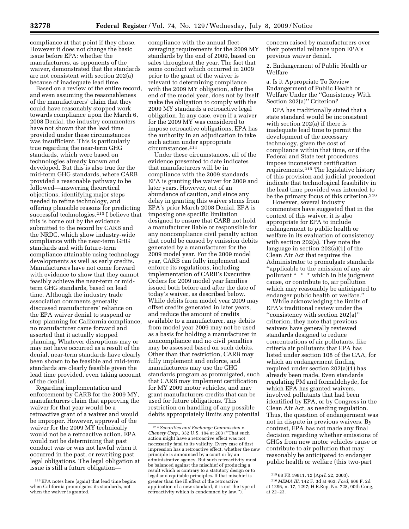compliance at that point if they chose. However it does not change the basic issue before EPA: whether the manufacturers, as opponents of the waiver, demonstrated that the standards are not consistent with section 202(a) because of inadequate lead time.

Based on a review of the entire record, and even assuming the reasonableness of the manufacturers' claim that they could have reasonably stopped work towards compliance upon the March 6, 2008 Denial, the industry commenters have not shown that the lead time provided under these circumstances was insufficient. This is particularly true regarding the near-term GHG standards, which were based on technologies already known and developed. But this is also true for the mid-term GHG standards, where CARB provided a reasonable pathway to be followed—answering theoretical objections, identifying major steps needed to refine technology, and offering plausible reasons for predicting successful technologies.213 I believe that this is borne out by the evidence submitted to the record by CARB and the NRDC, which show industry-wide compliance with the near-term GHG standards and with future-term compliance attainable using technology developments as well as early credits. Manufacturers have not come forward with evidence to show that they cannot feasibly achieve the near-term or midterm GHG standards, based on lead time. Although the industry trade association comments generally discussed manufacturers' reliance on the EPA waiver denial to suspend or stop planning for California compliance, no manufacturer came forward and asserted that it actually stopped planning. Whatever disruptions may or may not have occurred as a result of the denial, near-term standards have clearly been shown to be feasible and mid-term standards are clearly feasible given the lead time provided, even taking account of the denial.

Regarding implementation and enforcement by CARB for the 2009 MY, manufacturers claim that approving the waiver for that year would be a retroactive grant of a waiver and would be improper. However, approval of the waiver for the 2009 MY technically would not be a retroactive action. EPA would not be determining that past conduct was or was not lawful when it occurred in the past, or rewriting past legal obligations. The legal obligation at issue is still a future obligation—

compliance with the annual fleetaveraging requirements for the 2009 MY standards by the end of 2009, based on sales throughout the year. The fact that some conduct which occurred in 2009 prior to the grant of the waiver is relevant to determining compliance with the 2009 MY obligation, after the end of the model year, does not by itself make the obligation to comply with the 2009 MY standards a retroactive legal obligation. In any case, even if a waiver for the 2009 MY was considered to impose retroactive obligations, EPA has the authority in an adjudication to take such action under appropriate circumstances.214

Under these circumstances, all of the evidence presented to date indicates that manufacturers will be in compliance with the 2009 standards. EPA is granting the waiver for 2009 and later years. However, out of an abundance of caution, and since any delay in granting this waiver stems from EPA's prior March 2008 Denial, EPA is imposing one specific limitation designed to ensure that CARB not hold a manufacturer liable or responsible for any noncompliance civil penalty action that could be caused by emission debits generated by a manufacturer for the 2009 model year. For the 2009 model year, CARB can fully implement and enforce its regulations, including implementation of CARB's Executive Orders for 2009 model year families issued both before and after the date of today's waiver, as described below. While debits from model year 2009 may offset credits generated in later years, and reduce the amount of credits available to a manufacturer, any debits from model year 2009 may not be used as a basis for holding a manufacturer in noncompliance and no civil penalties may be assessed based on such debits. Other than that restriction, CARB may fully implement and enforce, and manufacturers may use the GHG standards program as promulgated, such that CARB may implement certification for MY 2009 motor vehicles, and may grant manufacturers credits that can be used for future obligations. This restriction on handling of any possible debits appropriately limits any potential concern raised by manufacturers over their potential reliance upon EPA's previous waiver denial.

2. Endangerment of Public Health or Welfare

a. Is it Appropriate To Review Endangerment of Public Health or Welfare Under the ''Consistency With Section 202(a)" Criterion?

EPA has traditionally stated that a state standard would be inconsistent with section 202(a) if there is inadequate lead time to permit the development of the necessary technology, given the cost of compliance within that time, or if the Federal and State test procedures impose inconsistent certification requirements.215 The legislative history of this provision and judicial precedent indicate that technological feasibility in the lead time provided was intended to be the primary focus of this criterion.<sup>216</sup>

However, several industry commenters have suggested that in the context of this waiver, it is also appropriate for EPA to include endangerment to public health or welfare in its evaluation of consistency with section 202(a). They note the language in section 202(a)(1) of the Clean Air Act that requires the Administrator to promulgate standards ''applicable to the emission of any air pollutant \* \* \* which in his judgment cause, or contribute to, air pollution which may reasonably be anticipated to endanger public health or welfare.''

While acknowledging the limits of EPA's traditional review under the ''consistency with section 202(a)'' criterion, they note that previous waivers have generally reviewed standards designed to reduce concentrations of air pollutants, like criteria air pollutants that EPA has listed under section 108 of the CAA, for which an endangerment finding required under section 202(a)(1) has already been made. Even standards regulating PM and formaldehyde, for which EPA has granted waivers, involved pollutants that had been identified by EPA, or by Congress in the Clean Air Act, as needing regulation. Thus, the question of endangerment was not in dispute in previous waivers. By contrast, EPA has not made any final decision regarding whether emissions of GHGs from new motor vehicles cause or contribute to air pollution that may reasonably be anticipated to endanger public health or welfare (this two-part

<sup>213</sup>EPA notes here (again) that lead time begins when California promulgates its standards, not when the waiver is granted.

<sup>214</sup>*Securities and Exchange Commission* v. *Chenery Corp.,* 332 U.S. 194 at 203 (''That such action might have a retroactive effect was not necessarily fatal to its validity. Every case of first impression has a retroactive effect, whether the new principle is announced by a court or by an administrative agency. But such retroactivity must be balanced against the mischief of producing a result which is contrary to a statutory design or to legal and equitable principles. If that mischief is greater than the ill effect of the retroactive application of a new standard, it is not the type of retroactivity which is condemned by law.'').

<sup>215</sup> 68 FR 19811, 12 (April 22, 2003).

<sup>216</sup> *MEMA III,* 142 F. 3d at 463; *Ford,* 606 F. 2d at 1296, n. 17, 1297; H.R.Rep, No. 728, 90th Cong, at 22–23.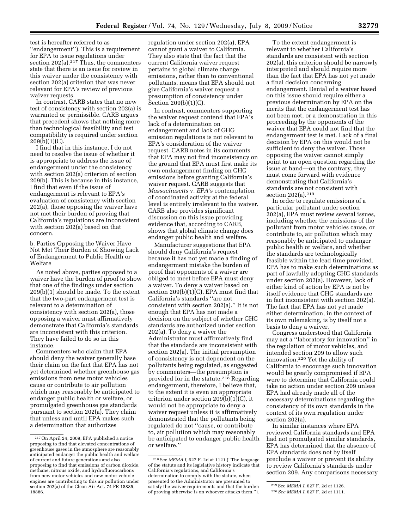test is hereafter referred to as ''endangerment''). This is a requirement for EPA to issue regulations under section  $202(a).^{217}$  Thus, the commenters state that there is an issue for review in this waiver under the consistency with section 202(a) criterion that was never relevant for EPA's review of previous waiver requests.

In contrast, CARB states that no new test of consistency with section 202(a) is warranted or permissible. CARB argues that precedent shows that nothing more than technological feasibility and test compatibility is required under section 209(b)(1)(C).

I find that in this instance, I do not need to resolve the issue of whether it is appropriate to address the issue of endangerment under the consistency with section 202(a) criterion of section 209(b). This is because in this instance, I find that even if the issue of endangerment is relevant to EPA's evaluation of consistency with section 202(a), those opposing the waiver have not met their burden of proving that California's regulations are inconsistent with section 202(a) based on that concern.

b. Parties Opposing the Waiver Have Not Met Their Burden of Showing Lack of Endangerment to Public Health or Welfare

As noted above, parties opposed to a waiver have the burden of proof to show that one of the findings under section 209(b)(1) should be made. To the extent that the two-part endangerment test is relevant to a determination of consistency with section 202(a), those opposing a waiver must affirmatively demonstrate that California's standards are inconsistent with this criterion. They have failed to do so in this instance.

Commenters who claim that EPA should deny the waiver generally base their claim on the fact that EPA has not yet determined whether greenhouse gas emissions from new motor vehicles cause or contribute to air pollution which may reasonably be anticipated to endanger public health or welfare, or promulgated greenhouse gas standards pursuant to section 202(a). They claim that unless and until EPA makes such a determination that authorizes

regulation under section 202(a), EPA cannot grant a waiver to California. They also state that the fact that the current California waiver request pertains to global climate change emissions, rather than to conventional pollutants, means that EPA should not give California's waiver request a presumption of consistency under Section 209(b)(1)(C).

In contrast, commenters supporting the waiver request contend that EPA's lack of a determination on endangerment and lack of GHG emission regulations is not relevant to EPA's consideration of the waiver request. CARB notes in its comments that EPA may not find inconsistency on the ground that EPA must first make its own endangerment finding on GHG emissions before granting California's waiver request. CARB suggests that *Massachusetts* v. *EPA'*s contemplation of coordinated activity at the federal level is entirely irrelevant to the waiver. CARB also provides significant discussion on this issue providing evidence that, according to CARB, shows that global climate change does endanger public health and welfare.

Manufacturer suggestions that EPA should deny California's request because it has not yet made a finding of endangerment mistake the burden of proof that opponents of a waiver are obliged to meet before EPA must deny a waiver. To deny a waiver based on section 209(b)(1)(C), EPA must find that California's standards ''are not consistent with section 202(a).'' It is not enough that EPA has not made a decision on the subject of whether GHG standards are authorized under section 202(a). To deny a waiver the Administrator must affirmatively find that the standards are inconsistent with section 202(a). The initial presumption of consistency is not dependent on the pollutants being regulated, as suggested by commenters—the presumption is provided for in the statute.218 Regarding endangerment, therefore, I believe that, to the extent it is even an appropriate criterion under section 209(b)(1)(C), it would not be appropriate to deny a waiver request unless it is affirmatively demonstrated that the pollutants being regulated do not ''cause, or contribute to, air pollution which may reasonably be anticipated to endanger public health or welfare.''

To the extent endangerment is relevant to whether California's standards are consistent with section 202(a), this criterion should be narrowly interpreted and should require more than the fact that EPA has not yet made a final decision concerning endangerment. Denial of a waiver based on this issue should require either a previous determination by EPA on the merits that the endangerment test has not been met, or a demonstration in this proceeding by the opponents of the waiver that EPA could not find that the endangerment test is met. Lack of a final decision by EPA on this would not be sufficient to deny the waiver. Those opposing the waiver cannot simply point to an open question regarding the issue at hand—on the contrary, they must come forward with evidence demonstrating that California's standards are not consistent with section 202(a).219

In order to regulate emissions of a particular pollutant under section 202(a), EPA must review several issues, including whether the emissions of the pollutant from motor vehicles cause, or contribute to, air pollution which may reasonably be anticipated to endanger public health or welfare, and whether the standards are technologically feasible within the lead time provided. EPA has to make such determinations as part of lawfully adopting GHG standards under section 202(a). However, lack of either kind of action by EPA is not by itself evidence that GHG standards are in fact inconsistent with section 202(a). The fact that EPA has not yet made either determination, in the context of its own rulemaking, is by itself not a basis to deny a waiver.

Congress understood that California may act a ''laboratory for innovation'' in the regulation of motor vehicles, and intended section 209 to allow such innovation.220 Yet the ability of California to encourage such innovation would be greatly compromised if EPA were to determine that California could take no action under section 209 unless EPA had already made all of the necessary determinations regarding the consistency of its own standards in the context of its own regulation under section 202(a).

In similar instances where EPA reviewed California standards and EPA had not promulgated similar standards, EPA has determined that the absence of EPA standards does not by itself preclude a waiver or prevent its ability to review California's standards under section 209. Any comparisons necessary

<sup>217</sup>On April 24, 2009, EPA published a notice proposing to find that elevated concentrations of greenhouse gases in the atmosphere are reasonably anticipated endanger the public health and welfare of current and future generations and also proposing to find that emissions of carbon dioxide, methane, nitrous oxide, and hydrofluorocarbons from new motor vehicles and new motor vehicle engines are contributing to this air pollution under section 202(a) of the Clean Air Act. 74 FR 18885, 18886.

<sup>218</sup>See *MEMA I,* 627 F. 2d at 1121 (''The language of the statute and its legislative history indicate that California's regulations, and California's determination to comply with the statute, when presented to the Administrator are presumed to satisfy the waiver requirements and that the burden of proving otherwise is on whoever attacks them.'').

<sup>219</sup>See *MEMA I,* 627 F. 2d at 1126.

<sup>220</sup>*See MEMA I,* 627 F. 2d at 1111.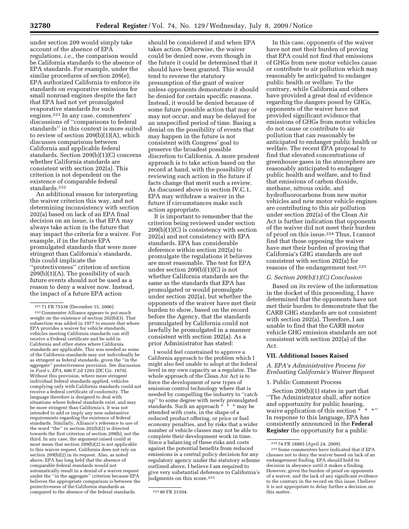under section 209 would simply take account of the absence of EPA regulations, *i.e.,* the comparison would be California standards to the absence of EPA standards. For example, under the similar procedures of section 209(e), EPA authorized California to enforce its standards on evaporative emissions for small nonroad engines despite the fact that EPA had not yet promulgated evaporative standards for such engines.221 In any case, commenters' discussions of ''comparisons to federal standards'' in this context is more suited to review of section 209(b)(1)(A), which discusses comparisons between California and applicable federal standards. Section 209(b)(1)(C) concerns whether California standards are consistent with section 202(a). This criterion is not dependent on the existence of comparable federal standards.222

An additional reason for interpreting the waiver criterion this way, and not determining inconsistency with section 202(a) based on lack of an EPA final decision on an issue, is that EPA may always take action in the future that may impact the criteria for a waiver. For example, if in the future EPA promulgated standards that were more stringent than California's standards, this could implicate the ''protectiveness'' criterion of section  $209(b)(1)(A)$ . The possibility of such future events should not be used as a reason to deny a waiver now. Instead, the impact of a future EPA action

should be considered if and when EPA takes action. Otherwise, the waiver could be denied now, even though in the future it could be determined that it should have been granted. This would tend to reverse the statutory presumption of the grant of waiver unless opponents demonstrate it should be denied for certain specific reasons. Instead, it would be denied because of some future possible action that may or may not occur, and may be delayed for an unspecified period of time. Basing a denial on the possibility of events that may happen in the future is not consistent with Congress' goal to preserve the broadest possible discretion to California. A more prudent approach is to take action based on the record at hand, with the possibility of reviewing such action in the future if facts change that merit such a review. As discussed above in section IV.C.1, EPA may withdraw a waiver in the future if circumstances make such action appropriate.

It is important to remember that the criterion being reviewed under section  $209(b)(1)(C)$  is consistency with section 202(a) and not consistency with EPA standards. EPA has considerable deference within section 202(a) to promulgate the regulations it believes are most reasonable. The test for EPA under section 209(b)(1)(C) is not whether California standards are the same as the standards that EPA has promulgated or would promulgate under section 202(a), but whether the opponents of the waiver have met their burden to show, based on the record before the Agency, that the standards promulgated by California could not lawfully be promulgated in a manner consistent with section 202(a). As a prior Administrator has stated:

I would feel constrained to approve a California approach to the problem which I might also feel unable to adopt at the federal level in my own capacity as a regulator. The whole approach of the Clean Air Act is to force the development of new types of emission control technology where that is needed by compelling the industry to ''catch up'' to some degree with newly promulgated standards. Such an approach \* \* \* may be standards. Such an approach \* \* \* n<br>attended with costs, in the shape of a reduced product offering, or price or fuel economy penalties, and by risks that a wider number of vehicle classes may not be able to complete their development work in time. Since a balancing of these risks and costs against the potential benefits from reduced emissions is a central policy decision for any regulatory agency under the statutory scheme outlined above, I believe I am required to give very substantial deference to California's judgments on this score.<sup>223</sup>

In this case, opponents of the waiver have not met their burden of proving that EPA could not find that emissions of GHGs from new motor vehicles cause or contribute to air pollution which may reasonably be anticipated to endanger public health or welfare. To the contrary, while California and others have provided a great deal of evidence regarding the dangers posed by GHGs, opponents of the waiver have not provided significant evidence that emissions of GHGs from motor vehicles do not cause or contribute to air pollution that can reasonably be anticipated to endanger public health or welfare. The recent EPA proposal to find that elevated concentrations of greenhouse gases in the atmosphere are reasonably anticipated to endanger public health and welfare, and to find that emissions of carbon dioxide, methane, nitrous oxide, and hydrofluorocarbons from new motor vehicles and new motor vehicle engines are contributing to this air pollution under section 202(a) of the Clean Air Act is further indication that opponents of the waiver did not meet their burden of proof on this issue.224 Thus, I cannot find that those opposing the waiver have met their burden of proving that California's GHG standards are not consistent with section 202(a) for reasons of the endangerment test.225

#### *G. Section 209(b)(1)(C) Conclusion*

Based on its review of the information in the docket of this proceeding, I have determined that the opponents have not met their burden to demonstrate that the CARB GHG standards are not consistent with section 202(a). Therefore, I am unable to find that the CARB motor vehicle GHG emission standards are not consistent with section 202(a) of the Act.

#### **VII. Additional Issues Raised**

#### *A. EPA's Administrative Process for Evaluating California's Waiver Request*

#### 1. Public Comment Process

Section 209(b)(1) states in part that ''The Administrator shall, after notice and opportunity for public hearing, waive application of this section \* \* In response to this language, EPA has consistently announced in the **Federal Register** the opportunity for a public

<sup>&</sup>lt;sup>221</sup> 71 FR 75536 (December 15, 2006).<br><sup>222</sup> Commenter Alliance appears to put much weight on the existence of section 202(b)(3). That subsection was added in 1977 to ensure that where EPA provides a waiver for vehicle standards, vehicles meeting California standards can still receive a Federal certificate and be sold in California and other states where California standards are applicable. This was needed as some of the California standards may not individually be as stringent as federal standards, given the ''in the aggregate'' protectiveness provision. See discussion in *Ford* v. *EPA,* 606 F.2d 1293 (DC Cir. 1979). Without this provision, where more stringent individual federal standards applied, vehicles complying only with California standards could not receive a federal certificate of conformity. The language therefore is designed to deal with situations where federal standards exist, and may be more stringent than California's. It was not intended to add or imply any new substantive requirements regarding the existence of federal standards. Similarly, Alliance's reference to use of the word ''the'' in section 202(b)(2) is directed towards the first criterion of section 209(b), not the third. In any case, the argument raised could at most mean that section 209(b)(2) is not applicable to this waiver request. California does not rely on section 209(b)(2) in its request. Also, as noted above, EPA has long held that the absence of comparable federal standards would not automatically result in a denial of a waiver request under the ''in the aggregate'' criterion because EPA believes the appropriate comparison is between the protectiveness of the California standards as compared to the absence of the federal standards.  $223\,40$  FR 23104.

 $224$  74 FR 18885 (April 24, 2009).<br> $225$  Some commenters have indicated that if EPA chooses not to deny the waiver based on lack of an endangerment finding, EPA should hold its decision in abeyance until it makes a finding. However, given the burden of proof on opponents of a waiver, and the lack of any significant evidence to the contrary in the record on this issue, I believe it is not appropriate to delay further a decision on this matter.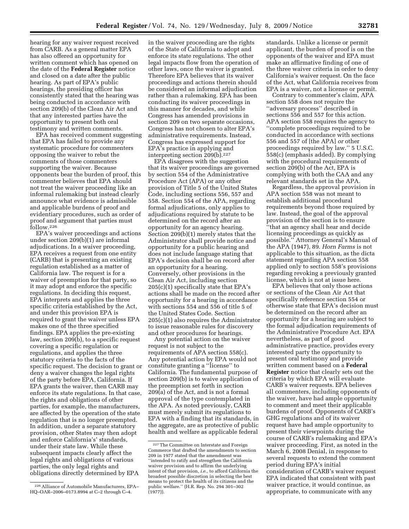hearing for any waiver request received from CARB. As a general matter EPA has also offered an opportunity for written comment which has opened on the date of the **Federal Register** notice and closed on a date after the public hearing. As part of EPA's public hearings, the presiding officer has consistently stated that the hearing was being conducted in accordance with section 209(b) of the Clean Air Act and that any interested parties have the opportunity to present both oral testimony and written comments.

EPA has received comment suggesting that EPA has failed to provide any systematic procedure for commenters opposing the waiver to rebut the comments of those commenters supporting the waiver. Because opponents bear the burden of proof, this commenter believes that EPA should not treat the waiver proceeding like an informal rulemaking but instead clearly announce what evidence is admissible and applicable burdens of proof and evidentiary procedures, such as order of proof and argument that parties must follow.226

EPA's waiver proceedings and actions under section 209(b)(1) are informal adjudications. In a waiver proceeding, EPA receives a request from one entity (CARB) that is presenting an existing regulation established as a matter of California law. The request is for a waiver of preemption for that party, so it may adopt and enforce the specific regulations. In deciding this request, EPA interprets and applies the three specific criteria established by the Act, and under this provision EPA is required to grant the waiver unless EPA makes one of the three specified findings. EPA applies the pre-existing law, section 209(b), to a specific request covering a specific regulation or regulations, and applies the three statutory criteria to the facts of the specific request. The decision to grant or deny a waiver changes the legal rights of the party before EPA, California. If EPA grants the waiver, then CARB may enforce its state regulations. In that case, the rights and obligations of other parties, for example, the manufacturers, are affected by the operation of the state regulation that is no longer preempted. In addition, under a separate statutory provision, other States may then adopt and enforce California's' standards, under their state law. While these subsequent impacts clearly affect the legal rights and obligations of various parties, the only legal rights and obligations directly determined by EPA

in the waiver proceeding are the rights of the State of California to adopt and enforce its state regulations. The other legal impacts flow from the operation of other laws, once the waiver is granted. Therefore EPA believes that its waiver proceedings and actions therein should be considered an informal adjudication rather than a rulemaking. EPA has been conducting its waiver proceedings in this manner for decades, and while Congress has amended provisions in section 209 on two separate occasions, Congress has not chosen to alter EPA's administrative requirements. Instead, Congress has expressed support for EPA's practice in applying and interpreting section 209(b).227

EPA disagrees with the suggestion that its waiver proceedings are governed by section 554 of the Administrative Procedure Act (APA) or any other provision of Title 5 of the United States Code, including sections 556, 557 and 558. Section 554 of the APA, regarding formal adjudications, only applies to adjudications required by statute to be determined on the record after an opportunity for an agency hearing. Section 209(b)(1) merely states that the Administrator shall provide notice and opportunity for a public hearing and does not include language stating that EPA's decision shall be on record after an opportunity for a hearing. Conversely, other provisions in the Clean Air Act, including section 205(c)(1) specifically state that EPA's actions shall be made on the record after opportunity for a hearing in accordance with sections 554 and 556 of title 5 of the United States Code. Section 205(c)(1) also requires the Administrator to issue reasonable rules for discovery and other procedures for hearings.

Any potential action on the waiver request is not subject to the requirements of APA section 558(c). Any potential action by EPA would not constitute granting a ''license'' to California. The fundamental purpose of section 209(b) is to waive application of the preemption set forth in section 209(a) of the Act, and is not a formal approval of the type contemplated in the APA. As noted previously, CARB must merely submit its regulations to EPA with a finding that its standards, in the aggregate, are as protective of public health and welfare as applicable federal

standards. Unlike a license or permit applicant, the burden of proof is on the opponents of the waiver and EPA must make an affirmative finding of one of the three waiver criteria in order to deny California's waiver request. On the face of the Act, what California receives from EPA is a waiver, not a license or permit.

Contrary to commenter's claim, APA section 558 does not require the ''adversary process'' described in sections 556 and 557 for this action. APA section 558 requires the agency to ''complete proceedings required to be conducted in accordance with sections 556 and 557 of [the APA] *or* other proceedings required by law.'' 5 U.S.C. 558(c) (emphasis added). By complying with the procedural requirements of section 209(b) of the Act, EPA is complying with both the CAA and any relevant standards set in the APA.

Regardless, the approval provision in APA section 558 was not meant to establish additional procedural requirements beyond those required by law. Instead, the goal of the approval provision of the section is to ensure ''that an agency shall hear and decide licensing proceedings as quickly as possible.'' Attorney General's Manual of the APA (1947), 89. *Horn Farms* is not applicable to this situation, as the dicta statement regarding APA section 558 applied only to section 558's provisions regarding revoking a previously granted license, which is not at issue here.

EPA believes that only those actions or sections of the Clean Air Act that specifically reference section 554 or otherwise state that EPA's decision must be determined on the record after an opportunity for a hearing are subject to the formal adjudication requirements of the Administrative Procedure Act. EPA nevertheless, as part of good administrative practice, provides every interested party the opportunity to present oral testimony and provide written comment based on a **Federal Register** notice that clearly sets out the criteria by which EPA will evaluate CARB's waiver requests. EPA believes all commenters, including opponents of the waiver, have had ample opportunity to comment and meet their applicable burdens of proof. Opponents of CARB's GHG regulations and of its waiver request have had ample opportunity to present their viewpoints during the course of CARB's rulemaking and EPA's waiver proceeding. First, as noted in the March 6, 2008 Denial, in response to several requests to extend the comment period during EPA's initial consideration of CARB's waiver request EPA indicated that consistent with past waiver practice, it would continue, as appropriate, to communicate with any

<sup>226</sup>Alliance of Automobile Manufacturers, EPA– HQ–OAR–2006–0173.8994 at C–2 through C–4.

<sup>227</sup>The Committee on Interstate and Foreign Commerce that drafted the amendments to section 209 in 1977 stated that the amendment was ''intended to ratify and strengthen the California waiver provision and to affirm the underlying intent of that provision, *i.e.,* to afford California the broadest possible discretion in selecting the best means to protect the health of its citizens and the public welfare.'' (H.R. Rep. No. 294 301–302 (1977)).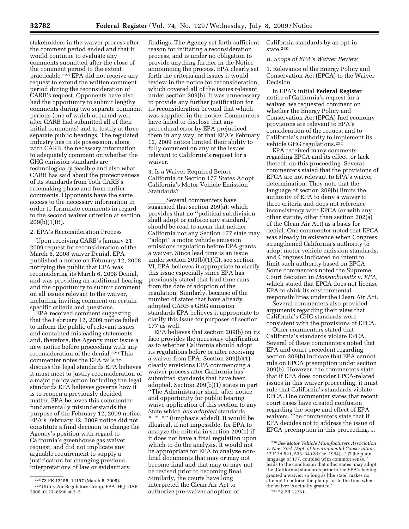stakeholders in the waiver process after the comment period ended and that it would continue to evaluate any comments submitted after the close of the comment period to the extent practicable.228 EPA did not receive any request to extend the written comment period during the reconsideration of CARB's request. Opponents have also had the opportunity to submit lengthy comments during two separate comment periods (one of which occurred well after CARB had submitted all of their initial comments) and to testify at three separate public hearings. The regulated industry has in its possession, along with CARB, the necessary information to adequately comment on whether the

GHG emission standards are technologically feasible and also what CARB has said about the protectiveness of its standards from both CARB's rulemaking phase and from earlier comments. Opponents have the same access to the necessary information in order to formulate comments in regard to the second waiver criterion at section  $209(b)(1)(B)$ .

#### 2. EPA's Reconsideration Process

Upon receiving CARB's January 21, 2009 request for reconsideration of the March 6, 2008 waiver Denial, EPA published a notice on February 12, 2008 notifying the public that EPA was reconsidering its March 6, 2008 Denial, and was providing an additional hearing and the opportunity to submit comment on all issues relevant to the waiver, including inviting comment on certain specific criteria and questions.

EPA received comment suggesting that the February 12, 2009 notice failed to inform the public of relevant issues and contained misleading statements and, therefore, the Agency must issue a new notice before proceeding with any reconsideration of the denial.229 This commenter notes the EPA fails to discuss the legal standards EPA believes it must meet to justify reconsideration of a major policy action including the legal standards EPA believes governs how it is to reopen a previously decided matter. EPA believes this commenter fundamentally misunderstands the purpose of the February 12, 2009 notice. EPA's February 12, 2009 notice did not constitute a final decision to change the Agency's position with regard to California's greenhouse gas waiver request, and did not implicate any arguable requirement to supply a justification for changing previous interpretations of law or evidentiary

findings. The Agency set forth sufficient reason for initiating a reconsideration process, and is under no obligation to provide anything further in the Notice announcing the process. EPA clearly set forth the criteria and issues it would review in the notice for reconsideration, which covered all of the issues relevant under section 209(b). It was unnecessary to provide any further justification for its reconsideration beyond that which was supplied in the notice. Commenters have failed to disclose that any procedural error by EPA prejudiced them in any way, or that EPA's February 12, 2009 notice limited their ability to fully comment on any of the issues relevant to California's request for a waiver.

3. Is a Waiver Required Before California or Section 177 States Adopt California's Motor Vehicle Emission Standards?

\_\_\_\_\_\_Several commenters have<br>suggested that section 209(a), which provides that no ''political subdivision shall adopt or enforce any standard,'' should be read to mean that neither California nor any Section 177 state may ''adopt'' a motor vehicle emission emissions regulation before EPA grants a waiver. Since lead time is an issue under section 209(b)(1)(C), see section VI, EPA believes it appropriate to clarify this issue especially since EPA has previously stated that lead time runs from the date of adoption of the regulation. Similarly, because of the number of states that have already adopted CARB's GHG emission standards EPA believes it appropriate to clarify this issue for purposes of section 177 as well.

EPA believes that section 209(b) on its face provides the necessary clarification as to whether California should adopt its regulations before or after receiving a waiver from EPA. Section 209(b)(1) clearly envisions EPA commencing a waiver process after California has submitted standards that have been adopted. Section 209(b)(1) states in part ''The Administrator shall, after notice and opportunity for public hearing waive application of this section to any State which *has adopted* standards \* \* \*'' (Emphasis added). It would be illogical, if not impossible, for EPA to analyze the criteria in section 209(b) if it does not have a final regulation upon which to do the analysis. It would not be appropriate for EPA to analyze nonfinal documents that may or may not become final and that may or may not be revised prior to becoming final. Similarly, the courts have long interpreted the Clean Air Act to authorize pre-waiver adoption of

California standards by an opt-in state.230

#### *B. Scope of EPA's Waiver Review*

1. Relevance of the Energy Policy and Conservation Act (EPCA) to the Waiver Decision

In EPA's initial **Federal Register**  notice of California's request for a waiver, we requested comment on whether the Energy Policy and Conservation Act (EPCA) fuel economy provisions are relevant to EPA's consideration of the request and to California's authority to implement its vehicle GHG regulations.231

EPA received many comments regarding EPCA and its effect, or lack thereof, on this proceeding. Several commenters stated that the provisions of EPCA are not relevant to EPA's waiver determination. They note that the language of section 209(b) limits the authority of EPA to deny a waiver to three criteria and does not reference inconsistency with EPCA (or with any other statute, other than section 202(a) of the Clean Air Act) as a basis for denial. One commenter noted that EPCA was already in existence when Congress strengthened California's authority to adopt motor vehicle emission standards, and Congress indicated no intent to limit such authority based on EPCA. Some commenters noted the Supreme Court decision in *Massachusetts* v. *EPA,*  which stated that EPCA does not license EPA to shirk its environmental responsibilities under the Clean Air Act.

Several commenters also provided arguments regarding their view that California's GHG standards were consistent with the provisions of EPCA.

Other commenters stated that California's standards violate EPCA. Several of these commenters noted that EPA and court precedent regarding section 209(b) indicate that EPA cannot rule on EPCA preemption under section 209(b). However, the commenters state that if EPA does consider EPCA-related issues in this waiver proceeding, it must rule that California's standards violate EPCA. One commenter states that recent court cases have created confusion regarding the scope and effect of EPA waivers. The commenters state that if EPA decides not to address the issue of EPCA preemption in this proceeding, it

<sup>228</sup> 73 FR 12156, 12157 (March 6, 2008). 229Utility Air Regulatory Group, EPA–HQ–OAR– 2006–0173–8690 at 2–5.

<sup>230</sup>*See Motor Vehicle Manufacturers Association*  v. *New York Dept. of Environmental Conservation,*  17 F.3d 521, 533–34 (2d Cir. 1994)—''[T]he plain language of 177, coupled with common sense,'' leads to the conclusion that other states 'may adopt the [California] standards prior to the EPA's having granted a waiver, so long as [the state] makes no attempt to enforce the plan prior to the time when the waiver is actually granted.'' 231 72 FR 12261.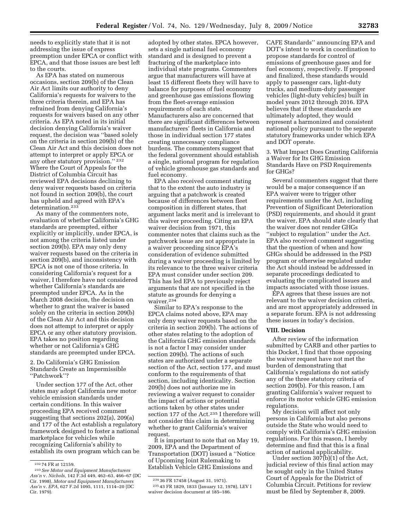needs to explicitly state that it is not addressing the issue of express preemption under EPCA or conflict with EPCA, and that those issues are best left to the courts.

As EPA has stated on numerous occasions, section 209(b) of the Clean Air Act limits our authority to deny California's requests for waivers to the three criteria therein, and EPA has refrained from denying California's requests for waivers based on any other criteria. As EPA noted in its initial decision denying California's waiver request, the decision was ''based solely on the criteria in section 209(b) of the Clean Air Act and this decision does not attempt to interpret or apply EPCA or any other statutory provision.'' 232 Where the Court of Appeals for the District of Columbia Circuit has reviewed EPA decisions declining to deny waiver requests based on criteria not found in section 209(b), the court has upheld and agreed with EPA's determination.233

As many of the commenters note, evaluation of whether California's GHG standards are preempted, either explicitly or implicitly, under EPCA, is not among the criteria listed under section 209(b). EPA may only deny waiver requests based on the criteria in section 209(b), and inconsistency with EPCA is not one of those criteria. In considering California's request for a waiver, I therefore have not considered whether California's standards are preempted under EPCA. As in the March 2008 decision, the decision on whether to grant the waiver is based solely on the criteria in section 209(b) of the Clean Air Act and this decision does not attempt to interpret or apply EPCA or any other statutory provision. EPA takes no position regarding whether or not California's GHG standards are preempted under EPCA.

2. Do California's GHG Emission Standards Create an Impermissible ''Patchwork''?

Under section 177 of the Act, other states may adopt California new motor vehicle emission standards under certain conditions. In this waiver proceeding EPA received comment suggesting that sections 202(a), 209(a) and 177 of the Act establish a regulatory framework designed to foster a national marketplace for vehicles while recognizing California's ability to establish its own program which can be

adopted by other states. EPCA however, sets a single national fuel economy standard and is designed to prevent a fracturing of the marketplace into individual state programs. Commenters argue that manufacturers will have at least 15 different fleets they will have to balance for purposes of fuel economy and greenhouse gas emissions flowing from the fleet-average emission requirements of each state. Manufacturers also are concerned that there are significant differences between manufacturers' fleets in California and those in individual section 177 states creating unnecessary compliance burdens. The commenters suggest that the federal government should establish a single, national program for regulation of vehicle greenhouse gas standards and fuel economy.

EPA also received comment stating that to the extent the auto industry is arguing that a patchwork is created because of differences between fleet composition in different states, that argument lacks merit and is irrelevant to this waiver proceeding. Citing an EPA waiver decision from 1971, this commenter notes that claims such as the patchwork issue are not appropriate in a waiver proceeding since EPA's consideration of evidence submitted during a waiver proceeding is limited by its relevance to the three waiver criteria EPA must consider under section 209. This has led EPA to previously reject arguments that are not specified in the statute as grounds for denying a waiver.234

Similar to EPA's response to the EPCA claims noted above, EPA may only deny waiver requests based on the criteria in section 209(b). The actions of other states relating to the adoption of the California GHG emission standards is not a factor I may consider under section 209(b). The actions of such states are authorized under a separate section of the Act, section 177, and must conform to the requirements of that section, including identicality. Section 209(b) does not authorize me in reviewing a waiver request to consider the impact of actions or potential actions taken by other states under section 177 of the Act.235 I therefore will not consider this claim in determining whether to grant California's waiver request.

It is important to note that on May 19, 2009, EPA and the Department of Transportation (DOT) issued a ''Notice of Upcoming Joint Rulemaking to Establish Vehicle GHG Emissions and

235 43 FR 1829, 1833 (January 12, 1978), LEV I waiver decision document at 185–186.

CAFE Standards'' announcing EPA and DOT's intent to work in coordination to propose standards for control of emissions of greenhouse gases and for fuel economy, respectively. If proposed and finalized, these standards would apply to passenger cars, light-duty trucks, and medium-duty passenger vehicles (light-duty vehicles) built in model years 2012 through 2016. EPA believes that if these standards are ultimately adopted, they would represent a harmonized and consistent national policy pursuant to the separate statutory frameworks under which EPA and DOT operate.

3. What Impact Does Granting California a Waiver for Its GHG Emission Standards Have on PSD Requirements for GHGs?

Several commenters suggest that there would be a major consequence if an EPA waiver were to trigger other requirements under the Act, including Prevention of Significant Deterioration (PSD) requirements, and should it grant the waiver, EPA should state clearly that the waiver does not render GHGs ''subject to regulation'' under the Act. EPA also received comment suggesting that the question of when and how GHGs should be addressed in the PSD program or otherwise regulated under the Act should instead be addressed in separate proceedings dedicated to evaluating the complicated issues and impacts associated with those issues.

EPA agrees that these issues are not relevant to the waiver decision criteria, and are most appropriately addressed in a separate forum. EPA is not addressing these issues in today's decision.

# **VIII. Decision**

After review of the information submitted by CARB and other parties to this Docket, I find that those opposing the waiver request have not met the burden of demonstrating that California's regulations do not satisfy any of the three statutory criteria of section 209(b). For this reason, I am granting California's waiver request to enforce its motor vehicle GHG emission regulations.

My decision will affect not only persons in California but also persons outside the State who would need to comply with California's GHG emission regulations. For this reason, I hereby determine and find that this is a final action of national applicability.

Under section 307(b)(1) of the Act, judicial review of this final action may be sought only in the United States Court of Appeals for the District of Columbia Circuit. Petitions for review must be filed by September 8, 2009.

<sup>232</sup> 74 FR at 12159.

<sup>233</sup>*See Motor and Equipment Manufacturers Ass'n* v. *Nichols,* 142 F.3d 449, 462–63, 466–67 (DC Cir. 1998), *Motor and Equipment Manufacturers Ass'n* v. *EPA,* 627 F.2d 1095, 1111, 1114–20 (DC Cir. 1979).

<sup>234</sup> 36 FR 17458 (August 31, 1971).